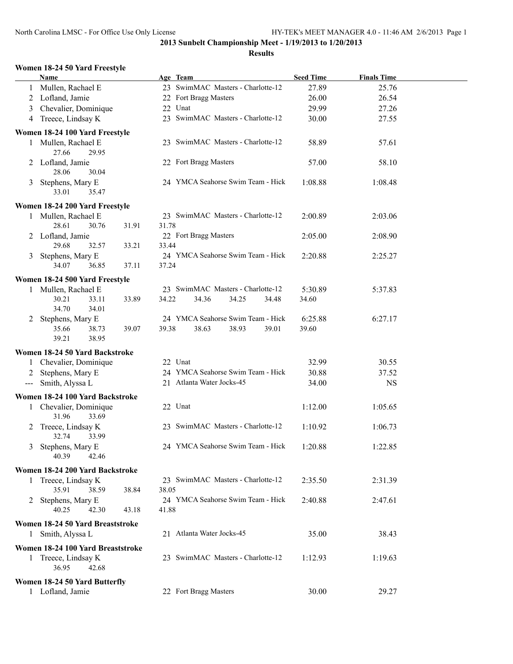## **Results**

#### **Women 18-24 50 Yard Freestyle**

|   | <b>Name</b>                              |                | Age Team                          | <b>Seed Time</b> | <b>Finals Time</b> |  |
|---|------------------------------------------|----------------|-----------------------------------|------------------|--------------------|--|
|   | 1 Mullen, Rachael E                      |                | 23 SwimMAC Masters - Charlotte-12 | 27.89            | 25.76              |  |
|   | 2 Lofland, Jamie                         |                | 22 Fort Bragg Masters             | 26.00            | 26.54              |  |
| 3 | Chevalier, Dominique                     |                | 22 Unat                           | 29.99            | 27.26              |  |
|   | 4 Treece, Lindsay K                      |                | 23 SwimMAC Masters - Charlotte-12 | 30.00            | 27.55              |  |
|   |                                          |                |                                   |                  |                    |  |
|   | Women 18-24 100 Yard Freestyle           |                |                                   |                  |                    |  |
|   | 1 Mullen, Rachael E<br>27.66<br>29.95    |                | 23 SwimMAC Masters - Charlotte-12 | 58.89            | 57.61              |  |
|   | 2 Lofland, Jamie<br>28.06<br>30.04       |                | 22 Fort Bragg Masters             | 57.00            | 58.10              |  |
|   | 3 Stephens, Mary E<br>35.47<br>33.01     |                | 24 YMCA Seahorse Swim Team - Hick | 1:08.88          | 1:08.48            |  |
|   | Women 18-24 200 Yard Freestyle           |                |                                   |                  |                    |  |
|   | 1 Mullen, Rachael E                      |                | 23 SwimMAC Masters - Charlotte-12 | 2:00.89          | 2:03.06            |  |
|   | 28.61<br>30.76<br>2 Lofland, Jamie       | 31.91<br>31.78 | 22 Fort Bragg Masters             | 2:05.00          | 2:08.90            |  |
|   | 29.68<br>32.57                           | 33.44<br>33.21 |                                   |                  |                    |  |
|   | 3 Stephens, Mary E<br>34.07<br>36.85     | 37.24<br>37.11 | 24 YMCA Seahorse Swim Team - Hick | 2:20.88          | 2:25.27            |  |
|   | Women 18-24 500 Yard Freestyle           |                |                                   |                  |                    |  |
|   | 1 Mullen, Rachael E                      |                | 23 SwimMAC Masters - Charlotte-12 | 5:30.89          | 5:37.83            |  |
|   | 30.21<br>33.11<br>34.70<br>34.01         | 34.22<br>33.89 | 34.36<br>34.25<br>34.48           | 34.60            |                    |  |
|   | 2 Stephens, Mary E                       |                | 24 YMCA Seahorse Swim Team - Hick | 6:25.88          | 6:27.17            |  |
|   | 35.66<br>38.73<br>39.21<br>38.95         | 39.07<br>39.38 | 38.63<br>38.93<br>39.01           | 39.60            |                    |  |
|   | Women 18-24 50 Yard Backstroke           |                |                                   |                  |                    |  |
|   | Chevalier, Dominique                     |                | 22 Unat                           | 32.99            | 30.55              |  |
| 2 | Stephens, Mary E                         |                | 24 YMCA Seahorse Swim Team - Hick | 30.88            | 37.52              |  |
|   | --- Smith, Alyssa L                      |                | 21 Atlanta Water Jocks-45         | 34.00            | <b>NS</b>          |  |
|   |                                          |                |                                   |                  |                    |  |
|   | Women 18-24 100 Yard Backstroke          |                |                                   |                  |                    |  |
|   | 1 Chevalier, Dominique<br>31.96<br>33.69 |                | 22 Unat                           | 1:12.00          | 1:05.65            |  |
|   | 2 Treece, Lindsay K<br>32.74<br>33.99    |                | 23 SwimMAC Masters - Charlotte-12 | 1:10.92          | 1:06.73            |  |
|   | 3 Stephens, Mary E<br>40.39<br>42.46     |                | 24 YMCA Seahorse Swim Team - Hick | 1:20.88          | 1:22.85            |  |
|   | Women 18-24 200 Yard Backstroke          |                |                                   |                  |                    |  |
|   | 1 Treece, Lindsay K                      |                | 23 SwimMAC Masters - Charlotte-12 | 2:35.50          | 2:31.39            |  |
|   | 35.91<br>38.59                           | 38.84<br>38.05 |                                   |                  |                    |  |
|   | 2 Stephens, Mary E                       |                | 24 YMCA Seahorse Swim Team - Hick | 2:40.88          | 2:47.61            |  |
|   | 40.25<br>42.30                           | 43.18<br>41.88 |                                   |                  |                    |  |
|   | Women 18-24 50 Yard Breaststroke         |                |                                   |                  |                    |  |
|   | 1 Smith, Alyssa L                        |                | 21 Atlanta Water Jocks-45         | 35.00            | 38.43              |  |
|   | Women 18-24 100 Yard Breaststroke        |                |                                   |                  |                    |  |
|   | 1 Treece, Lindsay K<br>36.95<br>42.68    |                | 23 SwimMAC Masters - Charlotte-12 | 1:12.93          | 1:19.63            |  |
|   | Women 18-24 50 Yard Butterfly            |                |                                   |                  |                    |  |
|   | 1 Lofland, Jamie                         |                | 22 Fort Bragg Masters             | 30.00            | 29.27              |  |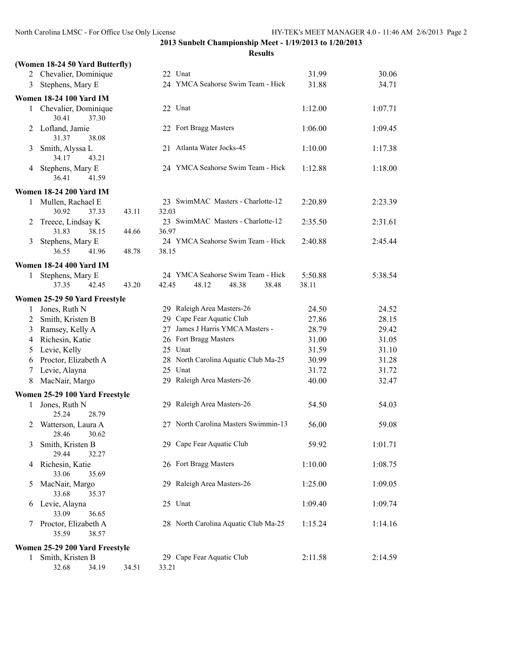|                | (Women 18-24 50 Yard Butterfly)          |       |                                      |         |         |
|----------------|------------------------------------------|-------|--------------------------------------|---------|---------|
|                | 2 Chevalier, Dominique                   |       | 22 Unat                              | 31.99   | 30.06   |
| 3              | Stephens, Mary E                         |       | 24 YMCA Seahorse Swim Team - Hick    | 31.88   | 34.71   |
|                | <b>Women 18-24 100 Yard IM</b>           |       |                                      |         |         |
|                | 1 Chevalier, Dominique<br>30.41<br>37.30 |       | 22 Unat                              | 1:12.00 | 1:07.71 |
|                | 2 Lofland, Jamie<br>31.37<br>38.08       |       | 22 Fort Bragg Masters                | 1:06.00 | 1:09.45 |
| 3              | Smith, Alyssa L<br>34.17<br>43.21        |       | 21 Atlanta Water Jocks-45            | 1:10.00 | 1:17.38 |
| 4              | Stephens, Mary E<br>36.41<br>41.59       |       | 24 YMCA Seahorse Swim Team - Hick    | 1:12.88 | 1:18.00 |
|                | <b>Women 18-24 200 Yard IM</b>           |       |                                      |         |         |
| 1              | Mullen, Rachael E                        |       | 23 SwimMAC Masters - Charlotte-12    | 2:20.89 | 2:23.39 |
|                | 30.92<br>37.33                           | 43.11 | 32.03                                |         |         |
| 2              | Treece, Lindsay K                        |       | 23 SwimMAC Masters - Charlotte-12    | 2:35.50 | 2:31.61 |
|                | 31.83<br>38.15                           | 44.66 | 36.97                                |         |         |
| 3              | Stephens, Mary E                         |       | 24 YMCA Seahorse Swim Team - Hick    | 2:40.88 | 2:45.44 |
|                | 36.55<br>41.96                           | 48.78 | 38.15                                |         |         |
|                | <b>Women 18-24 400 Yard IM</b>           |       |                                      |         |         |
| 1              | Stephens, Mary E                         |       | 24 YMCA Seahorse Swim Team - Hick    | 5:50.88 | 5:38.54 |
|                | 37.35<br>42.45                           | 43.20 | 42.45<br>48.12<br>48.38<br>38.48     | 38.11   |         |
|                | Women 25-29 50 Yard Freestyle            |       |                                      |         |         |
| 1              | Jones, Ruth N                            |       | 29 Raleigh Area Masters-26           | 24.50   | 24.52   |
| $\overline{2}$ | Smith, Kristen B                         |       | 29 Cape Fear Aquatic Club            | 27.86   | 28.15   |
| 3              | Ramsey, Kelly A                          |       | 27 James J Harris YMCA Masters -     | 28.79   | 29.42   |
| 4              | Richesin, Katie                          |       | 26 Fort Bragg Masters                | 31.00   | 31.05   |
| 5              | Levie, Kelly                             |       | 25 Unat                              | 31.59   | 31.10   |
| 6              | Proctor, Elizabeth A                     |       | 28 North Carolina Aquatic Club Ma-25 | 30.99   | 31.28   |
| 7              | Levie, Alayna                            |       | 25 Unat                              | 31.72   | 31.72   |
| 8              | MacNair, Margo                           |       | 29 Raleigh Area Masters-26           | 40.00   | 32.47   |
|                | Women 25-29 100 Yard Freestyle           |       |                                      |         |         |
| 1              | Jones, Ruth N<br>25.24<br>28.79          |       | 29 Raleigh Area Masters-26           | 54.50   | 54.03   |
| 2              | Watterson, Laura A<br>28.46<br>30.62     |       | 27 North Carolina Masters Swimmin-13 | 56.00   | 59.08   |
| 3              | Smith, Kristen B<br>29.44<br>32.27       |       | 29 Cape Fear Aquatic Club            | 59.92   | 1:01.71 |
| 4              | Richesin, Katie<br>33.06<br>35.69        |       | 26 Fort Bragg Masters                | 1:10.00 | 1:08.75 |
| 5              | MacNair, Margo<br>33.68<br>35.37         |       | 29 Raleigh Area Masters-26           | 1:25.00 | 1:09.05 |
| 6              | Levie, Alayna<br>33.09<br>36.65          |       | 25 Unat                              | 1:09.40 | 1:09.74 |
| 7              | Proctor, Elizabeth A<br>35.59<br>38.57   |       | 28 North Carolina Aquatic Club Ma-25 | 1:15.24 | 1:14.16 |
|                | Women 25-29 200 Yard Freestyle           |       |                                      |         |         |
| 1              | Smith, Kristen B                         |       | 29 Cape Fear Aquatic Club            | 2:11.58 | 2:14.59 |
|                | 32.68<br>34.19                           | 34.51 | 33.21                                |         |         |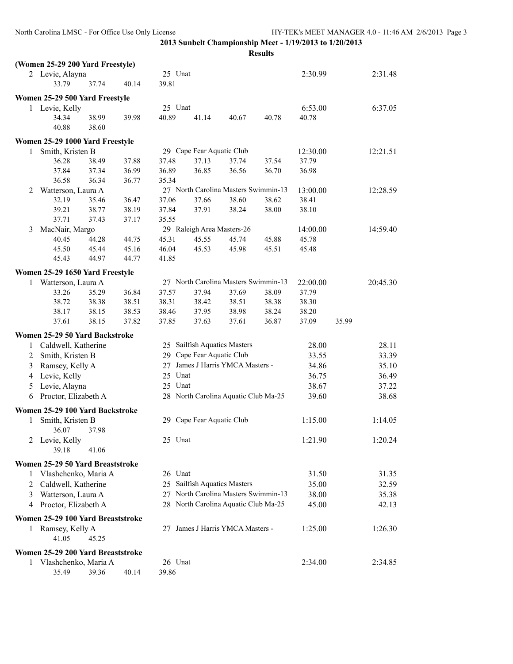|                | (Women 25-29 200 Yard Freestyle)  |       |       |         |                              |                                      |       |          |       |                |
|----------------|-----------------------------------|-------|-------|---------|------------------------------|--------------------------------------|-------|----------|-------|----------------|
|                | 2 Levie, Alayna                   |       |       | 25 Unat |                              |                                      |       | 2:30.99  |       | 2:31.48        |
|                | 33.79                             | 37.74 | 40.14 | 39.81   |                              |                                      |       |          |       |                |
|                | Women 25-29 500 Yard Freestyle    |       |       |         |                              |                                      |       |          |       |                |
|                | 1 Levie, Kelly                    |       |       | 25 Unat |                              |                                      |       | 6:53.00  |       | 6:37.05        |
|                | 34.34                             | 38.99 | 39.98 | 40.89   | 41.14                        | 40.67                                | 40.78 | 40.78    |       |                |
|                | 40.88                             | 38.60 |       |         |                              |                                      |       |          |       |                |
|                | Women 25-29 1000 Yard Freestyle   |       |       |         |                              |                                      |       |          |       |                |
| 1              | Smith, Kristen B                  |       |       |         | 29 Cape Fear Aquatic Club    |                                      |       | 12:30.00 |       | 12:21.51       |
|                | 36.28                             | 38.49 | 37.88 | 37.48   | 37.13                        | 37.74                                | 37.54 | 37.79    |       |                |
|                | 37.84                             | 37.34 | 36.99 | 36.89   | 36.85                        | 36.56                                | 36.70 | 36.98    |       |                |
|                | 36.58                             | 36.34 | 36.77 | 35.34   |                              |                                      |       |          |       |                |
| 2              | Watterson, Laura A                |       |       |         |                              | 27 North Carolina Masters Swimmin-13 |       | 13:00.00 |       | 12:28.59       |
|                | 32.19                             | 35.46 | 36.47 | 37.06   | 37.66                        | 38.60                                | 38.62 | 38.41    |       |                |
|                | 39.21                             | 38.77 | 38.19 | 37.84   | 37.91                        | 38.24                                | 38.00 | 38.10    |       |                |
|                | 37.71                             | 37.43 | 37.17 | 35.55   |                              |                                      |       |          |       |                |
| 3              | MacNair, Margo                    |       |       |         | 29 Raleigh Area Masters-26   |                                      |       | 14:00.00 |       | 14:59.40       |
|                | 40.45                             | 44.28 | 44.75 | 45.31   | 45.55                        | 45.74                                | 45.88 | 45.78    |       |                |
|                | 45.50                             | 45.44 | 45.16 | 46.04   | 45.53                        | 45.98                                | 45.51 | 45.48    |       |                |
|                | 45.43                             | 44.97 | 44.77 | 41.85   |                              |                                      |       |          |       |                |
|                | Women 25-29 1650 Yard Freestyle   |       |       |         |                              |                                      |       |          |       |                |
| 1              | Watterson, Laura A                |       |       |         |                              | 27 North Carolina Masters Swimmin-13 |       | 22:00.00 |       | 20:45.30       |
|                | 33.26                             | 35.29 | 36.84 | 37.57   | 37.94                        | 37.69                                | 38.09 | 37.79    |       |                |
|                | 38.72                             | 38.38 | 38.51 | 38.31   | 38.42                        | 38.51                                | 38.38 | 38.30    |       |                |
|                | 38.17                             | 38.15 | 38.53 | 38.46   | 37.95                        | 38.98                                | 38.24 | 38.20    |       |                |
|                | 37.61                             | 38.15 | 37.82 | 37.85   | 37.63                        | 37.61                                | 36.87 | 37.09    | 35.99 |                |
|                | Women 25-29 50 Yard Backstroke    |       |       |         |                              |                                      |       |          |       |                |
| 1              | Caldwell, Katherine               |       |       |         | 25 Sailfish Aquatics Masters |                                      |       | 28.00    |       | 28.11          |
| 2              | Smith, Kristen B                  |       |       |         | 29 Cape Fear Aquatic Club    |                                      |       | 33.55    |       | 33.39          |
| 3              | Ramsey, Kelly A                   |       |       | 27      |                              | James J Harris YMCA Masters -        |       | 34.86    |       | 35.10          |
| 4              | Levie, Kelly                      |       |       | 25 Unat |                              |                                      |       | 36.75    |       | 36.49          |
| 5              | Levie, Alayna                     |       |       | 25 Unat |                              |                                      |       | 38.67    |       | 37.22          |
| 6              | Proctor, Elizabeth A              |       |       |         |                              | 28 North Carolina Aquatic Club Ma-25 |       | 39.60    |       | 38.68          |
|                | Women 25-29 100 Yard Backstroke   |       |       |         |                              |                                      |       |          |       |                |
| 1              | Smith, Kristen B                  |       |       |         | 29 Cape Fear Aquatic Club    |                                      |       | 1:15.00  |       | 1:14.05        |
|                | 36.07                             | 37.98 |       |         |                              |                                      |       |          |       |                |
| 2              | Levie, Kelly                      |       |       | 25 Unat |                              |                                      |       | 1:21.90  |       | 1:20.24        |
|                | 39.18                             | 41.06 |       |         |                              |                                      |       |          |       |                |
|                |                                   |       |       |         |                              |                                      |       |          |       |                |
|                | Women 25-29 50 Yard Breaststroke  |       |       |         |                              |                                      |       |          |       |                |
| 1.             | Vlashchenko, Maria A              |       |       | 26 Unat | 25 Sailfish Aquatics Masters |                                      |       | 31.50    |       | 31.35<br>32.59 |
| $\overline{2}$ | Caldwell, Katherine               |       |       |         |                              | 27 North Carolina Masters Swimmin-13 |       | 35.00    |       |                |
| 3              | Watterson, Laura A                |       |       |         |                              |                                      |       | 38.00    |       | 35.38          |
|                | 4 Proctor, Elizabeth A            |       |       |         |                              | 28 North Carolina Aquatic Club Ma-25 |       | 45.00    |       | 42.13          |
|                | Women 25-29 100 Yard Breaststroke |       |       |         |                              |                                      |       |          |       |                |
| 1              | Ramsey, Kelly A                   |       |       |         |                              | 27 James J Harris YMCA Masters -     |       | 1:25.00  |       | 1:26.30        |
|                | 41.05                             | 45.25 |       |         |                              |                                      |       |          |       |                |
|                | Women 25-29 200 Yard Breaststroke |       |       |         |                              |                                      |       |          |       |                |
|                | 1 Vlashchenko, Maria A            |       |       | 26 Unat |                              |                                      |       | 2:34.00  |       | 2:34.85        |
|                | 35.49                             | 39.36 | 40.14 | 39.86   |                              |                                      |       |          |       |                |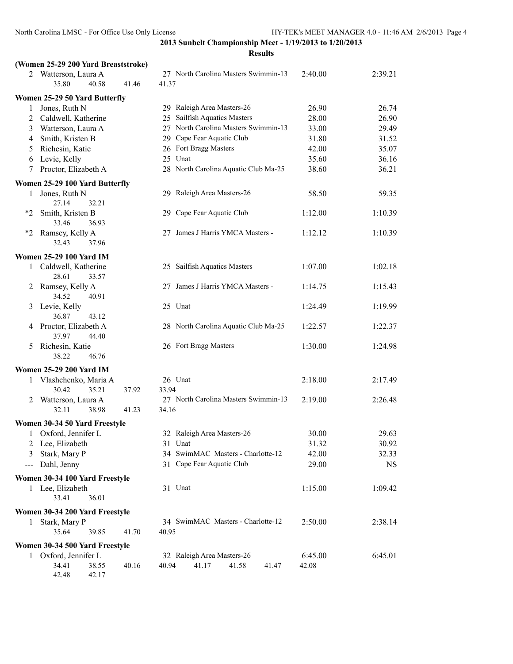#### **Results**

|        | (Women 25-29 200 Yard Breaststroke)    |       |                                      |                |           |
|--------|----------------------------------------|-------|--------------------------------------|----------------|-----------|
|        | 2 Watterson, Laura A                   |       | 27 North Carolina Masters Swimmin-13 | 2:40.00        | 2:39.21   |
|        | 35.80<br>40.58                         | 41.46 | 41.37                                |                |           |
|        | Women 25-29 50 Yard Butterfly          |       |                                      |                |           |
| 1      | Jones, Ruth N                          |       | 29 Raleigh Area Masters-26           | 26.90          | 26.74     |
| 2      | Caldwell, Katherine                    |       | Sailfish Aquatics Masters<br>25      | 28.00          | 26.90     |
| 3      | Watterson, Laura A                     |       | 27 North Carolina Masters Swimmin-13 | 33.00          | 29.49     |
| 4      | Smith, Kristen B                       |       | 29 Cape Fear Aquatic Club            | 31.80          | 31.52     |
| 5      | Richesin, Katie                        |       | 26 Fort Bragg Masters                | 42.00          | 35.07     |
| 6      | Levie, Kelly                           |       | 25 Unat                              | 35.60          | 36.16     |
| 7      | Proctor, Elizabeth A                   |       | 28 North Carolina Aquatic Club Ma-25 | 38.60          | 36.21     |
|        | Women 25-29 100 Yard Butterfly         |       |                                      |                |           |
| 1      | Jones, Ruth N                          |       | 29 Raleigh Area Masters-26           | 58.50          | 59.35     |
|        | 27.14<br>32.21                         |       |                                      |                |           |
| *2     | Smith, Kristen B                       |       | 29 Cape Fear Aquatic Club            | 1:12.00        | 1:10.39   |
|        | 33.46<br>36.93                         |       |                                      |                |           |
| *2     | Ramsey, Kelly A                        |       | 27 James J Harris YMCA Masters -     | 1:12.12        | 1:10.39   |
|        | 32.43<br>37.96                         |       |                                      |                |           |
|        | <b>Women 25-29 100 Yard IM</b>         |       |                                      |                |           |
|        | 1 Caldwell, Katherine                  |       | 25 Sailfish Aquatics Masters         | 1:07.00        | 1:02.18   |
|        | 28.61<br>33.57                         |       |                                      |                |           |
| 2      | Ramsey, Kelly A                        |       | 27 James J Harris YMCA Masters -     | 1:14.75        | 1:15.43   |
|        | 34.52<br>40.91                         |       |                                      |                |           |
| 3      | Levie, Kelly                           |       | 25 Unat                              | 1:24.49        | 1:19.99   |
|        | 36.87<br>43.12<br>Proctor, Elizabeth A |       | 28 North Carolina Aquatic Club Ma-25 | 1:22.57        | 1:22.37   |
| 4      | 37.97<br>44.40                         |       |                                      |                |           |
| 5      | Richesin, Katie                        |       | 26 Fort Bragg Masters                | 1:30.00        | 1:24.98   |
|        | 38.22<br>46.76                         |       |                                      |                |           |
|        | <b>Women 25-29 200 Yard IM</b>         |       |                                      |                |           |
| 1      | Vlashchenko, Maria A                   |       | 26 Unat                              | 2:18.00        | 2:17.49   |
|        | 30.42<br>35.21                         | 37.92 | 33.94                                |                |           |
| 2      | Watterson, Laura A                     |       | 27 North Carolina Masters Swimmin-13 | 2:19.00        | 2:26.48   |
|        | 32.11<br>38.98                         | 41.23 | 34.16                                |                |           |
|        |                                        |       |                                      |                |           |
|        | Women 30-34 50 Yard Freestyle          |       | 32 Raleigh Area Masters-26           |                | 29.63     |
| 1<br>2 | Oxford, Jennifer L<br>Lee, Elizabeth   |       | 31 Unat                              | 30.00<br>31.32 | 30.92     |
|        | Stark, Mary P                          |       | 34 SwimMAC Masters - Charlotte-12    |                | 32.33     |
| 3      |                                        |       | 31 Cape Fear Aquatic Club            | 42.00          |           |
| ---    | Dahl, Jenny                            |       |                                      | 29.00          | <b>NS</b> |
|        | Women 30-34 100 Yard Freestyle         |       |                                      |                |           |
|        | 1 Lee, Elizabeth                       |       | 31 Unat                              | 1:15.00        | 1:09.42   |
|        | 33.41<br>36.01                         |       |                                      |                |           |
|        | Women 30-34 200 Yard Freestyle         |       |                                      |                |           |
|        | 1 Stark, Mary P                        |       | 34 SwimMAC Masters - Charlotte-12    | 2:50.00        | 2:38.14   |
|        | 35.64<br>39.85                         | 41.70 | 40.95                                |                |           |
|        | Women 30-34 500 Yard Freestyle         |       |                                      |                |           |
|        | 1 Oxford, Jennifer L                   |       | 32 Raleigh Area Masters-26           | 6:45.00        | 6:45.01   |
|        | 34.41<br>38.55                         | 40.16 | 40.94<br>41.17<br>41.58<br>41.47     | 42.08          |           |

42.48 42.17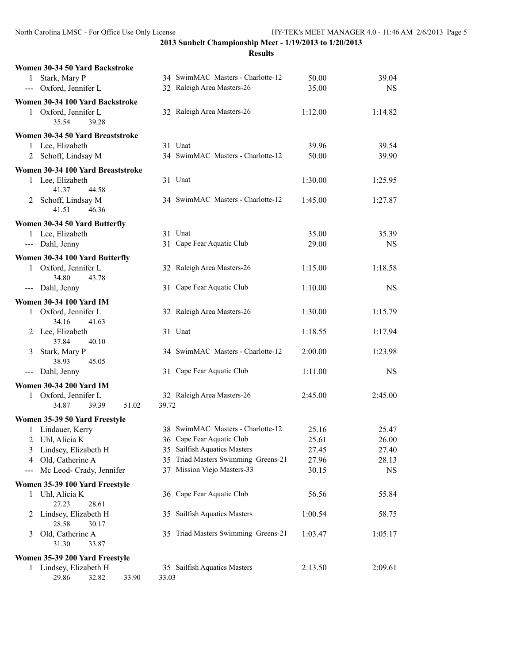| Women 30-34 50 Yard Backstroke                         |                                     |         |           |
|--------------------------------------------------------|-------------------------------------|---------|-----------|
| 1 Stark, Mary P                                        | 34 SwimMAC Masters - Charlotte-12   | 50.00   | 39.04     |
| --- Oxford, Jennifer L                                 | 32 Raleigh Area Masters-26          | 35.00   | <b>NS</b> |
| Women 30-34 100 Yard Backstroke                        |                                     |         |           |
| Oxford, Jennifer L<br>1                                | 32 Raleigh Area Masters-26          | 1:12.00 | 1:14.82   |
| 35.54<br>39.28                                         |                                     |         |           |
| Women 30-34 50 Yard Breaststroke                       |                                     |         |           |
| 1 Lee, Elizabeth                                       | 31 Unat                             | 39.96   | 39.54     |
| 2 Schoff, Lindsay M                                    | 34 SwimMAC Masters - Charlotte-12   | 50.00   | 39.90     |
| Women 30-34 100 Yard Breaststroke                      |                                     |         |           |
| 1 Lee, Elizabeth                                       | 31 Unat                             | 1:30.00 | 1:25.95   |
| 41.37<br>44.58                                         |                                     |         |           |
| 2 Schoff, Lindsay M                                    | 34 SwimMAC Masters - Charlotte-12   | 1:45.00 | 1:27.87   |
| 41.51<br>46.36                                         |                                     |         |           |
| Women 30-34 50 Yard Butterfly                          |                                     |         |           |
| 1 Lee, Elizabeth                                       | 31 Unat                             | 35.00   | 35.39     |
| --- Dahl, Jenny                                        | 31 Cape Fear Aquatic Club           | 29.00   | <b>NS</b> |
| Women 30-34 100 Yard Butterfly                         |                                     |         |           |
| 1 Oxford, Jennifer L                                   | 32 Raleigh Area Masters-26          | 1:15.00 | 1:18.58   |
| 34.80<br>43.78                                         |                                     |         |           |
| --- Dahl, Jenny                                        | 31 Cape Fear Aquatic Club           | 1:10.00 | <b>NS</b> |
| <b>Women 30-34 100 Yard IM</b>                         |                                     |         |           |
| Oxford, Jennifer L<br>1                                | 32 Raleigh Area Masters-26          | 1:30.00 | 1:15.79   |
| 34.16<br>41.63                                         |                                     |         |           |
| 2 Lee, Elizabeth                                       | 31 Unat                             | 1:18.55 | 1:17.94   |
| 37.84<br>40.10                                         |                                     |         |           |
| Stark, Mary P<br>3                                     | 34 SwimMAC Masters - Charlotte-12   | 2:00.00 | 1:23.98   |
| 38.93<br>45.05                                         |                                     |         |           |
| Dahl, Jenny<br>$\qquad \qquad - -$                     | 31 Cape Fear Aquatic Club           | 1:11.00 | <b>NS</b> |
| <b>Women 30-34 200 Yard IM</b>                         |                                     |         |           |
| 1 Oxford, Jennifer L                                   | 32 Raleigh Area Masters-26          | 2:45.00 | 2:45.00   |
| 34.87<br>39.39<br>51.02                                | 39.72                               |         |           |
| Women 35-39 50 Yard Freestyle                          |                                     |         |           |
| 1 Lindauer, Kerry                                      | 38 SwimMAC Masters - Charlotte-12   | 25.16   | 25.47     |
| 2<br>Uhl, Alicia K                                     | 36 Cape Fear Aquatic Club           | 25.61   | 26.00     |
| Lindsey, Elizabeth H<br>3                              | 35 Sailfish Aquatics Masters        | 27.45   | 27.40     |
| Old, Catherine A<br>4                                  | 35 Triad Masters Swimming Greens-21 | 27.96   | 28.13     |
| Mc Leod- Crady, Jennifer<br>$\qquad \qquad \text{---}$ | 37 Mission Viejo Masters-33         | 30.15   | NS        |
| Women 35-39 100 Yard Freestyle                         |                                     |         |           |
| Uhl, Alicia K<br>1                                     | 36 Cape Fear Aquatic Club           | 56.56   | 55.84     |
| 27.23<br>28.61                                         |                                     |         |           |
| Lindsey, Elizabeth H<br>2                              | 35 Sailfish Aquatics Masters        | 1:00.54 | 58.75     |
| 28.58<br>30.17                                         |                                     |         |           |
| Old, Catherine A<br>3<br>31.30                         | 35 Triad Masters Swimming Greens-21 | 1:03.47 | 1:05.17   |
| 33.87                                                  |                                     |         |           |
| Women 35-39 200 Yard Freestyle                         |                                     |         |           |
| 1 Lindsey, Elizabeth H                                 | 35 Sailfish Aquatics Masters        | 2:13.50 | 2:09.61   |
| 29.86<br>32.82<br>33.90                                | 33.03                               |         |           |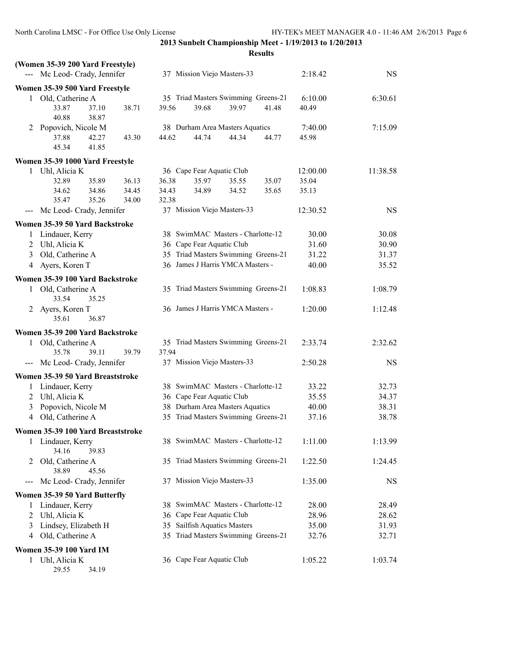| --- Mc Leod- Crady, Jennifer<br>37 Mission Viejo Masters-33<br>2:18.42<br><b>NS</b><br>Women 35-39 500 Yard Freestyle<br>35 Triad Masters Swimming Greens-21<br>1 Old, Catherine A<br>6:10.00<br>6:30.61<br>38.71<br>39.68<br>39.97<br>33.87<br>37.10<br>39.56<br>41.48<br>40.49<br>40.88<br>38.87<br>38 Durham Area Masters Aquatics<br>7:40.00<br>7:15.09<br>Popovich, Nicole M<br>2<br>44.74<br>44.34<br>37.88<br>42.27<br>43.30<br>44.62<br>44.77<br>45.98<br>45.34<br>41.85<br>Women 35-39 1000 Yard Freestyle<br>36 Cape Fear Aquatic Club<br>Uhl, Alicia K<br>12:00.00<br>11:38.58<br>1<br>32.89<br>35.89<br>36.13<br>36.38<br>35.97<br>35.55<br>35.07<br>35.04<br>34.62<br>34.86<br>34.45<br>34.43<br>34.89<br>34.52<br>35.65<br>35.13<br>35.47<br>35.26<br>34.00<br>32.38<br>37 Mission Viejo Masters-33<br>Mc Leod- Crady, Jennifer<br>12:30.52<br><b>NS</b><br>$\qquad \qquad - -$<br>Women 35-39 50 Yard Backstroke<br>38 SwimMAC Masters - Charlotte-12<br>Lindauer, Kerry<br>30.00<br>30.08<br>1<br>Uhl, Alicia K<br>36 Cape Fear Aquatic Club<br>31.60<br>30.90<br>2<br>35 Triad Masters Swimming Greens-21<br>Old, Catherine A<br>31.37<br>31.22<br>3<br>36 James J Harris YMCA Masters -<br>4 Ayers, Koren T<br>40.00<br>35.52<br>Women 35-39 100 Yard Backstroke<br>35 Triad Masters Swimming Greens-21<br>1 Old, Catherine A<br>1:08.83<br>1:08.79<br>33.54<br>35.25<br>36 James J Harris YMCA Masters -<br>2 Ayers, Koren T<br>1:20.00<br>1:12.48<br>35.61<br>36.87<br>Women 35-39 200 Yard Backstroke<br>1 Old, Catherine A<br>35 Triad Masters Swimming Greens-21<br>2:33.74<br>2:32.62<br>39.79<br>37.94<br>35.78<br>39.11<br>37 Mission Viejo Masters-33<br>--- Mc Leod- Crady, Jennifer<br>2:50.28<br><b>NS</b><br>Women 35-39 50 Yard Breaststroke<br>38 SwimMAC Masters - Charlotte-12<br>Lindauer, Kerry<br>33.22<br>32.73<br>1<br>36 Cape Fear Aquatic Club<br>Uhl, Alicia K<br>35.55<br>34.37<br>2<br>38 Durham Area Masters Aquatics<br>Popovich, Nicole M<br>40.00<br>38.31<br>3<br>35 Triad Masters Swimming Greens-21<br>4 Old, Catherine A<br>37.16<br>38.78<br>Women 35-39 100 Yard Breaststroke<br>38 SwimMAC Masters - Charlotte-12<br>Lindauer, Kerry<br>1:11.00<br>1:13.99<br>1<br>34.16<br>39.83<br>35 Triad Masters Swimming Greens-21<br>Old, Catherine A<br>1:22.50<br>1:24.45<br>2<br>38.89<br>45.56<br>Mc Leod- Crady, Jennifer<br>37 Mission Viejo Masters-33<br>1:35.00<br>NS<br>$---$<br>Women 35-39 50 Yard Butterfly<br>38 SwimMAC Masters - Charlotte-12<br>Lindauer, Kerry<br>28.00<br>28.49<br>1<br>Uhl, Alicia K<br>36 Cape Fear Aquatic Club<br>28.96<br>28.62<br>2<br>35 Sailfish Aquatics Masters<br>Lindsey, Elizabeth H<br>35.00<br>31.93<br>3<br>35 Triad Masters Swimming Greens-21<br>Old, Catherine A<br>32.76<br>32.71<br>4<br>Women 35-39 100 Yard IM<br>36 Cape Fear Aquatic Club<br>1 Uhl, Alicia K<br>1:05.22<br>1:03.74 | (Women 35-39 200 Yard Freestyle) |  |  |
|-----------------------------------------------------------------------------------------------------------------------------------------------------------------------------------------------------------------------------------------------------------------------------------------------------------------------------------------------------------------------------------------------------------------------------------------------------------------------------------------------------------------------------------------------------------------------------------------------------------------------------------------------------------------------------------------------------------------------------------------------------------------------------------------------------------------------------------------------------------------------------------------------------------------------------------------------------------------------------------------------------------------------------------------------------------------------------------------------------------------------------------------------------------------------------------------------------------------------------------------------------------------------------------------------------------------------------------------------------------------------------------------------------------------------------------------------------------------------------------------------------------------------------------------------------------------------------------------------------------------------------------------------------------------------------------------------------------------------------------------------------------------------------------------------------------------------------------------------------------------------------------------------------------------------------------------------------------------------------------------------------------------------------------------------------------------------------------------------------------------------------------------------------------------------------------------------------------------------------------------------------------------------------------------------------------------------------------------------------------------------------------------------------------------------------------------------------------------------------------------------------------------------------------------------------------------------------------------------------------------------------------------------------------------------------------------------------------------------------------------------------------------------------------------------------------------------------------------------------------------------------------------------|----------------------------------|--|--|
|                                                                                                                                                                                                                                                                                                                                                                                                                                                                                                                                                                                                                                                                                                                                                                                                                                                                                                                                                                                                                                                                                                                                                                                                                                                                                                                                                                                                                                                                                                                                                                                                                                                                                                                                                                                                                                                                                                                                                                                                                                                                                                                                                                                                                                                                                                                                                                                                                                                                                                                                                                                                                                                                                                                                                                                                                                                                                               |                                  |  |  |
|                                                                                                                                                                                                                                                                                                                                                                                                                                                                                                                                                                                                                                                                                                                                                                                                                                                                                                                                                                                                                                                                                                                                                                                                                                                                                                                                                                                                                                                                                                                                                                                                                                                                                                                                                                                                                                                                                                                                                                                                                                                                                                                                                                                                                                                                                                                                                                                                                                                                                                                                                                                                                                                                                                                                                                                                                                                                                               |                                  |  |  |
|                                                                                                                                                                                                                                                                                                                                                                                                                                                                                                                                                                                                                                                                                                                                                                                                                                                                                                                                                                                                                                                                                                                                                                                                                                                                                                                                                                                                                                                                                                                                                                                                                                                                                                                                                                                                                                                                                                                                                                                                                                                                                                                                                                                                                                                                                                                                                                                                                                                                                                                                                                                                                                                                                                                                                                                                                                                                                               |                                  |  |  |
|                                                                                                                                                                                                                                                                                                                                                                                                                                                                                                                                                                                                                                                                                                                                                                                                                                                                                                                                                                                                                                                                                                                                                                                                                                                                                                                                                                                                                                                                                                                                                                                                                                                                                                                                                                                                                                                                                                                                                                                                                                                                                                                                                                                                                                                                                                                                                                                                                                                                                                                                                                                                                                                                                                                                                                                                                                                                                               |                                  |  |  |
|                                                                                                                                                                                                                                                                                                                                                                                                                                                                                                                                                                                                                                                                                                                                                                                                                                                                                                                                                                                                                                                                                                                                                                                                                                                                                                                                                                                                                                                                                                                                                                                                                                                                                                                                                                                                                                                                                                                                                                                                                                                                                                                                                                                                                                                                                                                                                                                                                                                                                                                                                                                                                                                                                                                                                                                                                                                                                               |                                  |  |  |
|                                                                                                                                                                                                                                                                                                                                                                                                                                                                                                                                                                                                                                                                                                                                                                                                                                                                                                                                                                                                                                                                                                                                                                                                                                                                                                                                                                                                                                                                                                                                                                                                                                                                                                                                                                                                                                                                                                                                                                                                                                                                                                                                                                                                                                                                                                                                                                                                                                                                                                                                                                                                                                                                                                                                                                                                                                                                                               |                                  |  |  |
|                                                                                                                                                                                                                                                                                                                                                                                                                                                                                                                                                                                                                                                                                                                                                                                                                                                                                                                                                                                                                                                                                                                                                                                                                                                                                                                                                                                                                                                                                                                                                                                                                                                                                                                                                                                                                                                                                                                                                                                                                                                                                                                                                                                                                                                                                                                                                                                                                                                                                                                                                                                                                                                                                                                                                                                                                                                                                               |                                  |  |  |
|                                                                                                                                                                                                                                                                                                                                                                                                                                                                                                                                                                                                                                                                                                                                                                                                                                                                                                                                                                                                                                                                                                                                                                                                                                                                                                                                                                                                                                                                                                                                                                                                                                                                                                                                                                                                                                                                                                                                                                                                                                                                                                                                                                                                                                                                                                                                                                                                                                                                                                                                                                                                                                                                                                                                                                                                                                                                                               |                                  |  |  |
|                                                                                                                                                                                                                                                                                                                                                                                                                                                                                                                                                                                                                                                                                                                                                                                                                                                                                                                                                                                                                                                                                                                                                                                                                                                                                                                                                                                                                                                                                                                                                                                                                                                                                                                                                                                                                                                                                                                                                                                                                                                                                                                                                                                                                                                                                                                                                                                                                                                                                                                                                                                                                                                                                                                                                                                                                                                                                               |                                  |  |  |
|                                                                                                                                                                                                                                                                                                                                                                                                                                                                                                                                                                                                                                                                                                                                                                                                                                                                                                                                                                                                                                                                                                                                                                                                                                                                                                                                                                                                                                                                                                                                                                                                                                                                                                                                                                                                                                                                                                                                                                                                                                                                                                                                                                                                                                                                                                                                                                                                                                                                                                                                                                                                                                                                                                                                                                                                                                                                                               |                                  |  |  |
|                                                                                                                                                                                                                                                                                                                                                                                                                                                                                                                                                                                                                                                                                                                                                                                                                                                                                                                                                                                                                                                                                                                                                                                                                                                                                                                                                                                                                                                                                                                                                                                                                                                                                                                                                                                                                                                                                                                                                                                                                                                                                                                                                                                                                                                                                                                                                                                                                                                                                                                                                                                                                                                                                                                                                                                                                                                                                               |                                  |  |  |
|                                                                                                                                                                                                                                                                                                                                                                                                                                                                                                                                                                                                                                                                                                                                                                                                                                                                                                                                                                                                                                                                                                                                                                                                                                                                                                                                                                                                                                                                                                                                                                                                                                                                                                                                                                                                                                                                                                                                                                                                                                                                                                                                                                                                                                                                                                                                                                                                                                                                                                                                                                                                                                                                                                                                                                                                                                                                                               |                                  |  |  |
|                                                                                                                                                                                                                                                                                                                                                                                                                                                                                                                                                                                                                                                                                                                                                                                                                                                                                                                                                                                                                                                                                                                                                                                                                                                                                                                                                                                                                                                                                                                                                                                                                                                                                                                                                                                                                                                                                                                                                                                                                                                                                                                                                                                                                                                                                                                                                                                                                                                                                                                                                                                                                                                                                                                                                                                                                                                                                               |                                  |  |  |
|                                                                                                                                                                                                                                                                                                                                                                                                                                                                                                                                                                                                                                                                                                                                                                                                                                                                                                                                                                                                                                                                                                                                                                                                                                                                                                                                                                                                                                                                                                                                                                                                                                                                                                                                                                                                                                                                                                                                                                                                                                                                                                                                                                                                                                                                                                                                                                                                                                                                                                                                                                                                                                                                                                                                                                                                                                                                                               |                                  |  |  |
|                                                                                                                                                                                                                                                                                                                                                                                                                                                                                                                                                                                                                                                                                                                                                                                                                                                                                                                                                                                                                                                                                                                                                                                                                                                                                                                                                                                                                                                                                                                                                                                                                                                                                                                                                                                                                                                                                                                                                                                                                                                                                                                                                                                                                                                                                                                                                                                                                                                                                                                                                                                                                                                                                                                                                                                                                                                                                               |                                  |  |  |
|                                                                                                                                                                                                                                                                                                                                                                                                                                                                                                                                                                                                                                                                                                                                                                                                                                                                                                                                                                                                                                                                                                                                                                                                                                                                                                                                                                                                                                                                                                                                                                                                                                                                                                                                                                                                                                                                                                                                                                                                                                                                                                                                                                                                                                                                                                                                                                                                                                                                                                                                                                                                                                                                                                                                                                                                                                                                                               |                                  |  |  |
|                                                                                                                                                                                                                                                                                                                                                                                                                                                                                                                                                                                                                                                                                                                                                                                                                                                                                                                                                                                                                                                                                                                                                                                                                                                                                                                                                                                                                                                                                                                                                                                                                                                                                                                                                                                                                                                                                                                                                                                                                                                                                                                                                                                                                                                                                                                                                                                                                                                                                                                                                                                                                                                                                                                                                                                                                                                                                               |                                  |  |  |
|                                                                                                                                                                                                                                                                                                                                                                                                                                                                                                                                                                                                                                                                                                                                                                                                                                                                                                                                                                                                                                                                                                                                                                                                                                                                                                                                                                                                                                                                                                                                                                                                                                                                                                                                                                                                                                                                                                                                                                                                                                                                                                                                                                                                                                                                                                                                                                                                                                                                                                                                                                                                                                                                                                                                                                                                                                                                                               |                                  |  |  |
|                                                                                                                                                                                                                                                                                                                                                                                                                                                                                                                                                                                                                                                                                                                                                                                                                                                                                                                                                                                                                                                                                                                                                                                                                                                                                                                                                                                                                                                                                                                                                                                                                                                                                                                                                                                                                                                                                                                                                                                                                                                                                                                                                                                                                                                                                                                                                                                                                                                                                                                                                                                                                                                                                                                                                                                                                                                                                               |                                  |  |  |
|                                                                                                                                                                                                                                                                                                                                                                                                                                                                                                                                                                                                                                                                                                                                                                                                                                                                                                                                                                                                                                                                                                                                                                                                                                                                                                                                                                                                                                                                                                                                                                                                                                                                                                                                                                                                                                                                                                                                                                                                                                                                                                                                                                                                                                                                                                                                                                                                                                                                                                                                                                                                                                                                                                                                                                                                                                                                                               |                                  |  |  |
|                                                                                                                                                                                                                                                                                                                                                                                                                                                                                                                                                                                                                                                                                                                                                                                                                                                                                                                                                                                                                                                                                                                                                                                                                                                                                                                                                                                                                                                                                                                                                                                                                                                                                                                                                                                                                                                                                                                                                                                                                                                                                                                                                                                                                                                                                                                                                                                                                                                                                                                                                                                                                                                                                                                                                                                                                                                                                               |                                  |  |  |
|                                                                                                                                                                                                                                                                                                                                                                                                                                                                                                                                                                                                                                                                                                                                                                                                                                                                                                                                                                                                                                                                                                                                                                                                                                                                                                                                                                                                                                                                                                                                                                                                                                                                                                                                                                                                                                                                                                                                                                                                                                                                                                                                                                                                                                                                                                                                                                                                                                                                                                                                                                                                                                                                                                                                                                                                                                                                                               |                                  |  |  |
|                                                                                                                                                                                                                                                                                                                                                                                                                                                                                                                                                                                                                                                                                                                                                                                                                                                                                                                                                                                                                                                                                                                                                                                                                                                                                                                                                                                                                                                                                                                                                                                                                                                                                                                                                                                                                                                                                                                                                                                                                                                                                                                                                                                                                                                                                                                                                                                                                                                                                                                                                                                                                                                                                                                                                                                                                                                                                               |                                  |  |  |
|                                                                                                                                                                                                                                                                                                                                                                                                                                                                                                                                                                                                                                                                                                                                                                                                                                                                                                                                                                                                                                                                                                                                                                                                                                                                                                                                                                                                                                                                                                                                                                                                                                                                                                                                                                                                                                                                                                                                                                                                                                                                                                                                                                                                                                                                                                                                                                                                                                                                                                                                                                                                                                                                                                                                                                                                                                                                                               |                                  |  |  |
|                                                                                                                                                                                                                                                                                                                                                                                                                                                                                                                                                                                                                                                                                                                                                                                                                                                                                                                                                                                                                                                                                                                                                                                                                                                                                                                                                                                                                                                                                                                                                                                                                                                                                                                                                                                                                                                                                                                                                                                                                                                                                                                                                                                                                                                                                                                                                                                                                                                                                                                                                                                                                                                                                                                                                                                                                                                                                               |                                  |  |  |
|                                                                                                                                                                                                                                                                                                                                                                                                                                                                                                                                                                                                                                                                                                                                                                                                                                                                                                                                                                                                                                                                                                                                                                                                                                                                                                                                                                                                                                                                                                                                                                                                                                                                                                                                                                                                                                                                                                                                                                                                                                                                                                                                                                                                                                                                                                                                                                                                                                                                                                                                                                                                                                                                                                                                                                                                                                                                                               |                                  |  |  |
|                                                                                                                                                                                                                                                                                                                                                                                                                                                                                                                                                                                                                                                                                                                                                                                                                                                                                                                                                                                                                                                                                                                                                                                                                                                                                                                                                                                                                                                                                                                                                                                                                                                                                                                                                                                                                                                                                                                                                                                                                                                                                                                                                                                                                                                                                                                                                                                                                                                                                                                                                                                                                                                                                                                                                                                                                                                                                               |                                  |  |  |
|                                                                                                                                                                                                                                                                                                                                                                                                                                                                                                                                                                                                                                                                                                                                                                                                                                                                                                                                                                                                                                                                                                                                                                                                                                                                                                                                                                                                                                                                                                                                                                                                                                                                                                                                                                                                                                                                                                                                                                                                                                                                                                                                                                                                                                                                                                                                                                                                                                                                                                                                                                                                                                                                                                                                                                                                                                                                                               |                                  |  |  |
|                                                                                                                                                                                                                                                                                                                                                                                                                                                                                                                                                                                                                                                                                                                                                                                                                                                                                                                                                                                                                                                                                                                                                                                                                                                                                                                                                                                                                                                                                                                                                                                                                                                                                                                                                                                                                                                                                                                                                                                                                                                                                                                                                                                                                                                                                                                                                                                                                                                                                                                                                                                                                                                                                                                                                                                                                                                                                               |                                  |  |  |
|                                                                                                                                                                                                                                                                                                                                                                                                                                                                                                                                                                                                                                                                                                                                                                                                                                                                                                                                                                                                                                                                                                                                                                                                                                                                                                                                                                                                                                                                                                                                                                                                                                                                                                                                                                                                                                                                                                                                                                                                                                                                                                                                                                                                                                                                                                                                                                                                                                                                                                                                                                                                                                                                                                                                                                                                                                                                                               |                                  |  |  |
|                                                                                                                                                                                                                                                                                                                                                                                                                                                                                                                                                                                                                                                                                                                                                                                                                                                                                                                                                                                                                                                                                                                                                                                                                                                                                                                                                                                                                                                                                                                                                                                                                                                                                                                                                                                                                                                                                                                                                                                                                                                                                                                                                                                                                                                                                                                                                                                                                                                                                                                                                                                                                                                                                                                                                                                                                                                                                               |                                  |  |  |
|                                                                                                                                                                                                                                                                                                                                                                                                                                                                                                                                                                                                                                                                                                                                                                                                                                                                                                                                                                                                                                                                                                                                                                                                                                                                                                                                                                                                                                                                                                                                                                                                                                                                                                                                                                                                                                                                                                                                                                                                                                                                                                                                                                                                                                                                                                                                                                                                                                                                                                                                                                                                                                                                                                                                                                                                                                                                                               |                                  |  |  |
|                                                                                                                                                                                                                                                                                                                                                                                                                                                                                                                                                                                                                                                                                                                                                                                                                                                                                                                                                                                                                                                                                                                                                                                                                                                                                                                                                                                                                                                                                                                                                                                                                                                                                                                                                                                                                                                                                                                                                                                                                                                                                                                                                                                                                                                                                                                                                                                                                                                                                                                                                                                                                                                                                                                                                                                                                                                                                               |                                  |  |  |
|                                                                                                                                                                                                                                                                                                                                                                                                                                                                                                                                                                                                                                                                                                                                                                                                                                                                                                                                                                                                                                                                                                                                                                                                                                                                                                                                                                                                                                                                                                                                                                                                                                                                                                                                                                                                                                                                                                                                                                                                                                                                                                                                                                                                                                                                                                                                                                                                                                                                                                                                                                                                                                                                                                                                                                                                                                                                                               |                                  |  |  |
|                                                                                                                                                                                                                                                                                                                                                                                                                                                                                                                                                                                                                                                                                                                                                                                                                                                                                                                                                                                                                                                                                                                                                                                                                                                                                                                                                                                                                                                                                                                                                                                                                                                                                                                                                                                                                                                                                                                                                                                                                                                                                                                                                                                                                                                                                                                                                                                                                                                                                                                                                                                                                                                                                                                                                                                                                                                                                               |                                  |  |  |
|                                                                                                                                                                                                                                                                                                                                                                                                                                                                                                                                                                                                                                                                                                                                                                                                                                                                                                                                                                                                                                                                                                                                                                                                                                                                                                                                                                                                                                                                                                                                                                                                                                                                                                                                                                                                                                                                                                                                                                                                                                                                                                                                                                                                                                                                                                                                                                                                                                                                                                                                                                                                                                                                                                                                                                                                                                                                                               |                                  |  |  |
|                                                                                                                                                                                                                                                                                                                                                                                                                                                                                                                                                                                                                                                                                                                                                                                                                                                                                                                                                                                                                                                                                                                                                                                                                                                                                                                                                                                                                                                                                                                                                                                                                                                                                                                                                                                                                                                                                                                                                                                                                                                                                                                                                                                                                                                                                                                                                                                                                                                                                                                                                                                                                                                                                                                                                                                                                                                                                               |                                  |  |  |
|                                                                                                                                                                                                                                                                                                                                                                                                                                                                                                                                                                                                                                                                                                                                                                                                                                                                                                                                                                                                                                                                                                                                                                                                                                                                                                                                                                                                                                                                                                                                                                                                                                                                                                                                                                                                                                                                                                                                                                                                                                                                                                                                                                                                                                                                                                                                                                                                                                                                                                                                                                                                                                                                                                                                                                                                                                                                                               |                                  |  |  |
|                                                                                                                                                                                                                                                                                                                                                                                                                                                                                                                                                                                                                                                                                                                                                                                                                                                                                                                                                                                                                                                                                                                                                                                                                                                                                                                                                                                                                                                                                                                                                                                                                                                                                                                                                                                                                                                                                                                                                                                                                                                                                                                                                                                                                                                                                                                                                                                                                                                                                                                                                                                                                                                                                                                                                                                                                                                                                               |                                  |  |  |
|                                                                                                                                                                                                                                                                                                                                                                                                                                                                                                                                                                                                                                                                                                                                                                                                                                                                                                                                                                                                                                                                                                                                                                                                                                                                                                                                                                                                                                                                                                                                                                                                                                                                                                                                                                                                                                                                                                                                                                                                                                                                                                                                                                                                                                                                                                                                                                                                                                                                                                                                                                                                                                                                                                                                                                                                                                                                                               |                                  |  |  |
|                                                                                                                                                                                                                                                                                                                                                                                                                                                                                                                                                                                                                                                                                                                                                                                                                                                                                                                                                                                                                                                                                                                                                                                                                                                                                                                                                                                                                                                                                                                                                                                                                                                                                                                                                                                                                                                                                                                                                                                                                                                                                                                                                                                                                                                                                                                                                                                                                                                                                                                                                                                                                                                                                                                                                                                                                                                                                               |                                  |  |  |
|                                                                                                                                                                                                                                                                                                                                                                                                                                                                                                                                                                                                                                                                                                                                                                                                                                                                                                                                                                                                                                                                                                                                                                                                                                                                                                                                                                                                                                                                                                                                                                                                                                                                                                                                                                                                                                                                                                                                                                                                                                                                                                                                                                                                                                                                                                                                                                                                                                                                                                                                                                                                                                                                                                                                                                                                                                                                                               |                                  |  |  |
|                                                                                                                                                                                                                                                                                                                                                                                                                                                                                                                                                                                                                                                                                                                                                                                                                                                                                                                                                                                                                                                                                                                                                                                                                                                                                                                                                                                                                                                                                                                                                                                                                                                                                                                                                                                                                                                                                                                                                                                                                                                                                                                                                                                                                                                                                                                                                                                                                                                                                                                                                                                                                                                                                                                                                                                                                                                                                               |                                  |  |  |
|                                                                                                                                                                                                                                                                                                                                                                                                                                                                                                                                                                                                                                                                                                                                                                                                                                                                                                                                                                                                                                                                                                                                                                                                                                                                                                                                                                                                                                                                                                                                                                                                                                                                                                                                                                                                                                                                                                                                                                                                                                                                                                                                                                                                                                                                                                                                                                                                                                                                                                                                                                                                                                                                                                                                                                                                                                                                                               |                                  |  |  |
|                                                                                                                                                                                                                                                                                                                                                                                                                                                                                                                                                                                                                                                                                                                                                                                                                                                                                                                                                                                                                                                                                                                                                                                                                                                                                                                                                                                                                                                                                                                                                                                                                                                                                                                                                                                                                                                                                                                                                                                                                                                                                                                                                                                                                                                                                                                                                                                                                                                                                                                                                                                                                                                                                                                                                                                                                                                                                               |                                  |  |  |
|                                                                                                                                                                                                                                                                                                                                                                                                                                                                                                                                                                                                                                                                                                                                                                                                                                                                                                                                                                                                                                                                                                                                                                                                                                                                                                                                                                                                                                                                                                                                                                                                                                                                                                                                                                                                                                                                                                                                                                                                                                                                                                                                                                                                                                                                                                                                                                                                                                                                                                                                                                                                                                                                                                                                                                                                                                                                                               |                                  |  |  |
|                                                                                                                                                                                                                                                                                                                                                                                                                                                                                                                                                                                                                                                                                                                                                                                                                                                                                                                                                                                                                                                                                                                                                                                                                                                                                                                                                                                                                                                                                                                                                                                                                                                                                                                                                                                                                                                                                                                                                                                                                                                                                                                                                                                                                                                                                                                                                                                                                                                                                                                                                                                                                                                                                                                                                                                                                                                                                               |                                  |  |  |
|                                                                                                                                                                                                                                                                                                                                                                                                                                                                                                                                                                                                                                                                                                                                                                                                                                                                                                                                                                                                                                                                                                                                                                                                                                                                                                                                                                                                                                                                                                                                                                                                                                                                                                                                                                                                                                                                                                                                                                                                                                                                                                                                                                                                                                                                                                                                                                                                                                                                                                                                                                                                                                                                                                                                                                                                                                                                                               | 29.55<br>34.19                   |  |  |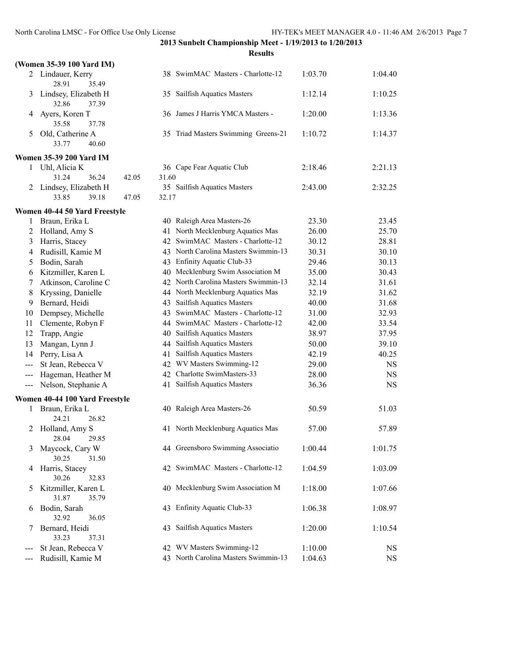|        | (Women 35-39 100 Yard IM)              |       |                                                                           |                |                |
|--------|----------------------------------------|-------|---------------------------------------------------------------------------|----------------|----------------|
|        | 2 Lindauer, Kerry<br>35.49<br>28.91    |       | 38 SwimMAC Masters - Charlotte-12                                         | 1:03.70        | 1:04.40        |
| 3      | Lindsey, Elizabeth H<br>32.86<br>37.39 |       | 35 Sailfish Aquatics Masters                                              | 1:12.14        | 1:10.25        |
| 4      | Ayers, Koren T<br>35.58<br>37.78       |       | 36 James J Harris YMCA Masters -                                          | 1:20.00        | 1:13.36        |
| 5      | Old, Catherine A<br>33.77<br>40.60     |       | 35 Triad Masters Swimming Greens-21                                       | 1:10.72        | 1:14.37        |
|        | <b>Women 35-39 200 Yard IM</b>         |       |                                                                           |                |                |
| 1      | Uhl, Alicia K                          |       | 36 Cape Fear Aquatic Club                                                 | 2:18.46        | 2:21.13        |
|        | 31.24<br>36.24<br>42.05                | 31.60 |                                                                           |                |                |
| 2      | Lindsey, Elizabeth H                   |       | 35 Sailfish Aquatics Masters                                              | 2:43.00        | 2:32.25        |
|        | 33.85<br>39.18<br>47.05                | 32.17 |                                                                           |                |                |
|        | Women 40-44 50 Yard Freestyle          |       |                                                                           |                |                |
| 1      | Braun, Erika L                         |       | 40 Raleigh Area Masters-26                                                | 23.30          | 23.45          |
| 2      | Holland, Amy S                         |       | 41 North Mecklenburg Aquatics Mas                                         | 26.00          | 25.70          |
| 3      | Harris, Stacey                         |       | 42 SwimMAC Masters - Charlotte-12                                         | 30.12          | 28.81          |
| 4      | Rudisill, Kamie M                      |       | 43 North Carolina Masters Swimmin-13                                      | 30.31          | 30.10          |
| 5      | Bodin, Sarah                           |       | 43 Enfinity Aquatic Club-33                                               | 29.46          | 30.13          |
| 6      | Kitzmiller, Karen L                    |       | 40 Mecklenburg Swim Association M<br>42 North Carolina Masters Swimmin-13 | 35.00          | 30.43          |
| 7      | Atkinson, Caroline C                   |       |                                                                           | 32.14          | 31.61          |
| 8<br>9 | Kryssing, Danielle<br>Bernard, Heidi   |       | 44 North Mecklenburg Aquatics Mas<br>43 Sailfish Aquatics Masters         | 32.19<br>40.00 | 31.62<br>31.68 |
| 10     | Dempsey, Michelle                      |       | 43 SwimMAC Masters - Charlotte-12                                         | 31.00          | 32.93          |
| 11     | Clemente, Robyn F                      |       | 44 SwimMAC Masters - Charlotte-12                                         | 42.00          | 33.54          |
| 12     | Trapp, Angie                           |       | 40 Sailfish Aquatics Masters                                              | 38.97          | 37.95          |
| 13     | Mangan, Lynn J                         |       | 44 Sailfish Aquatics Masters                                              | 50.00          | 39.10          |
| 14     | Perry, Lisa A                          |       | 41 Sailfish Aquatics Masters                                              | 42.19          | 40.25          |
| ---    | St Jean, Rebecca V                     |       | 42 WV Masters Swimming-12                                                 | 29.00          | <b>NS</b>      |
| $---$  | Hageman, Heather M                     |       | 42 Charlotte SwimMasters-33                                               | 28.00          | <b>NS</b>      |
| $---$  | Nelson, Stephanie A                    |       | 41 Sailfish Aquatics Masters                                              | 36.36          | <b>NS</b>      |
|        | Women 40-44 100 Yard Freestyle         |       |                                                                           |                |                |
| 1      | Braun, Erika L                         |       | 40 Raleigh Area Masters-26                                                | 50.59          | 51.03          |
|        | 24.21<br>26.82                         |       |                                                                           |                |                |
| 2      | Holland, Amy S<br>28.04 29.85          |       | 41 North Mecklenburg Aquatics Mas                                         | 57.00          | 57.89          |
| 3      | Maycock, Cary W<br>30.25<br>31.50      |       | 44 Greensboro Swimming Associatio                                         | 1:00.44        | 1:01.75        |
| 4      | Harris, Stacey<br>30.26<br>32.83       |       | 42 SwimMAC Masters - Charlotte-12                                         | 1:04.59        | 1:03.09        |
| 5      | Kitzmiller, Karen L<br>31.87<br>35.79  |       | 40 Mecklenburg Swim Association M                                         | 1:18.00        | 1:07.66        |
| 6      | Bodin, Sarah<br>32.92<br>36.05         |       | 43 Enfinity Aquatic Club-33                                               | 1:06.38        | 1:08.97        |
| 7      | Bernard, Heidi<br>33.23<br>37.31       |       | 43 Sailfish Aquatics Masters                                              | 1:20.00        | 1:10.54        |
| $---$  | St Jean, Rebecca V                     |       | 42 WV Masters Swimming-12                                                 | 1:10.00        | NS             |
| ---    | Rudisill, Kamie M                      |       | 43 North Carolina Masters Swimmin-13                                      | 1:04.63        | <b>NS</b>      |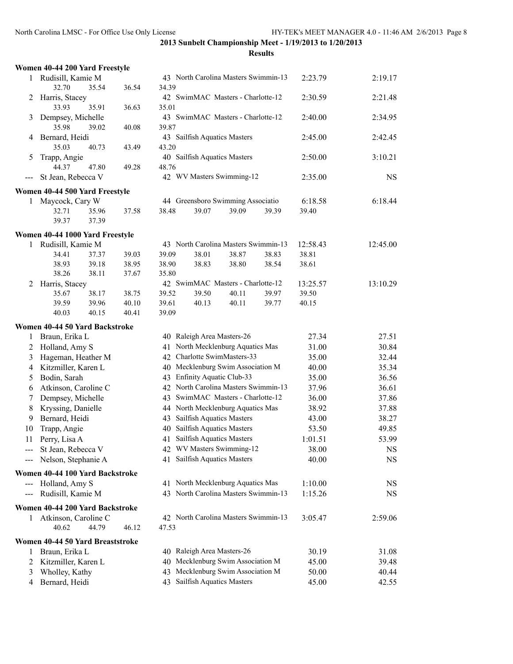|          | Women 40-44 200 Yard Freestyle   |       |       |       |                                                                        |       |       |                |                |
|----------|----------------------------------|-------|-------|-------|------------------------------------------------------------------------|-------|-------|----------------|----------------|
| 1        | Rudisill, Kamie M                |       |       |       | 43 North Carolina Masters Swimmin-13                                   |       |       | 2:23.79        | 2:19.17        |
|          | 32.70                            | 35.54 | 36.54 | 34.39 |                                                                        |       |       |                |                |
| 2        | Harris, Stacey                   |       |       |       | 42 SwimMAC Masters - Charlotte-12                                      |       |       | 2:30.59        | 2:21.48        |
|          | 33.93                            | 35.91 | 36.63 | 35.01 |                                                                        |       |       |                |                |
| 3        | Dempsey, Michelle                |       |       |       | 43 SwimMAC Masters - Charlotte-12                                      |       |       | 2:40.00        | 2:34.95        |
|          | 35.98                            | 39.02 | 40.08 | 39.87 |                                                                        |       |       |                |                |
| 4        | Bernard, Heidi                   |       |       |       | 43 Sailfish Aquatics Masters                                           |       |       | 2:45.00        | 2:42.45        |
|          | 35.03                            | 40.73 | 43.49 | 43.20 |                                                                        |       |       |                |                |
| 5        | Trapp, Angie                     |       |       |       | 40 Sailfish Aquatics Masters                                           |       |       | 2:50.00        | 3:10.21        |
|          | 44.37                            | 47.80 | 49.28 | 48.76 |                                                                        |       |       |                |                |
| $---$    | St Jean, Rebecca V               |       |       |       | 42 WV Masters Swimming-12                                              |       |       | 2:35.00        | <b>NS</b>      |
|          | Women 40-44 500 Yard Freestyle   |       |       |       |                                                                        |       |       |                |                |
| 1        | Maycock, Cary W                  |       |       |       | 44 Greensboro Swimming Associatio                                      |       |       | 6:18.58        | 6:18.44        |
|          | 32.71                            | 35.96 | 37.58 | 38.48 | 39.07                                                                  | 39.09 | 39.39 | 39.40          |                |
|          | 39.37                            | 37.39 |       |       |                                                                        |       |       |                |                |
|          | Women 40-44 1000 Yard Freestyle  |       |       |       |                                                                        |       |       |                |                |
| 1        | Rudisill, Kamie M                |       |       |       | 43 North Carolina Masters Swimmin-13                                   |       |       | 12:58.43       | 12:45.00       |
|          | 34.41                            | 37.37 | 39.03 | 39.09 | 38.01                                                                  | 38.87 | 38.83 | 38.81          |                |
|          | 38.93                            | 39.18 | 38.95 | 38.90 | 38.83                                                                  | 38.80 | 38.54 | 38.61          |                |
|          | 38.26                            | 38.11 | 37.67 | 35.80 |                                                                        |       |       |                |                |
| 2        | Harris, Stacey                   |       |       |       | 42 SwimMAC Masters - Charlotte-12                                      |       |       | 13:25.57       | 13:10.29       |
|          | 35.67                            | 38.17 | 38.75 | 39.52 | 39.50                                                                  | 40.11 | 39.97 | 39.50          |                |
|          | 39.59                            | 39.96 | 40.10 | 39.61 | 40.13                                                                  | 40.11 | 39.77 | 40.15          |                |
|          | 40.03                            | 40.15 | 40.41 | 39.09 |                                                                        |       |       |                |                |
|          | Women 40-44 50 Yard Backstroke   |       |       |       |                                                                        |       |       |                |                |
| 1        | Braun, Erika L                   |       |       |       | 40 Raleigh Area Masters-26                                             |       |       | 27.34          | 27.51          |
| 2        | Holland, Amy S                   |       |       |       | 41 North Mecklenburg Aquatics Mas                                      |       |       | 31.00          | 30.84          |
| 3        | Hageman, Heather M               |       |       |       | 42 Charlotte SwimMasters-33                                            |       |       | 35.00          | 32.44          |
| 4        | Kitzmiller, Karen L              |       |       |       | 40 Mecklenburg Swim Association M                                      |       |       | 40.00          | 35.34          |
| 5        | Bodin, Sarah                     |       |       |       | 43 Enfinity Aquatic Club-33                                            |       |       | 35.00          | 36.56          |
| 6        | Atkinson, Caroline C             |       |       |       | 42 North Carolina Masters Swimmin-13                                   |       |       | 37.96          | 36.61          |
| 7        | Dempsey, Michelle                |       |       |       | 43 SwimMAC Masters - Charlotte-12<br>44 North Mecklenburg Aquatics Mas |       |       | 36.00          | 37.86          |
| 8<br>9   | Kryssing, Danielle               |       |       |       | 43 Sailfish Aquatics Masters                                           |       |       | 38.92          | 37.88          |
|          | Bernard, Heidi                   |       |       |       | 40 Sailfish Aquatics Masters                                           |       |       | 43.00<br>53.50 | 38.27<br>49.85 |
| 10<br>11 | Trapp, Angie<br>Perry, Lisa A    |       |       |       | 41 Sailfish Aquatics Masters                                           |       |       | 1:01.51        | 53.99          |
|          | St Jean, Rebecca V               |       |       |       | 42 WV Masters Swimming-12                                              |       |       | 38.00          | <b>NS</b>      |
| ---      | Nelson, Stephanie A              |       |       |       | 41 Sailfish Aquatics Masters                                           |       |       | 40.00          | <b>NS</b>      |
|          |                                  |       |       |       |                                                                        |       |       |                |                |
|          | Women 40-44 100 Yard Backstroke  |       |       |       |                                                                        |       |       |                |                |
| $---$    | Holland, Amy S                   |       |       |       | 41 North Mecklenburg Aquatics Mas                                      |       |       | 1:10.00        | NS             |
|          | Rudisill, Kamie M                |       |       |       | 43 North Carolina Masters Swimmin-13                                   |       |       | 1:15.26        | <b>NS</b>      |
|          | Women 40-44 200 Yard Backstroke  |       |       |       |                                                                        |       |       |                |                |
| 1        | Atkinson, Caroline C             |       |       |       | 42 North Carolina Masters Swimmin-13                                   |       |       | 3:05.47        | 2:59.06        |
|          | 40.62                            | 44.79 | 46.12 | 47.53 |                                                                        |       |       |                |                |
|          | Women 40-44 50 Yard Breaststroke |       |       |       |                                                                        |       |       |                |                |
| 1        | Braun, Erika L                   |       |       |       | 40 Raleigh Area Masters-26                                             |       |       | 30.19          | 31.08          |
| 2        | Kitzmiller, Karen L              |       |       |       | 40 Mecklenburg Swim Association M                                      |       |       | 45.00          | 39.48          |
| 3        | Wholley, Kathy                   |       |       |       | 43 Mecklenburg Swim Association M                                      |       |       | 50.00          | 40.44          |
| 4        | Bernard, Heidi                   |       |       | 43    | Sailfish Aquatics Masters                                              |       |       | 45.00          | 42.55          |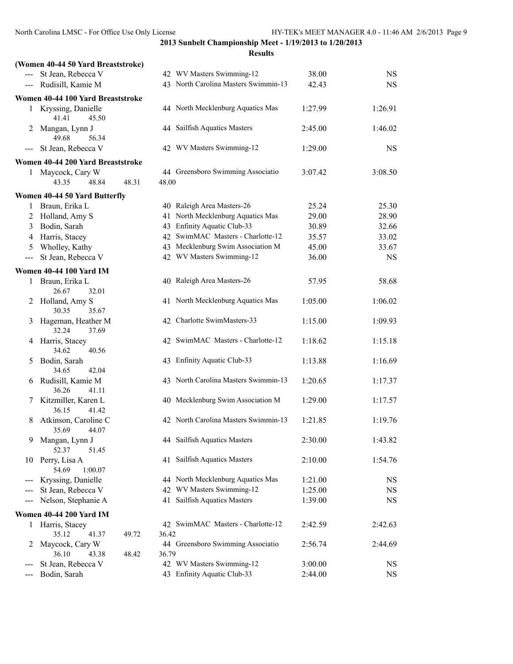**2013 Sunbelt Championship Meet - 1/19/2013 to 1/20/2013 Results**

|                                                                                                                                                                                                                                                                                                                                                                                              | (Women 40-44 50 Yard Breaststroke)     |       |       |                                      |         |           |
|----------------------------------------------------------------------------------------------------------------------------------------------------------------------------------------------------------------------------------------------------------------------------------------------------------------------------------------------------------------------------------------------|----------------------------------------|-------|-------|--------------------------------------|---------|-----------|
|                                                                                                                                                                                                                                                                                                                                                                                              | --- St Jean, Rebecca V                 |       |       | 42 WV Masters Swimming-12            | 38.00   | <b>NS</b> |
| $\qquad \qquad - -$                                                                                                                                                                                                                                                                                                                                                                          | Rudisill, Kamie M                      |       |       | 43 North Carolina Masters Swimmin-13 | 42.43   | NS        |
|                                                                                                                                                                                                                                                                                                                                                                                              | Women 40-44 100 Yard Breaststroke      |       |       |                                      |         |           |
| $\mathbf{1}$                                                                                                                                                                                                                                                                                                                                                                                 | Kryssing, Danielle<br>41.41<br>45.50   |       |       | 44 North Mecklenburg Aquatics Mas    | 1:27.99 | 1:26.91   |
| 2                                                                                                                                                                                                                                                                                                                                                                                            | Mangan, Lynn J<br>49.68<br>56.34       |       |       | 44 Sailfish Aquatics Masters         | 2:45.00 | 1:46.02   |
| ---                                                                                                                                                                                                                                                                                                                                                                                          | St Jean, Rebecca V                     |       |       | 42 WV Masters Swimming-12            | 1:29.00 | <b>NS</b> |
|                                                                                                                                                                                                                                                                                                                                                                                              | Women 40-44 200 Yard Breaststroke      |       |       |                                      |         |           |
| $\mathbf{1}$                                                                                                                                                                                                                                                                                                                                                                                 | Maycock, Cary W                        |       |       | 44 Greensboro Swimming Associatio    | 3:07.42 | 3:08.50   |
|                                                                                                                                                                                                                                                                                                                                                                                              | 43.35<br>48.84                         | 48.31 | 48.00 |                                      |         |           |
|                                                                                                                                                                                                                                                                                                                                                                                              | Women 40-44 50 Yard Butterfly          |       |       |                                      |         |           |
| 1                                                                                                                                                                                                                                                                                                                                                                                            | Braun, Erika L                         |       |       | 40 Raleigh Area Masters-26           | 25.24   | 25.30     |
| 2                                                                                                                                                                                                                                                                                                                                                                                            | Holland, Amy S                         |       |       | 41 North Mecklenburg Aquatics Mas    | 29.00   | 28.90     |
| 3                                                                                                                                                                                                                                                                                                                                                                                            | Bodin, Sarah                           |       |       | 43 Enfinity Aquatic Club-33          | 30.89   | 32.66     |
| 4                                                                                                                                                                                                                                                                                                                                                                                            | Harris, Stacey                         |       |       | 42 SwimMAC Masters - Charlotte-12    | 35.57   | 33.02     |
| 5                                                                                                                                                                                                                                                                                                                                                                                            | Wholley, Kathy                         |       |       | 43 Mecklenburg Swim Association M    | 45.00   | 33.67     |
| $\frac{1}{2} \frac{1}{2} \frac{1}{2} \frac{1}{2} \frac{1}{2} \frac{1}{2} \frac{1}{2} \frac{1}{2} \frac{1}{2} \frac{1}{2} \frac{1}{2} \frac{1}{2} \frac{1}{2} \frac{1}{2} \frac{1}{2} \frac{1}{2} \frac{1}{2} \frac{1}{2} \frac{1}{2} \frac{1}{2} \frac{1}{2} \frac{1}{2} \frac{1}{2} \frac{1}{2} \frac{1}{2} \frac{1}{2} \frac{1}{2} \frac{1}{2} \frac{1}{2} \frac{1}{2} \frac{1}{2} \frac{$ | St Jean, Rebecca V                     |       |       | 42 WV Masters Swimming-12            | 36.00   | <b>NS</b> |
|                                                                                                                                                                                                                                                                                                                                                                                              |                                        |       |       |                                      |         |           |
|                                                                                                                                                                                                                                                                                                                                                                                              | <b>Women 40-44 100 Yard IM</b>         |       |       |                                      |         |           |
| 1                                                                                                                                                                                                                                                                                                                                                                                            | Braun, Erika L                         |       |       | 40 Raleigh Area Masters-26           | 57.95   | 58.68     |
|                                                                                                                                                                                                                                                                                                                                                                                              | 26.67<br>32.01                         |       |       |                                      |         |           |
| 2                                                                                                                                                                                                                                                                                                                                                                                            | Holland, Amy S<br>30.35<br>35.67       |       |       | 41 North Mecklenburg Aquatics Mas    | 1:05.00 | 1:06.02   |
| 3                                                                                                                                                                                                                                                                                                                                                                                            | Hageman, Heather M<br>32.24<br>37.69   |       |       | 42 Charlotte SwimMasters-33          | 1:15.00 | 1:09.93   |
| 4                                                                                                                                                                                                                                                                                                                                                                                            | Harris, Stacey<br>40.56<br>34.62       |       |       | 42 SwimMAC Masters - Charlotte-12    | 1:18.62 | 1:15.18   |
| 5                                                                                                                                                                                                                                                                                                                                                                                            | Bodin, Sarah<br>34.65<br>42.04         |       |       | 43 Enfinity Aquatic Club-33          | 1:13.88 | 1:16.69   |
| 6                                                                                                                                                                                                                                                                                                                                                                                            | Rudisill, Kamie M<br>36.26<br>41.11    |       |       | 43 North Carolina Masters Swimmin-13 | 1:20.65 | 1:17.37   |
| 7                                                                                                                                                                                                                                                                                                                                                                                            | Kitzmiller, Karen L<br>36.15<br>41.42  |       |       | 40 Mecklenburg Swim Association M    | 1:29.00 | 1:17.57   |
| 8                                                                                                                                                                                                                                                                                                                                                                                            | Atkinson, Caroline C<br>35.69<br>44.07 |       |       | 42 North Carolina Masters Swimmin-13 | 1:21.85 | 1:19.76   |
| 9                                                                                                                                                                                                                                                                                                                                                                                            | Mangan, Lynn J<br>52.37<br>51.45       |       |       | 44 Sailfish Aquatics Masters         | 2:30.00 | 1:43.82   |
| 10                                                                                                                                                                                                                                                                                                                                                                                           | Perry, Lisa A<br>1:00.07<br>54.69      |       |       | 41 Sailfish Aquatics Masters         | 2:10.00 | 1:54.76   |
| $\qquad \qquad \text{---} \text{---}$                                                                                                                                                                                                                                                                                                                                                        | Kryssing, Danielle                     |       |       | 44 North Mecklenburg Aquatics Mas    | 1:21.00 | <b>NS</b> |
| ---                                                                                                                                                                                                                                                                                                                                                                                          | St Jean, Rebecca V                     |       |       | 42 WV Masters Swimming-12            | 1:25.00 | NS        |
| ---                                                                                                                                                                                                                                                                                                                                                                                          | Nelson, Stephanie A                    |       |       | 41 Sailfish Aquatics Masters         | 1:39.00 | NS        |
|                                                                                                                                                                                                                                                                                                                                                                                              |                                        |       |       |                                      |         |           |
|                                                                                                                                                                                                                                                                                                                                                                                              | <b>Women 40-44 200 Yard IM</b>         |       |       |                                      |         |           |
| 1                                                                                                                                                                                                                                                                                                                                                                                            | Harris, Stacey                         |       |       | 42 SwimMAC Masters - Charlotte-12    | 2:42.59 | 2:42.63   |
|                                                                                                                                                                                                                                                                                                                                                                                              | 35.12<br>41.37                         | 49.72 | 36.42 |                                      |         |           |
| 2                                                                                                                                                                                                                                                                                                                                                                                            | Maycock, Cary W<br>36.10<br>43.38      | 48.42 | 36.79 | 44 Greensboro Swimming Associatio    | 2:56.74 | 2:44.69   |
| ---                                                                                                                                                                                                                                                                                                                                                                                          | St Jean, Rebecca V                     |       |       | 42 WV Masters Swimming-12            | 3:00.00 | NS        |
| ---                                                                                                                                                                                                                                                                                                                                                                                          | Bodin, Sarah                           |       |       | 43 Enfinity Aquatic Club-33          | 2:44.00 | <b>NS</b> |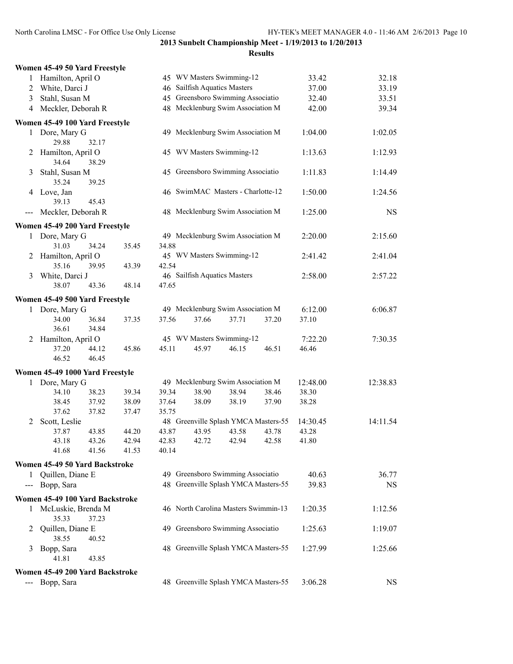|                                                                                                                                                                   | Women 45-49 50 Yard Freestyle   |                |       |       |                                      |       |       |          |           |
|-------------------------------------------------------------------------------------------------------------------------------------------------------------------|---------------------------------|----------------|-------|-------|--------------------------------------|-------|-------|----------|-----------|
| 1                                                                                                                                                                 | Hamilton, April O               |                |       |       | 45 WV Masters Swimming-12            |       |       | 33.42    | 32.18     |
| $\overline{c}$                                                                                                                                                    | White, Darci J                  |                |       |       | 46 Sailfish Aquatics Masters         |       |       | 37.00    | 33.19     |
| 3                                                                                                                                                                 | Stahl, Susan M                  |                |       |       | 45 Greensboro Swimming Associatio    |       |       | 32.40    | 33.51     |
| $\overline{4}$                                                                                                                                                    | Meckler, Deborah R              |                |       |       | 48 Mecklenburg Swim Association M    |       |       | 42.00    | 39.34     |
|                                                                                                                                                                   | Women 45-49 100 Yard Freestyle  |                |       |       |                                      |       |       |          |           |
|                                                                                                                                                                   | 1 Dore, Mary G<br>29.88         | 32.17          |       |       | 49 Mecklenburg Swim Association M    |       |       | 1:04.00  | 1:02.05   |
| 2                                                                                                                                                                 | Hamilton, April O<br>34.64      | 38.29          |       |       | 45 WV Masters Swimming-12            |       |       | 1:13.63  | 1:12.93   |
| 3                                                                                                                                                                 | Stahl, Susan M<br>35.24         | 39.25          |       |       | 45 Greensboro Swimming Associatio    |       |       | 1:11.83  | 1:14.49   |
|                                                                                                                                                                   | 4 Love, Jan<br>39.13            | 45.43          |       |       | 46 SwimMAC Masters - Charlotte-12    |       |       | 1:50.00  | 1:24.56   |
| $\hspace{0.05cm} \hspace{0.02cm} \hspace{0.02cm} \hspace{0.02cm} \hspace{0.02cm} \hspace{0.02cm} \hspace{0.02cm} \hspace{0.02cm} \hspace{0.02cm} \hspace{0.02cm}$ | Meckler, Deborah R              |                |       |       | 48 Mecklenburg Swim Association M    |       |       | 1:25.00  | <b>NS</b> |
|                                                                                                                                                                   | Women 45-49 200 Yard Freestyle  |                |       |       |                                      |       |       |          |           |
| 1                                                                                                                                                                 | Dore, Mary G                    |                |       |       | 49 Mecklenburg Swim Association M    |       |       | 2:20.00  | 2:15.60   |
|                                                                                                                                                                   | 31.03                           | 34.24          | 35.45 | 34.88 |                                      |       |       |          |           |
| 2                                                                                                                                                                 | Hamilton, April O               |                |       |       | 45 WV Masters Swimming-12            |       |       | 2:41.42  | 2:41.04   |
|                                                                                                                                                                   | 35.16                           | 39.95          | 43.39 | 42.54 |                                      |       |       |          |           |
| 3                                                                                                                                                                 | White, Darci J                  |                |       |       | 46 Sailfish Aquatics Masters         |       |       | 2:58.00  | 2:57.22   |
|                                                                                                                                                                   | 38.07                           | 43.36          | 48.14 | 47.65 |                                      |       |       |          |           |
|                                                                                                                                                                   | Women 45-49 500 Yard Freestyle  |                |       |       |                                      |       |       |          |           |
|                                                                                                                                                                   | 1 Dore, Mary G                  |                |       |       | 49 Mecklenburg Swim Association M    |       |       | 6:12.00  | 6:06.87   |
|                                                                                                                                                                   | 34.00<br>36.61                  | 36.84<br>34.84 | 37.35 | 37.56 | 37.66                                | 37.71 | 37.20 | 37.10    |           |
| 2                                                                                                                                                                 | Hamilton, April O               |                |       |       | 45 WV Masters Swimming-12            |       |       | 7:22.20  | 7:30.35   |
|                                                                                                                                                                   | 37.20                           | 44.12          | 45.86 | 45.11 | 45.97                                | 46.15 | 46.51 | 46.46    |           |
|                                                                                                                                                                   | 46.52                           | 46.45          |       |       |                                      |       |       |          |           |
|                                                                                                                                                                   | Women 45-49 1000 Yard Freestyle |                |       |       |                                      |       |       |          |           |
|                                                                                                                                                                   | 1 Dore, Mary G                  |                |       |       | 49 Mecklenburg Swim Association M    |       |       | 12:48.00 | 12:38.83  |
|                                                                                                                                                                   | 34.10                           | 38.23          | 39.34 | 39.34 | 38.90                                | 38.94 | 38.46 | 38.30    |           |
|                                                                                                                                                                   | 38.45                           | 37.92          | 38.09 | 37.64 | 38.09                                | 38.19 | 37.90 | 38.28    |           |
|                                                                                                                                                                   | 37.62                           | 37.82          | 37.47 | 35.75 |                                      |       |       |          |           |
| 2                                                                                                                                                                 | Scott, Leslie                   |                |       |       | 48 Greenville Splash YMCA Masters-55 |       |       | 14:30.45 | 14:11.54  |
|                                                                                                                                                                   | 37.87                           | 43.85          | 44.20 | 43.87 | 43.95                                | 43.58 | 43.78 | 43.28    |           |
|                                                                                                                                                                   | 43.18                           | 43.26          | 42.94 | 42.83 | 42.72                                | 42.94 | 42.58 | 41.80    |           |
|                                                                                                                                                                   | 41.68                           | 41.56          | 41.53 | 40.14 |                                      |       |       |          |           |
|                                                                                                                                                                   | Women 45-49 50 Yard Backstroke  |                |       |       |                                      |       |       |          |           |
|                                                                                                                                                                   | 1 Quillen, Diane E              |                |       |       | 49 Greensboro Swimming Associatio    |       |       | 40.63    | 36.77     |
|                                                                                                                                                                   | --- Bopp, Sara                  |                |       |       | 48 Greenville Splash YMCA Masters-55 |       |       | 39.83    | <b>NS</b> |
|                                                                                                                                                                   | Women 45-49 100 Yard Backstroke |                |       |       |                                      |       |       |          |           |
|                                                                                                                                                                   | 1 McLuskie, Brenda M            |                |       |       | 46 North Carolina Masters Swimmin-13 |       |       | 1:20.35  | 1:12.56   |
|                                                                                                                                                                   | 35.33                           | 37.23          |       |       |                                      |       |       |          |           |
| 2                                                                                                                                                                 | Quillen, Diane E<br>38.55       | 40.52          |       |       | 49 Greensboro Swimming Associatio    |       |       | 1:25.63  | 1:19.07   |
| 3                                                                                                                                                                 | Bopp, Sara                      |                |       |       | 48 Greenville Splash YMCA Masters-55 |       |       | 1:27.99  | 1:25.66   |
|                                                                                                                                                                   | 41.81                           | 43.85          |       |       |                                      |       |       |          |           |
|                                                                                                                                                                   | Women 45-49 200 Yard Backstroke |                |       |       |                                      |       |       |          |           |
| $\qquad \qquad -$                                                                                                                                                 | Bopp, Sara                      |                |       |       | 48 Greenville Splash YMCA Masters-55 |       |       | 3:06.28  | <b>NS</b> |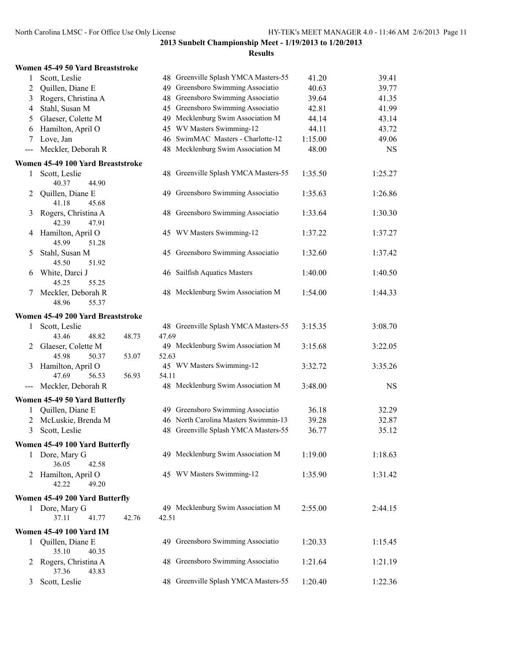|                |                                     |       |       | 2013 Sundeit Champion     |
|----------------|-------------------------------------|-------|-------|---------------------------|
|                | Women 45-49 50 Yard Breaststroke    |       |       |                           |
| 1              | Scott, Leslie                       |       |       | 48 Greenville Splash YM   |
| $\overline{c}$ | Quillen, Diane E                    |       |       | 49 Greensboro Swimming    |
| 3              | Rogers, Christina A                 |       |       | 48 Greensboro Swimming    |
| $\overline{4}$ | Stahl, Susan M                      |       |       | 45 Greensboro Swimming    |
| 5              | Glaeser, Colette M                  |       |       | 49 Mecklenburg Swim As    |
| 6              | Hamilton, April O                   |       |       | 45 WV Masters Swimmin     |
| $\tau$         | Love, Jan                           |       |       | 46 SwimMAC Masters -      |
| $---$          | Meckler, Deborah R                  |       |       | 48 Mecklenburg Swim As    |
|                | Women 45-49 100 Yard Breaststroke   |       |       |                           |
| 1              | Scott, Leslie                       |       |       | 48 Greenville Splash YM   |
|                | 40.37<br>44.90                      |       |       |                           |
| 2              | Quillen, Diane E                    |       |       | 49 Greensboro Swimming    |
|                | 41.18<br>45.68                      |       |       |                           |
| 3              | Rogers, Christina A                 |       |       | 48 Greensboro Swimming    |
|                | 42.39<br>47.91                      |       |       |                           |
| 4              | Hamilton, April O                   |       |       | 45 WV Masters Swimmir     |
|                | 45.99<br>51.28                      |       |       |                           |
| 5              | Stahl, Susan M                      |       |       | 45 Greensboro Swimming    |
|                | 45.50<br>51.92                      |       |       |                           |
| 6              | White, Darci J                      |       |       | 46 Sailfish Aquatics Mast |
|                | 45.25<br>55.25                      |       |       |                           |
| 7              | Meckler, Deborah R                  |       |       | 48 Mecklenburg Swim As    |
|                | 55.37<br>48.96                      |       |       |                           |
|                | Women 45-49 200 Yard Breaststroke   |       |       |                           |
| 1              | Scott, Leslie                       |       |       | 48 Greenville Splash YM   |
|                | 43.46<br>48.82                      | 48.73 | 47.69 |                           |
| 2              | Glaeser, Colette M                  |       |       | 49 Mecklenburg Swim As    |
|                | 45.98<br>50.37                      | 53.07 | 52.63 |                           |
| 3              | Hamilton, April O                   |       |       | 45 WV Masters Swimmir     |
|                | 47.69<br>56.53                      | 56.93 | 54.11 |                           |
|                | Meckler, Deborah R                  |       |       | 48 Mecklenburg Swim As    |
|                | Women 45-49 50 Yard Butterfly       |       |       |                           |
| 1              | Quillen, Diane E                    |       |       | 49 Greensboro Swimming    |
|                | 2 McLuskie, Brenda M                |       |       | 46 North Carolina Master  |
| 3              | Scott, Leslie                       |       |       | 48 Greenville Splash YM   |
|                |                                     |       |       |                           |
|                | Women 45-49 100 Yard Butterfly      |       |       |                           |
|                | 1 Dore, Mary G                      |       |       | 49 Mecklenburg Swim As    |
|                | 36.05<br>42.58                      |       |       |                           |
| 2              | Hamilton, April O<br>42.22<br>49.20 |       |       | 45 WV Masters Swimmir     |
|                |                                     |       |       |                           |
|                | Women 45-49 200 Yard Butterfly      |       |       |                           |
| 1              | Dore, Mary G                        |       |       | 49 Mecklenburg Swim As    |
|                | 37.11<br>41.77                      | 42.76 | 42.51 |                           |
|                | <b>Women 45-49 100 Yard IM</b>      |       |       |                           |
| 1              | Quillen, Diane E                    |       |       | 49 Greensboro Swimming    |
|                | 35.10<br>40.35                      |       |       |                           |
| 2              | Rogers, Christina A                 |       |       | 48 Greensboro Swimming    |
|                | 37.36<br>43.83                      |       |       |                           |
|                |                                     |       |       | 48 Greenville Splash YM   |

| 1            | Scott, Leslie                                     |                | 48 Greenville Splash YMCA Masters-55 | 41.20   | 39.41     |
|--------------|---------------------------------------------------|----------------|--------------------------------------|---------|-----------|
| 2            | Quillen, Diane E                                  |                | 49 Greensboro Swimming Associatio    | 40.63   | 39.77     |
| 3            | Rogers, Christina A                               |                | 48 Greensboro Swimming Associatio    | 39.64   | 41.35     |
| 4            | Stahl, Susan M                                    |                | 45 Greensboro Swimming Associatio    | 42.81   | 41.99     |
| 5            | Glaeser, Colette M                                |                | 49 Mecklenburg Swim Association M    | 44.14   | 43.14     |
| 6            | Hamilton, April O                                 |                | 45 WV Masters Swimming-12            | 44.11   | 43.72     |
| 7            | Love, Jan                                         |                | 46 SwimMAC Masters - Charlotte-12    | 1:15.00 | 49.06     |
| ---          | Meckler, Deborah R                                |                | 48 Mecklenburg Swim Association M    | 48.00   | NS        |
|              | omen 45-49 100 Yard Breaststroke                  |                |                                      |         |           |
| $\mathbf{1}$ | Scott, Leslie                                     |                | 48 Greenville Splash YMCA Masters-55 | 1:35.50 | 1:25.27   |
|              | 44.90<br>40.37                                    |                |                                      |         |           |
| 2            | Quillen, Diane E                                  |                | 49 Greensboro Swimming Associatio    | 1:35.63 | 1:26.86   |
|              | 41.18<br>45.68                                    |                |                                      |         |           |
| 3            | Rogers, Christina A                               |                | 48 Greensboro Swimming Associatio    | 1:33.64 | 1:30.30   |
|              | 42.39<br>47.91                                    |                |                                      |         |           |
| 4            | Hamilton, April O                                 |                | 45 WV Masters Swimming-12            | 1:37.22 | 1:37.27   |
|              | 45.99<br>51.28                                    |                |                                      |         |           |
| 5            | Stahl, Susan M                                    |                | 45 Greensboro Swimming Associatio    | 1:32.60 | 1:37.42   |
|              | 45.50<br>51.92<br>White, Darci J                  |                | 46 Sailfish Aquatics Masters         | 1:40.00 | 1:40.50   |
| 6            | 55.25<br>45.25                                    |                |                                      |         |           |
| 7            | Meckler, Deborah R                                |                | 48 Mecklenburg Swim Association M    | 1:54.00 | 1:44.33   |
|              | 48.96<br>55.37                                    |                |                                      |         |           |
|              |                                                   |                |                                      |         |           |
|              | omen 45-49 200 Yard Breaststroke<br>Scott, Leslie |                | 48 Greenville Splash YMCA Masters-55 | 3:15.35 | 3:08.70   |
| $\mathbf{1}$ | 43.46<br>48.82                                    | 48.73<br>47.69 |                                      |         |           |
| 2            | Glaeser, Colette M                                |                | 49 Mecklenburg Swim Association M    | 3:15.68 | 3:22.05   |
|              | 45.98<br>50.37                                    | 53.07<br>52.63 |                                      |         |           |
| 3            | Hamilton, April O                                 |                | 45 WV Masters Swimming-12            | 3:32.72 | 3:35.26   |
|              | 47.69<br>56.53                                    | 56.93<br>54.11 |                                      |         |           |
| ---          | Meckler, Deborah R                                |                | 48 Mecklenburg Swim Association M    | 3:48.00 | <b>NS</b> |
|              | omen 45-49 50 Yard Butterfly                      |                |                                      |         |           |
| 1            | Quillen, Diane E                                  |                | 49 Greensboro Swimming Associatio    | 36.18   | 32.29     |
| 2            | McLuskie, Brenda M                                |                | 46 North Carolina Masters Swimmin-13 | 39.28   | 32.87     |
| 3            | Scott, Leslie                                     |                | 48 Greenville Splash YMCA Masters-55 | 36.77   | 35.12     |
|              |                                                   |                |                                      |         |           |
|              | omen 45-49 100 Yard Butterfly                     |                |                                      |         |           |
|              | 1 Dore, Mary G                                    |                | 49 Mecklenburg Swim Association M    | 1:19.00 | 1:18.63   |
|              | 36.05<br>42.58                                    |                | 45 WV Masters Swimming-12            | 1:35.90 |           |
|              | 2 Hamilton, April O<br>42.22<br>49.20             |                |                                      |         | 1:31.42   |
|              |                                                   |                |                                      |         |           |
|              | men 45-49 200 Yard Butterfly                      |                |                                      |         |           |
|              | 1 Dore, Mary G                                    |                | 49 Mecklenburg Swim Association M    | 2:55.00 | 2:44.15   |
|              | 37.11<br>41.77                                    | 42.76<br>42.51 |                                      |         |           |
|              | omen 45-49 100 Yard IM                            |                |                                      |         |           |
| 1            | Quillen, Diane E                                  |                | 49 Greensboro Swimming Associatio    | 1:20.33 | 1:15.45   |
|              | 35.10<br>40.35                                    |                |                                      |         |           |
| 2            | Rogers, Christina A                               |                | 48 Greensboro Swimming Associatio    | 1:21.64 | 1:21.19   |
|              | 37.36<br>43.83                                    |                | 48 Greenville Splash YMCA Masters-55 | 1:20.40 |           |
| 3            | Scott, Leslie                                     |                |                                      |         | 1:22.36   |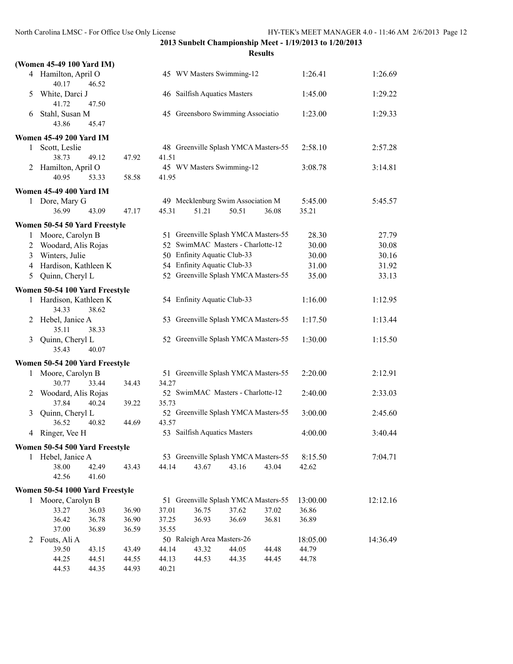|   | (Women 45-49 100 Yard IM)                |       |       |                              |                                      |       |          |          |
|---|------------------------------------------|-------|-------|------------------------------|--------------------------------------|-------|----------|----------|
|   | 4 Hamilton, April O<br>40.17<br>46.52    |       |       |                              | 45 WV Masters Swimming-12            |       | 1:26.41  | 1:26.69  |
| 5 | White, Darci J<br>41.72<br>47.50         |       |       | 46 Sailfish Aquatics Masters |                                      |       | 1:45.00  | 1:29.22  |
| 6 | Stahl, Susan M<br>43.86<br>45.47         |       |       |                              | 45 Greensboro Swimming Associatio    |       | 1:23.00  | 1:29.33  |
|   | <b>Women 45-49 200 Yard IM</b>           |       |       |                              |                                      |       |          |          |
| 1 | Scott, Leslie                            |       |       |                              | 48 Greenville Splash YMCA Masters-55 |       | 2:58.10  | 2:57.28  |
|   | 38.73<br>49.12                           | 47.92 | 41.51 |                              |                                      |       |          |          |
|   | 2 Hamilton, April O                      |       |       |                              | 45 WV Masters Swimming-12            |       | 3:08.78  | 3:14.81  |
|   | 40.95<br>53.33                           | 58.58 | 41.95 |                              |                                      |       |          |          |
|   | <b>Women 45-49 400 Yard IM</b>           |       |       |                              |                                      |       |          |          |
|   | 1 Dore, Mary G                           |       |       |                              | 49 Mecklenburg Swim Association M    |       | 5:45.00  | 5:45.57  |
|   | 36.99<br>43.09                           | 47.17 | 45.31 | 51.21                        | 50.51                                | 36.08 | 35.21    |          |
|   | Women 50-54 50 Yard Freestyle            |       |       |                              |                                      |       |          |          |
| 1 | Moore, Carolyn B                         |       |       |                              | 51 Greenville Splash YMCA Masters-55 |       | 28.30    | 27.79    |
| 2 | Woodard, Alis Rojas                      |       |       |                              | 52 SwimMAC Masters - Charlotte-12    |       | 30.00    | 30.08    |
| 3 | Winters, Julie                           |       |       | 50 Enfinity Aquatic Club-33  |                                      |       | 30.00    | 30.16    |
| 4 | Hardison, Kathleen K                     |       |       | 54 Enfinity Aquatic Club-33  |                                      |       | 31.00    | 31.92    |
| 5 | Quinn, Cheryl L                          |       |       |                              | 52 Greenville Splash YMCA Masters-55 |       | 35.00    | 33.13    |
|   | Women 50-54 100 Yard Freestyle           |       |       |                              |                                      |       |          |          |
|   | 1 Hardison, Kathleen K<br>34.33<br>38.62 |       |       | 54 Enfinity Aquatic Club-33  |                                      |       | 1:16.00  | 1:12.95  |
|   | 2 Hebel, Janice A<br>35.11<br>38.33      |       |       |                              | 53 Greenville Splash YMCA Masters-55 |       | 1:17.50  | 1:13.44  |
| 3 | Quinn, Cheryl L<br>35.43<br>40.07        |       |       |                              | 52 Greenville Splash YMCA Masters-55 |       | 1:30.00  | 1:15.50  |
|   | Women 50-54 200 Yard Freestyle           |       |       |                              |                                      |       |          |          |
| 1 | Moore, Carolyn B                         |       |       |                              | 51 Greenville Splash YMCA Masters-55 |       | 2:20.00  | 2:12.91  |
|   | 30.77<br>33.44                           | 34.43 | 34.27 |                              |                                      |       |          |          |
| 2 | Woodard, Alis Rojas                      |       |       |                              | 52 SwimMAC Masters - Charlotte-12    |       | 2:40.00  | 2:33.03  |
|   | 37.84<br>40.24                           | 39.22 | 35.73 |                              |                                      |       |          |          |
| 3 | Quinn, Cheryl L                          |       |       |                              | 52 Greenville Splash YMCA Masters-55 |       | 3:00.00  | 2:45.60  |
|   | 36.52<br>40.82                           | 44.69 | 43.57 |                              |                                      |       |          |          |
| 4 | Ringer, Vee H                            |       |       | 53 Sailfish Aquatics Masters |                                      |       | 4:00.00  | 3:40.44  |
|   | Women 50-54 500 Yard Freestyle           |       |       |                              |                                      |       |          |          |
|   | 1 Hebel, Janice A                        |       |       |                              | 53 Greenville Splash YMCA Masters-55 |       | 8:15.50  | 7:04.71  |
|   | 38.00<br>42.49                           | 43.43 | 44.14 | 43.67                        | 43.16                                | 43.04 | 42.62    |          |
|   | 42.56<br>41.60                           |       |       |                              |                                      |       |          |          |
|   | Women 50-54 1000 Yard Freestyle          |       |       |                              |                                      |       |          |          |
|   | 1 Moore, Carolyn B                       |       |       |                              | 51 Greenville Splash YMCA Masters-55 |       | 13:00.00 | 12:12.16 |
|   | 36.03<br>33.27                           | 36.90 | 37.01 | 36.75                        | 37.62                                | 37.02 | 36.86    |          |
|   | 36.78<br>36.42                           | 36.90 | 37.25 | 36.93                        | 36.69                                | 36.81 | 36.89    |          |
|   | 37.00<br>36.89                           | 36.59 | 35.55 |                              |                                      |       |          |          |
| 2 | Fouts, Ali A                             |       |       | 50 Raleigh Area Masters-26   |                                      |       | 18:05.00 | 14:36.49 |
|   | 39.50<br>43.15                           | 43.49 | 44.14 | 43.32                        | 44.05                                | 44.48 | 44.79    |          |
|   | 44.25<br>44.51                           | 44.55 | 44.13 | 44.53                        | 44.35                                | 44.45 | 44.78    |          |
|   | 44.53<br>44.35                           | 44.93 | 40.21 |                              |                                      |       |          |          |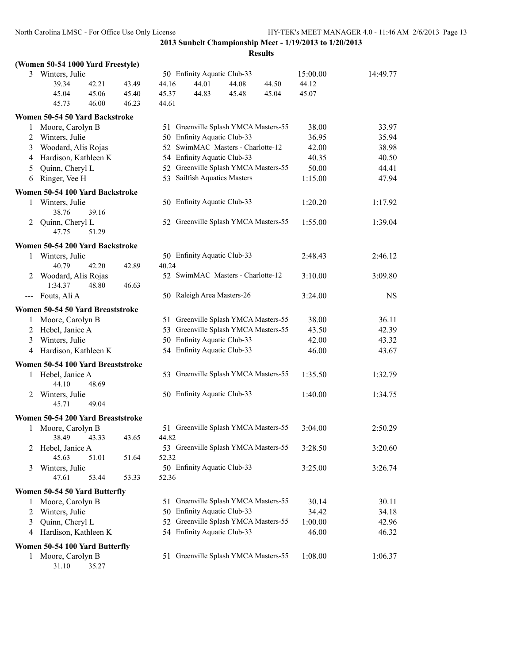**Results**

|                     | (Women 50-54 1000 Yard Freestyle) |       |       |                              |                                      |       |          |           |
|---------------------|-----------------------------------|-------|-------|------------------------------|--------------------------------------|-------|----------|-----------|
|                     | 3 Winters, Julie                  |       |       | 50 Enfinity Aquatic Club-33  |                                      |       | 15:00.00 | 14:49.77  |
|                     | 42.21<br>39.34                    | 43.49 | 44.16 | 44.01                        | 44.08                                | 44.50 | 44.12    |           |
|                     | 45.06<br>45.04                    | 45.40 | 45.37 | 44.83                        | 45.48                                | 45.04 | 45.07    |           |
|                     | 45.73<br>46.00                    | 46.23 | 44.61 |                              |                                      |       |          |           |
|                     | Women 50-54 50 Yard Backstroke    |       |       |                              |                                      |       |          |           |
| 1                   | Moore, Carolyn B                  |       |       |                              | 51 Greenville Splash YMCA Masters-55 |       | 38.00    | 33.97     |
| 2                   | Winters, Julie                    |       |       | 50 Enfinity Aquatic Club-33  |                                      |       | 36.95    | 35.94     |
| 3                   | Woodard, Alis Rojas               |       |       |                              | 52 SwimMAC Masters - Charlotte-12    |       | 42.00    | 38.98     |
| 4                   | Hardison, Kathleen K              |       |       | 54 Enfinity Aquatic Club-33  |                                      |       | 40.35    | 40.50     |
| 5                   | Quinn, Cheryl L                   |       |       |                              | 52 Greenville Splash YMCA Masters-55 |       | 50.00    | 44.41     |
| 6                   | Ringer, Vee H                     |       |       | 53 Sailfish Aquatics Masters |                                      |       | 1:15.00  | 47.94     |
|                     | Women 50-54 100 Yard Backstroke   |       |       |                              |                                      |       |          |           |
| 1                   | Winters, Julie                    |       |       | 50 Enfinity Aquatic Club-33  |                                      |       | 1:20.20  | 1:17.92   |
|                     | 38.76<br>39.16                    |       |       |                              |                                      |       |          |           |
| 2                   | Quinn, Cheryl L                   |       |       |                              | 52 Greenville Splash YMCA Masters-55 |       | 1:55.00  | 1:39.04   |
|                     | 47.75<br>51.29                    |       |       |                              |                                      |       |          |           |
|                     |                                   |       |       |                              |                                      |       |          |           |
|                     | Women 50-54 200 Yard Backstroke   |       |       |                              |                                      |       |          |           |
| 1                   | Winters, Julie<br>42.20<br>40.79  | 42.89 | 40.24 | 50 Enfinity Aquatic Club-33  |                                      |       | 2:48.43  | 2:46.12   |
| 2                   | Woodard, Alis Rojas               |       |       |                              | 52 SwimMAC Masters - Charlotte-12    |       | 3:10.00  | 3:09.80   |
|                     | 1:34.37<br>48.80                  | 46.63 |       |                              |                                      |       |          |           |
| $\qquad \qquad - -$ | Fouts, Ali A                      |       |       | 50 Raleigh Area Masters-26   |                                      |       | 3:24.00  | <b>NS</b> |
|                     |                                   |       |       |                              |                                      |       |          |           |
|                     | Women 50-54 50 Yard Breaststroke  |       |       |                              |                                      |       |          |           |
| 1                   | Moore, Carolyn B                  |       |       |                              | 51 Greenville Splash YMCA Masters-55 |       | 38.00    | 36.11     |
|                     | 2 Hebel, Janice A                 |       |       |                              | 53 Greenville Splash YMCA Masters-55 |       | 43.50    | 42.39     |
| 3                   | Winters, Julie                    |       |       | 50 Enfinity Aquatic Club-33  |                                      |       | 42.00    | 43.32     |
| 4                   | Hardison, Kathleen K              |       |       | 54 Enfinity Aquatic Club-33  |                                      |       | 46.00    | 43.67     |
|                     | Women 50-54 100 Yard Breaststroke |       |       |                              |                                      |       |          |           |
| 1                   | Hebel, Janice A                   |       |       |                              | 53 Greenville Splash YMCA Masters-55 |       | 1:35.50  | 1:32.79   |
|                     | 44.10<br>48.69                    |       |       |                              |                                      |       |          |           |
| 2                   | Winters, Julie                    |       |       | 50 Enfinity Aquatic Club-33  |                                      |       | 1:40.00  | 1:34.75   |
|                     | 45.71<br>49.04                    |       |       |                              |                                      |       |          |           |
|                     | Women 50-54 200 Yard Breaststroke |       |       |                              |                                      |       |          |           |
| 1                   | Moore, Carolyn B                  |       |       |                              | 51 Greenville Splash YMCA Masters-55 |       | 3:04.00  | 2:50.29   |
|                     | 38.49 43.33                       | 43.65 | 44.82 |                              |                                      |       |          |           |
|                     | Hebel, Janice A                   |       |       |                              | 53 Greenville Splash YMCA Masters-55 |       | 3:28.50  | 3:20.60   |
|                     | 45.63<br>51.01                    | 51.64 | 52.32 |                              |                                      |       |          |           |
| 3                   | Winters, Julie                    |       |       | 50 Enfinity Aquatic Club-33  |                                      |       | 3:25.00  | 3:26.74   |
|                     | 47.61<br>53.44                    | 53.33 | 52.36 |                              |                                      |       |          |           |
|                     |                                   |       |       |                              |                                      |       |          |           |
|                     | Women 50-54 50 Yard Butterfly     |       |       |                              | 51 Greenville Splash YMCA Masters-55 |       | 30.14    |           |
| 1                   | Moore, Carolyn B                  |       |       | 50 Enfinity Aquatic Club-33  |                                      |       |          | 30.11     |
| 2                   | Winters, Julie                    |       |       |                              | 52 Greenville Splash YMCA Masters-55 |       | 34.42    | 34.18     |
| 3                   | Quinn, Cheryl L                   |       |       | 54 Enfinity Aquatic Club-33  |                                      |       | 1:00.00  | 42.96     |
| 4                   | Hardison, Kathleen K              |       |       |                              |                                      |       | 46.00    | 46.32     |
|                     | Women 50-54 100 Yard Butterfly    |       |       |                              |                                      |       |          |           |
| 1                   | Moore, Carolyn B                  |       |       |                              | 51 Greenville Splash YMCA Masters-55 |       | 1:08.00  | 1:06.37   |

31.10 35.27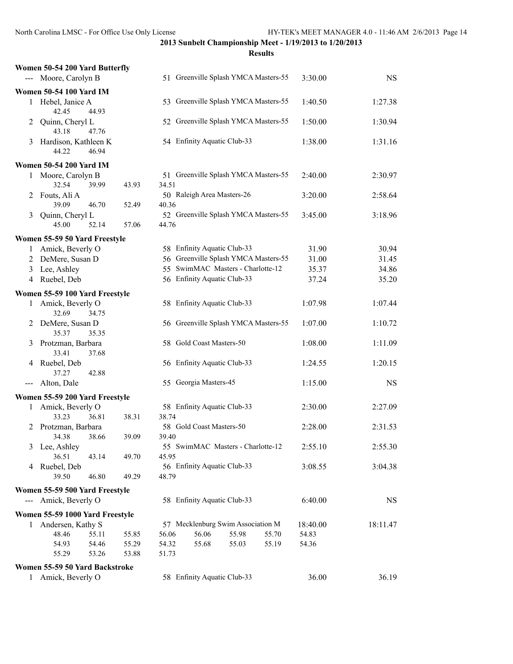|       | Women 50-54 200 Yard Butterfly  |       |       |       |                                      |       |       |          |           |
|-------|---------------------------------|-------|-------|-------|--------------------------------------|-------|-------|----------|-----------|
|       | --- Moore, Carolyn B            |       |       |       | 51 Greenville Splash YMCA Masters-55 |       |       | 3:30.00  | <b>NS</b> |
|       | <b>Women 50-54 100 Yard IM</b>  |       |       |       |                                      |       |       |          |           |
|       | 1 Hebel, Janice A<br>42.45      | 44.93 |       |       | 53 Greenville Splash YMCA Masters-55 |       |       | 1:40.50  | 1:27.38   |
| 2     | Quinn, Cheryl L<br>43.18        | 47.76 |       |       | 52 Greenville Splash YMCA Masters-55 |       |       | 1:50.00  | 1:30.94   |
| 3     | Hardison, Kathleen K<br>44.22   | 46.94 |       |       | 54 Enfinity Aquatic Club-33          |       |       | 1:38.00  | 1:31.16   |
|       | <b>Women 50-54 200 Yard IM</b>  |       |       |       |                                      |       |       |          |           |
| 1     | Moore, Carolyn B                |       |       |       | 51 Greenville Splash YMCA Masters-55 |       |       | 2:40.00  | 2:30.97   |
|       | 32.54                           | 39.99 | 43.93 | 34.51 |                                      |       |       |          |           |
| 2     | Fouts, Ali A                    |       |       |       | 50 Raleigh Area Masters-26           |       |       | 3:20.00  | 2:58.64   |
|       | 39.09                           | 46.70 | 52.49 | 40.36 |                                      |       |       |          |           |
| 3     | Quinn, Cheryl L                 |       |       |       | 52 Greenville Splash YMCA Masters-55 |       |       | 3:45.00  | 3:18.96   |
|       | 45.00                           | 52.14 | 57.06 | 44.76 |                                      |       |       |          |           |
|       | Women 55-59 50 Yard Freestyle   |       |       |       |                                      |       |       |          |           |
|       | 1 Amick, Beverly O              |       |       |       | 58 Enfinity Aquatic Club-33          |       |       | 31.90    | 30.94     |
|       | 2 DeMere, Susan D               |       |       |       | 56 Greenville Splash YMCA Masters-55 |       |       | 31.00    | 31.45     |
| 3     | Lee, Ashley                     |       |       |       | 55 SwimMAC Masters - Charlotte-12    |       |       | 35.37    | 34.86     |
| 4     | Ruebel, Deb                     |       |       |       | 56 Enfinity Aquatic Club-33          |       |       | 37.24    | 35.20     |
|       | Women 55-59 100 Yard Freestyle  |       |       |       |                                      |       |       |          |           |
| 1     | Amick, Beverly O<br>32.69       | 34.75 |       |       | 58 Enfinity Aquatic Club-33          |       |       | 1:07.98  | 1:07.44   |
| 2     | DeMere, Susan D<br>35.37        | 35.35 |       |       | 56 Greenville Splash YMCA Masters-55 |       |       | 1:07.00  | 1:10.72   |
| 3     | Protzman, Barbara<br>33.41      | 37.68 |       |       | 58 Gold Coast Masters-50             |       |       | 1:08.00  | 1:11.09   |
| 4     | Ruebel, Deb<br>37.27            | 42.88 |       |       | 56 Enfinity Aquatic Club-33          |       |       | 1:24.55  | 1:20.15   |
| $---$ | Alton, Dale                     |       |       |       | 55 Georgia Masters-45                |       |       | 1:15.00  | <b>NS</b> |
|       | Women 55-59 200 Yard Freestyle  |       |       |       |                                      |       |       |          |           |
| 1     | Amick, Beverly O                |       |       |       | 58 Enfinity Aquatic Club-33          |       |       | 2:30.00  | 2:27.09   |
|       | 33.23                           | 36.81 | 38.31 | 38.74 |                                      |       |       |          |           |
| 2     | Protzman, Barbara               |       |       |       | 58 Gold Coast Masters-50             |       |       | 2:28.00  | 2:31.53   |
|       | 34.38                           | 38.66 | 39.09 | 39.40 |                                      |       |       |          |           |
| 3     | Lee, Ashley<br>36.51            |       |       | 45.95 | 55 SwimMAC Masters - Charlotte-12    |       |       | 2:55.10  | 2:55.30   |
| 4     | Ruebel, Deb                     | 43.14 | 49.70 |       | 56 Enfinity Aquatic Club-33          |       |       | 3:08.55  | 3:04.38   |
|       | 39.50                           | 46.80 | 49.29 | 48.79 |                                      |       |       |          |           |
|       | Women 55-59 500 Yard Freestyle  |       |       |       |                                      |       |       |          |           |
|       | --- Amick, Beverly O            |       |       |       | 58 Enfinity Aquatic Club-33          |       |       | 6:40.00  | <b>NS</b> |
|       | Women 55-59 1000 Yard Freestyle |       |       |       |                                      |       |       |          |           |
| 1     | Andersen, Kathy S               |       |       |       | 57 Mecklenburg Swim Association M    |       |       | 18:40.00 | 18:11.47  |
|       | 48.46                           | 55.11 | 55.85 | 56.06 | 56.06                                | 55.98 | 55.70 | 54.83    |           |
|       | 54.93                           | 54.46 | 55.29 | 54.32 | 55.68                                | 55.03 | 55.19 | 54.36    |           |
|       | 55.29                           | 53.26 | 53.88 | 51.73 |                                      |       |       |          |           |
|       | Women 55-59 50 Yard Backstroke  |       |       |       |                                      |       |       |          |           |
| 1     | Amick, Beverly O                |       |       |       | 58 Enfinity Aquatic Club-33          |       |       | 36.00    | 36.19     |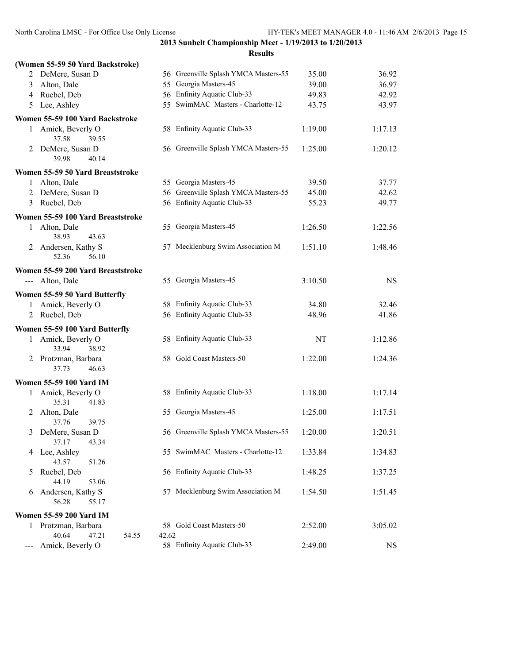|                            | (Women 55-59 50 Yard Backstroke)      |                                                 |           |
|----------------------------|---------------------------------------|-------------------------------------------------|-----------|
|                            | 2 DeMere, Susan D                     | 56 Greenville Splash YMCA Masters-55<br>35.00   | 36.92     |
| 3                          | Alton, Dale                           | 55 Georgia Masters-45<br>39.00                  | 36.97     |
|                            | 4 Ruebel, Deb                         | 56 Enfinity Aquatic Club-33<br>49.83            | 42.92     |
| 5                          | Lee, Ashley                           | 55 SwimMAC Masters - Charlotte-12<br>43.75      | 43.97     |
|                            | Women 55-59 100 Yard Backstroke       |                                                 |           |
|                            | 1 Amick, Beverly O<br>37.58<br>39.55  | 58 Enfinity Aquatic Club-33<br>1:19.00          | 1:17.13   |
|                            | 2 DeMere, Susan D<br>39.98<br>40.14   | 56 Greenville Splash YMCA Masters-55<br>1:25.00 | 1:20.12   |
|                            | Women 55-59 50 Yard Breaststroke      |                                                 |           |
| 1                          | Alton, Dale                           | 55 Georgia Masters-45<br>39.50                  | 37.77     |
|                            | 2 DeMere, Susan D                     | 56 Greenville Splash YMCA Masters-55<br>45.00   | 42.62     |
| 3                          | Ruebel, Deb                           | 56 Enfinity Aquatic Club-33<br>55.23            | 49.77     |
|                            | Women 55-59 100 Yard Breaststroke     |                                                 |           |
| 1                          | Alton, Dale<br>38.93<br>43.63         | 55 Georgia Masters-45<br>1:26.50                | 1:22.56   |
| 2                          | Andersen, Kathy S<br>52.36<br>56.10   | 57 Mecklenburg Swim Association M<br>1:51.10    | 1:48.46   |
|                            | Women 55-59 200 Yard Breaststroke     |                                                 |           |
|                            | --- Alton, Dale                       | 55 Georgia Masters-45<br>3:10.50                | <b>NS</b> |
|                            | Women 55-59 50 Yard Butterfly         |                                                 |           |
|                            | 1 Amick, Beverly O                    | 58 Enfinity Aquatic Club-33<br>34.80            | 32.46     |
|                            | 2 Ruebel, Deb                         | 56 Enfinity Aquatic Club-33<br>48.96            | 41.86     |
|                            | Women 55-59 100 Yard Butterfly        |                                                 |           |
| $\mathbf{1}$               | Amick, Beverly O<br>33.94<br>38.92    | 58 Enfinity Aquatic Club-33<br>NT               | 1:12.86   |
|                            | 2 Protzman, Barbara<br>37.73<br>46.63 | 58 Gold Coast Masters-50<br>1:22.00             | 1:24.36   |
|                            | <b>Women 55-59 100 Yard IM</b>        |                                                 |           |
| 1                          | Amick, Beverly O                      | 58 Enfinity Aquatic Club-33<br>1:18.00          | 1:17.14   |
|                            | 35.31<br>41.83                        |                                                 |           |
| 2                          | Alton, Dale                           | 55 Georgia Masters-45<br>1:25.00                | 1:17.51   |
|                            | 37.76<br>39.75                        |                                                 |           |
| 3                          | DeMere, Susan D<br>37.17<br>43.34     | 56 Greenville Splash YMCA Masters-55<br>1:20.00 | 1:20.51   |
| 4                          | Lee, Ashley<br>43.57<br>51.26         | 55 SwimMAC Masters - Charlotte-12<br>1:33.84    | 1:34.83   |
| 5                          | Ruebel, Deb<br>44.19<br>53.06         | 56 Enfinity Aquatic Club-33<br>1:48.25          | 1:37.25   |
| 6                          | Andersen, Kathy S<br>56.28<br>55.17   | 57 Mecklenburg Swim Association M<br>1:54.50    | 1:51.45   |
|                            | <b>Women 55-59 200 Yard IM</b>        |                                                 |           |
| 1                          | Protzman, Barbara                     | 58 Gold Coast Masters-50<br>2:52.00             | 3:05.02   |
|                            | 40.64<br>47.21<br>54.55               | 42.62                                           |           |
| $\qquad \qquad - \qquad -$ | Amick, Beverly O                      | 58 Enfinity Aquatic Club-33<br>2:49.00          | <b>NS</b> |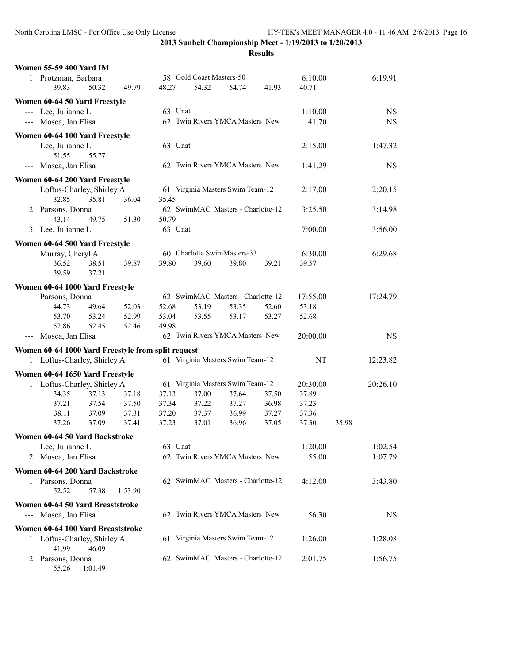55.26 1:01.49

|                                     | <b>Women 55-59 400 Yard IM</b>                     |       |         |         |                                   |       |         |          |           |           |
|-------------------------------------|----------------------------------------------------|-------|---------|---------|-----------------------------------|-------|---------|----------|-----------|-----------|
|                                     | 1 Protzman, Barbara                                |       |         |         | 58 Gold Coast Masters-50          |       |         | 6:10.00  |           | 6:19.91   |
|                                     | 39.83                                              | 50.32 | 49.79   | 48.27   | 54.32                             | 54.74 | 41.93   | 40.71    |           |           |
|                                     | Women 60-64 50 Yard Freestyle                      |       |         |         |                                   |       |         |          |           |           |
|                                     | --- Lee, Julianne L                                |       |         | 63 Unat |                                   |       | 1:10.00 |          | <b>NS</b> |           |
|                                     | --- Mosca, Jan Elisa                               |       |         |         | 62 Twin Rivers YMCA Masters New   |       |         | 41.70    |           | <b>NS</b> |
|                                     | Women 60-64 100 Yard Freestyle                     |       |         |         |                                   |       |         |          |           |           |
| 1 Lee, Julianne L<br>51.55<br>55.77 |                                                    |       |         | 63 Unat |                                   |       |         | 2:15.00  |           | 1:47.32   |
|                                     | --- Mosca, Jan Elisa                               |       |         |         | 62 Twin Rivers YMCA Masters New   |       |         | 1:41.29  |           | <b>NS</b> |
|                                     | Women 60-64 200 Yard Freestyle                     |       |         |         |                                   |       |         |          |           |           |
|                                     | 1 Loftus-Charley, Shirley A                        |       |         |         | 61 Virginia Masters Swim Team-12  |       |         | 2:17.00  |           | 2:20.15   |
|                                     | 32.85                                              | 35.81 | 36.04   | 35.45   |                                   |       |         |          |           |           |
|                                     | 2 Parsons, Donna                                   |       |         |         | 62 SwimMAC Masters - Charlotte-12 |       |         | 3:25.50  |           | 3:14.98   |
|                                     | 43.14                                              | 49.75 | 51.30   | 50.79   |                                   |       |         |          |           |           |
|                                     | 3 Lee, Julianne L                                  |       |         | 63 Unat |                                   |       |         | 7:00.00  |           | 3:56.00   |
|                                     | Women 60-64 500 Yard Freestyle                     |       |         |         |                                   |       |         |          |           |           |
| 1                                   | Murray, Cheryl A                                   |       |         |         | 60 Charlotte SwimMasters-33       |       |         | 6:30.00  |           | 6:29.68   |
|                                     | 36.52                                              | 38.51 | 39.87   | 39.80   | 39.60                             | 39.80 | 39.21   | 39.57    |           |           |
|                                     | 39.59                                              | 37.21 |         |         |                                   |       |         |          |           |           |
|                                     | Women 60-64 1000 Yard Freestyle                    |       |         |         |                                   |       |         |          |           |           |
|                                     | 1 Parsons, Donna                                   |       |         |         | 62 SwimMAC Masters - Charlotte-12 |       |         | 17:55.00 |           | 17:24.79  |
|                                     | 44.73                                              | 49.64 | 52.03   | 52.68   | 53.19                             | 53.35 | 52.60   | 53.18    |           |           |
|                                     | 53.70                                              | 53.24 | 52.99   | 53.04   | 53.55                             | 53.17 | 53.27   | 52.68    |           |           |
|                                     | 52.86                                              | 52.45 | 52.46   | 49.98   |                                   |       |         |          |           |           |
|                                     | --- Mosca, Jan Elisa                               |       |         |         | 62 Twin Rivers YMCA Masters New   |       |         | 20:00.00 |           | <b>NS</b> |
|                                     | Women 60-64 1000 Yard Freestyle from split request |       |         |         |                                   |       |         |          |           |           |
|                                     | 1 Loftus-Charley, Shirley A                        |       |         |         | 61 Virginia Masters Swim Team-12  |       |         | NT       |           | 12:23.82  |
|                                     | Women 60-64 1650 Yard Freestyle                    |       |         |         |                                   |       |         |          |           |           |
|                                     | 1 Loftus-Charley, Shirley A                        |       |         |         | 61 Virginia Masters Swim Team-12  |       |         | 20:30.00 |           | 20:26.10  |
|                                     | 34.35                                              | 37.13 | 37.18   | 37.13   | 37.00                             | 37.64 | 37.50   | 37.89    |           |           |
|                                     | 37.21                                              | 37.54 | 37.50   | 37.34   | 37.22                             | 37.27 | 36.98   | 37.23    |           |           |
|                                     | 38.11                                              | 37.09 | 37.31   | 37.20   | 37.37                             | 36.99 | 37.27   | 37.36    |           |           |
|                                     | 37.26                                              | 37.09 | 37.41   | 37.23   | 37.01                             | 36.96 | 37.05   | 37.30    | 35.98     |           |
|                                     | Women 60-64 50 Yard Backstroke                     |       |         |         |                                   |       |         |          |           |           |
|                                     | 1 Lee, Julianne L                                  |       |         | 63 Unat |                                   |       |         | 1:20.00  |           | 1:02.54   |
|                                     | 2 Mosca, Jan Elisa                                 |       |         |         | 62 Twin Rivers YMCA Masters New   |       |         | 55.00    |           | 1:07.79   |
|                                     | Women 60-64 200 Yard Backstroke                    |       |         |         |                                   |       |         |          |           |           |
|                                     | 1 Parsons, Donna<br>52.52                          | 57.38 | 1:53.90 |         | 62 SwimMAC Masters - Charlotte-12 |       |         | 4:12.00  |           | 3:43.80   |
|                                     | Women 60-64 50 Yard Breaststroke                   |       |         |         |                                   |       |         |          |           |           |
|                                     | --- Mosca, Jan Elisa                               |       |         |         | 62 Twin Rivers YMCA Masters New   |       |         | 56.30    |           | <b>NS</b> |
|                                     | Women 60-64 100 Yard Breaststroke                  |       |         |         |                                   |       |         |          |           |           |
|                                     | 1 Loftus-Charley, Shirley A<br>41.99               | 46.09 |         |         | 61 Virginia Masters Swim Team-12  |       |         | 1:26.00  |           | 1:28.08   |
|                                     | 2 Parsons, Donna                                   |       |         |         | 62 SwimMAC Masters - Charlotte-12 |       |         | 2:01.75  |           | 1:56.75   |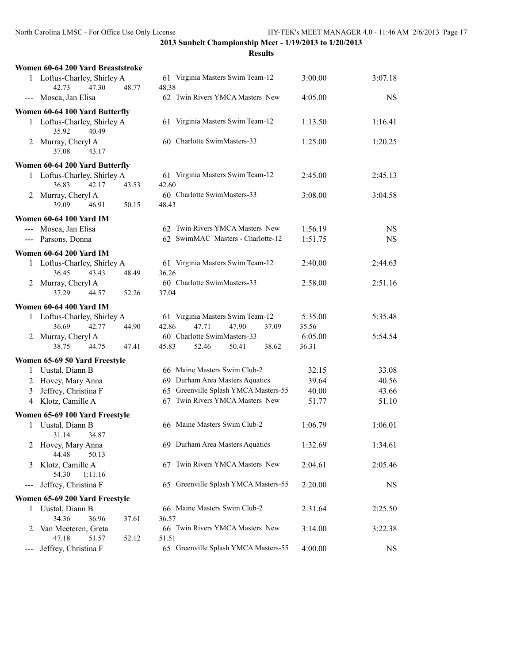|      | Women 60-64 200 Yard Breaststroke                      |                                                                      |                  |           |
|------|--------------------------------------------------------|----------------------------------------------------------------------|------------------|-----------|
|      | 1 Loftus-Charley, Shirley A<br>42.73<br>47.30<br>48.77 | 61 Virginia Masters Swim Team-12<br>48.38                            | 3:00.00          | 3:07.18   |
|      | --- Mosca, Jan Elisa                                   | 62 Twin Rivers YMCA Masters New                                      | 4:05.00          | <b>NS</b> |
|      | Women 60-64 100 Yard Butterfly                         |                                                                      |                  |           |
|      | 1 Loftus-Charley, Shirley A<br>40.49<br>35.92          | 61 Virginia Masters Swim Team-12                                     | 1:13.50          | 1:16.41   |
|      | 2 Murray, Cheryl A<br>37.08<br>43.17                   | 60 Charlotte SwimMasters-33                                          | 1:25.00          | 1:20.25   |
|      | Women 60-64 200 Yard Butterfly                         |                                                                      |                  |           |
|      | 1 Loftus-Charley, Shirley A<br>36.83<br>42.17<br>43.53 | 61 Virginia Masters Swim Team-12<br>42.60                            | 2:45.00          | 2:45.13   |
|      | 2 Murray, Cheryl A<br>39.09<br>46.91<br>50.15          | 60 Charlotte SwimMasters-33<br>48.43                                 | 3:08.00          | 3:04.58   |
|      | <b>Women 60-64 100 Yard IM</b>                         |                                                                      |                  |           |
|      | --- Mosca, Jan Elisa                                   | 62 Twin Rivers YMCA Masters New                                      | 1:56.19          | <b>NS</b> |
|      | --- Parsons, Donna                                     | 62 SwimMAC Masters - Charlotte-12                                    | 1:51.75          | <b>NS</b> |
|      | <b>Women 60-64 200 Yard IM</b>                         |                                                                      |                  |           |
|      | 1 Loftus-Charley, Shirley A<br>36.45<br>43.43<br>48.49 | 61 Virginia Masters Swim Team-12<br>36.26                            | 2:40.00          | 2:44.63   |
|      | 2 Murray, Cheryl A<br>37.29<br>44.57<br>52.26          | 60 Charlotte SwimMasters-33<br>37.04                                 | 2:58.00          | 2:51.16   |
|      |                                                        |                                                                      |                  |           |
|      | <b>Women 60-64 400 Yard IM</b>                         |                                                                      |                  |           |
|      | 1 Loftus-Charley, Shirley A<br>36.69<br>42.77<br>44.90 | 61 Virginia Masters Swim Team-12<br>42.86<br>47.71<br>47.90<br>37.09 | 5:35.00<br>35.56 | 5:35.48   |
|      | 2 Murray, Cheryl A                                     | 60 Charlotte SwimMasters-33                                          | 6:05.00          | 5:54.54   |
|      | 38.75<br>44.75<br>47.41                                | 38.62<br>45.83<br>52.46<br>50.41                                     | 36.31            |           |
|      | Women 65-69 50 Yard Freestyle                          |                                                                      |                  |           |
|      | 1 Uustal, Diann B                                      | 66 Maine Masters Swim Club-2                                         | 32.15            | 33.08     |
| 2    | Hovey, Mary Anna                                       | 69 Durham Area Masters Aquatics                                      | 39.64            | 40.56     |
| 3    | Jeffrey, Christina F                                   | 65 Greenville Splash YMCA Masters-55                                 | 40.00            | 43.66     |
|      | 4 Klotz, Camille A                                     | 67 Twin Rivers YMCA Masters New                                      | 51.77            | 51.10     |
|      | Women 65-69 100 Yard Freestyle                         |                                                                      |                  |           |
| 1    | Uustal, Diann B<br>31.14<br>34.87                      | 66 Maine Masters Swim Club-2                                         | 1:06.79          | 1:06.01   |
| 2    | Hovey, Mary Anna<br>44.48<br>50.13                     | 69 Durham Area Masters Aquatics                                      | 1:32.69          | 1:34.61   |
| 3    | Klotz, Camille A<br>54.30<br>1:11.16                   | Twin Rivers YMCA Masters New<br>67                                   | 2:04.61          | 2:05.46   |
|      | Jeffrey, Christina F                                   | 65 Greenville Splash YMCA Masters-55                                 | 2:20.00          | <b>NS</b> |
|      | Women 65-69 200 Yard Freestyle                         |                                                                      |                  |           |
| 1    | Uustal, Diann B                                        | 66 Maine Masters Swim Club-2                                         | 2:31.64          | 2:25.50   |
|      | 34.36<br>36.96<br>37.61                                | 36.57                                                                |                  |           |
| 2    | Van Meeteren, Greta                                    | 66 Twin Rivers YMCA Masters New                                      | 3:14.00          | 3:22.38   |
|      | 47.18<br>51.57<br>52.12                                | 51.51                                                                |                  |           |
| $--$ | Jeffrey, Christina F                                   | 65 Greenville Splash YMCA Masters-55                                 | 4:00.00          | NS        |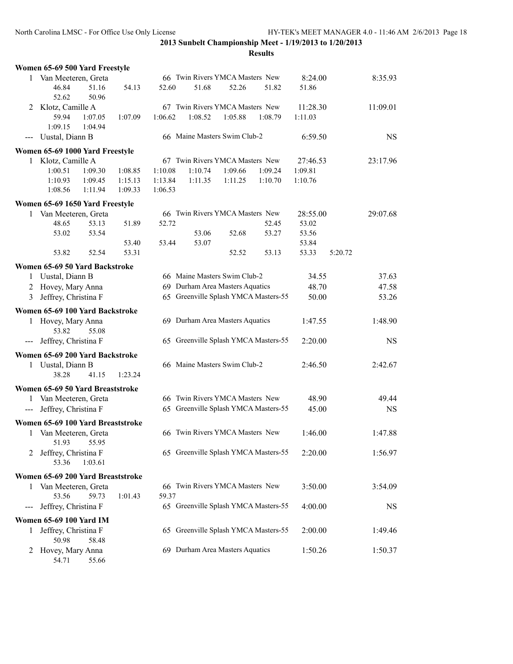54.71 55.66

**2013 Sunbelt Championship Meet - 1/19/2013 to 1/20/2013**

|       | Women 65-69 500 Yard Freestyle    |         |         |         |                                 |         |                                      |          |         |           |
|-------|-----------------------------------|---------|---------|---------|---------------------------------|---------|--------------------------------------|----------|---------|-----------|
|       | 1 Van Meeteren, Greta             |         |         |         | 66 Twin Rivers YMCA Masters New |         |                                      | 8:24.00  |         | 8:35.93   |
|       | 46.84                             | 51.16   | 54.13   | 52.60   | 51.68                           | 52.26   | 51.82                                | 51.86    |         |           |
|       | 52.62                             | 50.96   |         |         |                                 |         |                                      |          |         |           |
| 2     | Klotz, Camille A                  |         |         |         | 67 Twin Rivers YMCA Masters New |         |                                      | 11:28.30 |         | 11:09.01  |
|       | 59.94                             | 1:07.05 | 1:07.09 | 1:06.62 | 1:08.52                         | 1:05.88 | 1:08.79                              | 1:11.03  |         |           |
|       | 1:09.15                           | 1:04.94 |         |         |                                 |         |                                      |          |         |           |
| $---$ | Uustal, Diann B                   |         |         |         | 66 Maine Masters Swim Club-2    |         |                                      | 6:59.50  |         | <b>NS</b> |
|       | Women 65-69 1000 Yard Freestyle   |         |         |         |                                 |         |                                      |          |         |           |
|       | 1 Klotz, Camille A                |         |         |         | 67 Twin Rivers YMCA Masters New |         |                                      | 27:46.53 |         | 23:17.96  |
|       | 1:00.51                           | 1:09.30 | 1:08.85 | 1:10.08 | 1:10.74                         | 1:09.66 | 1:09.24                              | 1:09.81  |         |           |
|       | 1:10.93                           | 1:09.45 | 1:15.13 | 1:13.84 | 1:11.35                         | 1:11.25 | 1:10.70                              | 1:10.76  |         |           |
|       | 1:08.56                           | 1:11.94 | 1:09.33 | 1:06.53 |                                 |         |                                      |          |         |           |
|       |                                   |         |         |         |                                 |         |                                      |          |         |           |
|       | Women 65-69 1650 Yard Freestyle   |         |         |         |                                 |         |                                      |          |         |           |
| 1     | Van Meeteren, Greta               |         |         |         | 66 Twin Rivers YMCA Masters New |         |                                      | 28:55.00 |         | 29:07.68  |
|       | 48.65                             | 53.13   | 51.89   | 52.72   |                                 |         | 52.45                                | 53.02    |         |           |
|       | 53.02                             | 53.54   |         |         | 53.06                           | 52.68   | 53.27                                | 53.56    |         |           |
|       |                                   |         | 53.40   | 53.44   | 53.07                           |         |                                      | 53.84    |         |           |
|       | 53.82                             | 52.54   | 53.31   |         |                                 | 52.52   | 53.13                                | 53.33    | 5:20.72 |           |
|       | Women 65-69 50 Yard Backstroke    |         |         |         |                                 |         |                                      |          |         |           |
| 1     | Uustal, Diann B                   |         |         |         | 66 Maine Masters Swim Club-2    |         |                                      | 34.55    |         | 37.63     |
| 2     | Hovey, Mary Anna                  |         |         |         | 69 Durham Area Masters Aquatics |         |                                      | 48.70    |         | 47.58     |
| 3     | Jeffrey, Christina F              |         |         |         |                                 |         | 65 Greenville Splash YMCA Masters-55 | 50.00    |         | 53.26     |
|       | Women 65-69 100 Yard Backstroke   |         |         |         |                                 |         |                                      |          |         |           |
|       |                                   |         |         |         | 69 Durham Area Masters Aquatics |         |                                      | 1:47.55  |         | 1:48.90   |
|       | 1 Hovey, Mary Anna<br>53.82       | 55.08   |         |         |                                 |         |                                      |          |         |           |
|       | Jeffrey, Christina F              |         |         |         |                                 |         | 65 Greenville Splash YMCA Masters-55 | 2:20.00  |         | <b>NS</b> |
| ---   |                                   |         |         |         |                                 |         |                                      |          |         |           |
|       | Women 65-69 200 Yard Backstroke   |         |         |         |                                 |         |                                      |          |         |           |
|       | 1 Uustal, Diann B                 |         |         |         | 66 Maine Masters Swim Club-2    |         |                                      | 2:46.50  |         | 2:42.67   |
|       | 38.28                             | 41.15   | 1:23.24 |         |                                 |         |                                      |          |         |           |
|       | Women 65-69 50 Yard Breaststroke  |         |         |         |                                 |         |                                      |          |         |           |
| 1     | Van Meeteren, Greta               |         |         |         | 66 Twin Rivers YMCA Masters New |         |                                      | 48.90    |         | 49.44     |
| $---$ | Jeffrey, Christina F              |         |         |         |                                 |         | 65 Greenville Splash YMCA Masters-55 | 45.00    |         | <b>NS</b> |
|       |                                   |         |         |         |                                 |         |                                      |          |         |           |
|       | Women 65-69 100 Yard Breaststroke |         |         |         |                                 |         |                                      |          |         |           |
| 1     | Van Meeteren, Greta               |         |         |         | 66 Twin Rivers YMCA Masters New |         |                                      | 1:46.00  |         | 1:47.88   |
|       | 51.93                             | 55.95   |         |         |                                 |         |                                      |          |         |           |
| 2     | Jeffrey, Christina F              |         |         |         |                                 |         | 65 Greenville Splash YMCA Masters-55 | 2:20.00  |         | 1:56.97   |
|       | 53.36                             | 1:03.61 |         |         |                                 |         |                                      |          |         |           |
|       | Women 65-69 200 Yard Breaststroke |         |         |         |                                 |         |                                      |          |         |           |
| 1     | Van Meeteren, Greta               |         |         |         | 66 Twin Rivers YMCA Masters New |         |                                      | 3:50.00  |         | 3:54.09   |
|       | 53.56                             | 59.73   | 1:01.43 | 59.37   |                                 |         |                                      |          |         |           |
| ---   | Jeffrey, Christina F              |         |         |         |                                 |         | 65 Greenville Splash YMCA Masters-55 | 4:00.00  |         | NS        |
|       | Women 65-69 100 Yard IM           |         |         |         |                                 |         |                                      |          |         |           |
|       |                                   |         |         |         |                                 |         |                                      |          |         |           |
| 1     | Jeffrey, Christina F<br>50.98     | 58.48   |         |         |                                 |         | 65 Greenville Splash YMCA Masters-55 | 2:00.00  |         | 1:49.46   |
|       |                                   |         |         |         | 69 Durham Area Masters Aquatics |         |                                      | 1:50.26  |         | 1:50.37   |
| 2     | Hovey, Mary Anna                  |         |         |         |                                 |         |                                      |          |         |           |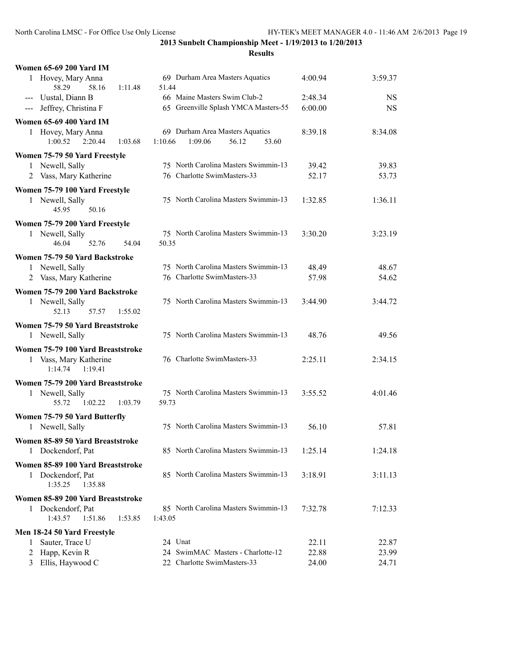| <b>Women 65-69 200 Yard IM</b>                                                    |                                                                         |                |                |
|-----------------------------------------------------------------------------------|-------------------------------------------------------------------------|----------------|----------------|
| 1 Hovey, Mary Anna<br>58.29<br>58.16<br>1:11.48                                   | 69 Durham Area Masters Aquatics<br>51.44                                | 4:00.94        | 3:59.37        |
| --- Uustal, Diann B                                                               | 66 Maine Masters Swim Club-2                                            | 2:48.34        | <b>NS</b>      |
| --- Jeffrey, Christina F                                                          | 65 Greenville Splash YMCA Masters-55                                    | 6:00.00        | <b>NS</b>      |
| <b>Women 65-69 400 Yard IM</b>                                                    |                                                                         |                |                |
| 1 Hovey, Mary Anna<br>$1:00.52$ $2:20.44$<br>1:03.68                              | 69 Durham Area Masters Aquatics<br>1:10.66<br>1:09.06<br>56.12<br>53.60 | 8:39.18        | 8:34.08        |
| Women 75-79 50 Yard Freestyle                                                     |                                                                         |                |                |
| Newell, Sally<br>1                                                                | 75 North Carolina Masters Swimmin-13                                    | 39.42          | 39.83          |
| 2 Vass, Mary Katherine                                                            | 76 Charlotte SwimMasters-33                                             | 52.17          | 53.73          |
| Women 75-79 100 Yard Freestyle<br>1 Newell, Sally<br>45.95<br>50.16               | 75 North Carolina Masters Swimmin-13                                    | 1:32.85        | 1:36.11        |
| Women 75-79 200 Yard Freestyle                                                    |                                                                         |                |                |
| 1 Newell, Sally<br>46.04<br>52.76<br>54.04                                        | 75 North Carolina Masters Swimmin-13<br>50.35                           | 3:30.20        | 3:23.19        |
| Women 75-79 50 Yard Backstroke                                                    |                                                                         |                |                |
| Newell, Sally<br>1                                                                | 75 North Carolina Masters Swimmin-13                                    | 48.49          | 48.67          |
| 2 Vass, Mary Katherine                                                            | 76 Charlotte SwimMasters-33                                             | 57.98          | 54.62          |
|                                                                                   |                                                                         |                |                |
| Women 75-79 200 Yard Backstroke                                                   |                                                                         |                |                |
| 1 Newell, Sally<br>52.13<br>57.57<br>1:55.02                                      | 75 North Carolina Masters Swimmin-13                                    | 3:44.90        | 3:44.72        |
|                                                                                   |                                                                         |                |                |
| Women 75-79 50 Yard Breaststroke                                                  |                                                                         |                |                |
| 1 Newell, Sally                                                                   | 75 North Carolina Masters Swimmin-13                                    | 48.76          | 49.56          |
| Women 75-79 100 Yard Breaststroke<br>1 Vass, Mary Katherine<br>1:19.41<br>1:14.74 | 76 Charlotte SwimMasters-33                                             | 2:25.11        | 2:34.15        |
| Women 75-79 200 Yard Breaststroke                                                 |                                                                         |                |                |
| 1 Newell, Sally<br>55.72<br>1:02.22<br>1:03.79                                    | 75 North Carolina Masters Swimmin-13<br>59.73                           | 3:55.52        | 4:01.46        |
|                                                                                   |                                                                         |                |                |
| Women 75-79 50 Yard Butterfly<br>1 Newell, Sally                                  | 75 North Carolina Masters Swimmin-13                                    | 56.10          | 57.81          |
|                                                                                   |                                                                         |                |                |
| Women 85-89 50 Yard Breaststroke<br>1 Dockendorf, Pat                             | 85 North Carolina Masters Swimmin-13                                    | 1:25.14        | 1:24.18        |
| Women 85-89 100 Yard Breaststroke                                                 |                                                                         |                |                |
| 1 Dockendorf, Pat<br>1:35.25<br>1:35.88                                           | 85 North Carolina Masters Swimmin-13                                    | 3:18.91        | 3:11.13        |
|                                                                                   |                                                                         |                |                |
| Women 85-89 200 Yard Breaststroke<br>1 Dockendorf, Pat                            | 85 North Carolina Masters Swimmin-13                                    | 7:32.78        | 7:12.33        |
| 1:43.57<br>1:51.86<br>1:53.85                                                     | 1:43.05                                                                 |                |                |
| Men 18-24 50 Yard Freestyle                                                       |                                                                         |                |                |
| Sauter, Trace U<br>1                                                              | 24 Unat                                                                 | 22.11          | 22.87          |
| Happ, Kevin R<br>2<br>Ellis, Haywood C<br>3                                       | 24 SwimMAC Masters - Charlotte-12<br>22 Charlotte SwimMasters-33        | 22.88<br>24.00 | 23.99<br>24.71 |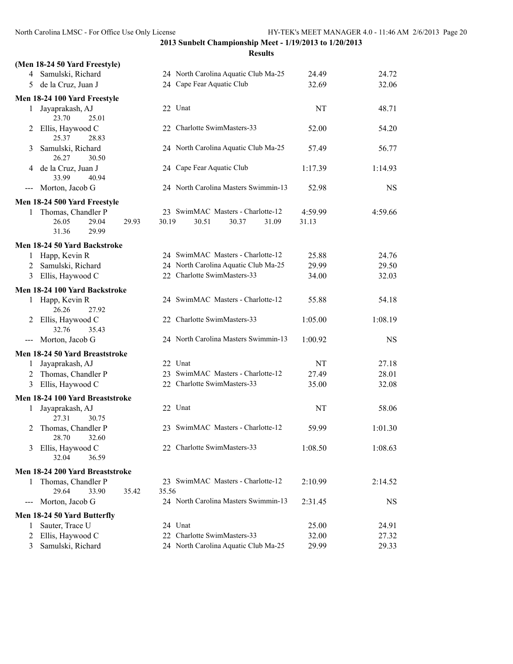|                   | (Men 18-24 50 Yard Freestyle)        |                |       |                                      |         |           |
|-------------------|--------------------------------------|----------------|-------|--------------------------------------|---------|-----------|
|                   | 4 Samulski, Richard                  |                |       | 24 North Carolina Aquatic Club Ma-25 | 24.49   | 24.72     |
| 5                 | de la Cruz, Juan J                   |                |       | 24 Cape Fear Aquatic Club            | 32.69   | 32.06     |
|                   | Men 18-24 100 Yard Freestyle         |                |       |                                      |         |           |
| 1                 | Jayaprakash, AJ<br>23.70<br>25.01    |                |       | 22 Unat                              | NT      | 48.71     |
|                   | 2 Ellis, Haywood C<br>25.37<br>28.83 |                |       | 22 Charlotte SwimMasters-33          | 52.00   | 54.20     |
| 3                 | Samulski, Richard<br>26.27<br>30.50  |                |       | 24 North Carolina Aquatic Club Ma-25 | 57.49   | 56.77     |
| 4                 | de la Cruz, Juan J<br>33.99<br>40.94 |                |       | 24 Cape Fear Aquatic Club            | 1:17.39 | 1:14.93   |
| $---$             | Morton, Jacob G                      |                |       | 24 North Carolina Masters Swimmin-13 | 52.98   | <b>NS</b> |
|                   | Men 18-24 500 Yard Freestyle         |                |       |                                      |         |           |
| 1                 | Thomas, Chandler P                   |                |       | 23 SwimMAC Masters - Charlotte-12    | 4:59.99 | 4:59.66   |
|                   | 26.05<br>29.04                       | 30.19<br>29.93 |       | 30.51<br>30.37<br>31.09              | 31.13   |           |
|                   | 29.99<br>31.36                       |                |       |                                      |         |           |
|                   | Men 18-24 50 Yard Backstroke         |                |       |                                      |         |           |
| 1                 | Happ, Kevin R                        |                |       | 24 SwimMAC Masters - Charlotte-12    | 25.88   | 24.76     |
| 2                 | Samulski, Richard                    |                |       | 24 North Carolina Aquatic Club Ma-25 | 29.99   | 29.50     |
|                   | 3 Ellis, Haywood C                   |                |       | 22 Charlotte SwimMasters-33          | 34.00   | 32.03     |
|                   | Men 18-24 100 Yard Backstroke        |                |       |                                      |         |           |
| 1                 | Happ, Kevin R<br>26.26<br>27.92      |                |       | 24 SwimMAC Masters - Charlotte-12    | 55.88   | 54.18     |
| 2                 | Ellis, Haywood C<br>32.76<br>35.43   |                |       | 22 Charlotte SwimMasters-33          | 1:05.00 | 1:08.19   |
|                   | Morton, Jacob G                      |                |       | 24 North Carolina Masters Swimmin-13 | 1:00.92 | <b>NS</b> |
|                   | Men 18-24 50 Yard Breaststroke       |                |       |                                      |         |           |
| 1                 | Jayaprakash, AJ                      |                |       | 22 Unat                              | NT      | 27.18     |
| 2                 | Thomas, Chandler P                   |                |       | 23 SwimMAC Masters - Charlotte-12    | 27.49   | 28.01     |
|                   | 3 Ellis, Haywood C                   |                |       | 22 Charlotte SwimMasters-33          | 35.00   | 32.08     |
|                   | Men 18-24 100 Yard Breaststroke      |                |       |                                      |         |           |
| $\mathbf{1}$      | Jayaprakash, AJ<br>27.31<br>30.75    |                |       | 22 Unat                              | NT      | 58.06     |
| 2                 | Thomas, Chandler P<br>28.70<br>32.60 |                |       | 23 SwimMAC Masters - Charlotte-12    | 59.99   | 1:01.30   |
| 3                 | Ellis, Haywood C<br>36.59<br>32.04   |                |       | 22 Charlotte SwimMasters-33          | 1:08.50 | 1:08.63   |
|                   | Men 18-24 200 Yard Breaststroke      |                |       |                                      |         |           |
| 1                 | Thomas, Chandler P                   |                |       | 23 SwimMAC Masters - Charlotte-12    | 2:10.99 | 2:14.52   |
|                   | 29.64<br>33.90                       | 35.42          | 35.56 |                                      |         |           |
| $\qquad \qquad -$ | Morton, Jacob G                      |                |       | 24 North Carolina Masters Swimmin-13 | 2:31.45 | NS        |
|                   | Men 18-24 50 Yard Butterfly          |                |       |                                      |         |           |
| 1                 | Sauter, Trace U                      |                |       | 24 Unat                              | 25.00   | 24.91     |
| 2                 | Ellis, Haywood C                     |                |       | 22 Charlotte SwimMasters-33          | 32.00   | 27.32     |
| 3                 | Samulski, Richard                    |                |       | 24 North Carolina Aquatic Club Ma-25 | 29.99   | 29.33     |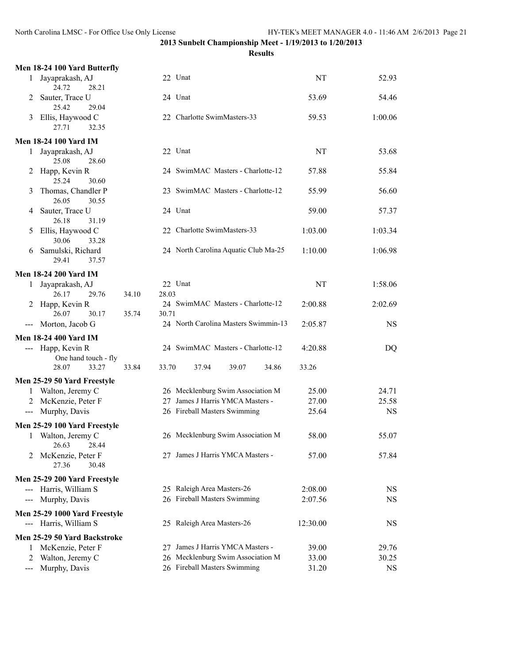|                                          | Men 18-24 100 Yard Butterfly                         |                |                                      |          |           |
|------------------------------------------|------------------------------------------------------|----------------|--------------------------------------|----------|-----------|
| 1                                        | Jayaprakash, AJ<br>28.21                             |                | 22 Unat                              | NT       | 52.93     |
| 2                                        | 24.72<br>Sauter, Trace U                             |                | 24 Unat                              | 53.69    | 54.46     |
| 3                                        | 25.42<br>29.04<br>Ellis, Haywood C<br>27.71<br>32.35 |                | 22 Charlotte SwimMasters-33          | 59.53    | 1:00.06   |
|                                          | <b>Men 18-24 100 Yard IM</b>                         |                |                                      |          |           |
| 1                                        | Jayaprakash, AJ<br>25.08<br>28.60                    |                | 22 Unat                              | NT       | 53.68     |
| 2                                        | Happ, Kevin R<br>25.24<br>30.60                      |                | 24 SwimMAC Masters - Charlotte-12    | 57.88    | 55.84     |
| 3                                        | Thomas, Chandler P<br>26.05<br>30.55                 |                | 23 SwimMAC Masters - Charlotte-12    | 55.99    | 56.60     |
| 4                                        | Sauter, Trace U<br>26.18<br>31.19                    |                | 24 Unat                              | 59.00    | 57.37     |
| 5                                        | Ellis, Haywood C<br>30.06<br>33.28                   |                | 22 Charlotte SwimMasters-33          | 1:03.00  | 1:03.34   |
| 6                                        | Samulski, Richard<br>29.41<br>37.57                  |                | 24 North Carolina Aquatic Club Ma-25 | 1:10.00  | 1:06.98   |
|                                          | <b>Men 18-24 200 Yard IM</b>                         |                |                                      |          |           |
| $\mathbf{1}$                             | Jayaprakash, AJ<br>26.17<br>29.76                    | 34.10<br>28.03 | 22 Unat                              | NT       | 1:58.06   |
| 2                                        | Happ, Kevin R<br>26.07<br>30.17                      | 35.74<br>30.71 | 24 SwimMAC Masters - Charlotte-12    | 2:00.88  | 2:02.69   |
| $\qquad \qquad - -$                      | Morton, Jacob G                                      |                | 24 North Carolina Masters Swimmin-13 | 2:05.87  | <b>NS</b> |
|                                          | <b>Men 18-24 400 Yard IM</b>                         |                |                                      |          |           |
|                                          | --- Happ, Kevin R<br>One hand touch - fly            |                | 24 SwimMAC Masters - Charlotte-12    | 4:20.88  | DQ        |
|                                          | 28.07<br>33.27                                       | 33.84<br>33.70 | 37.94<br>39.07<br>34.86              | 33.26    |           |
|                                          | Men 25-29 50 Yard Freestyle                          |                |                                      |          |           |
| 1                                        | Walton, Jeremy C                                     |                | 26 Mecklenburg Swim Association M    | 25.00    | 24.71     |
|                                          | McKenzie, Peter F                                    |                | 27 James J Harris YMCA Masters -     | 27.00    | 25.58     |
| $\scriptstyle \cdots$                    | Murphy, Davis                                        |                | 26 Fireball Masters Swimming         | 25.64    | <b>NS</b> |
|                                          | Men 25-29 100 Yard Freestyle                         |                |                                      |          |           |
| $\mathbf{1}$                             | Walton, Jeremy C<br>26.63<br>28.44                   |                | 26 Mecklenburg Swim Association M    | 58.00    | 55.07     |
| 2                                        | McKenzie, Peter F<br>27.36<br>30.48                  |                | 27 James J Harris YMCA Masters -     | 57.00    | 57.84     |
|                                          | Men 25-29 200 Yard Freestyle                         |                |                                      |          |           |
|                                          | --- Harris, William S                                |                | 25 Raleigh Area Masters-26           | 2:08.00  | NS        |
| $\hspace{0.05cm} \ldots \hspace{0.05cm}$ | Murphy, Davis                                        |                | 26 Fireball Masters Swimming         | 2:07.56  | <b>NS</b> |
|                                          | Men 25-29 1000 Yard Freestyle                        |                |                                      |          |           |
|                                          | --- Harris, William S                                |                | 25 Raleigh Area Masters-26           | 12:30.00 | <b>NS</b> |
|                                          | Men 25-29 50 Yard Backstroke                         |                |                                      |          |           |
| 1                                        | McKenzie, Peter F                                    |                | 27 James J Harris YMCA Masters -     | 39.00    | 29.76     |
| 2                                        | Walton, Jeremy C                                     |                | 26 Mecklenburg Swim Association M    | 33.00    | 30.25     |
| ---                                      | Murphy, Davis                                        |                | 26 Fireball Masters Swimming         | 31.20    | <b>NS</b> |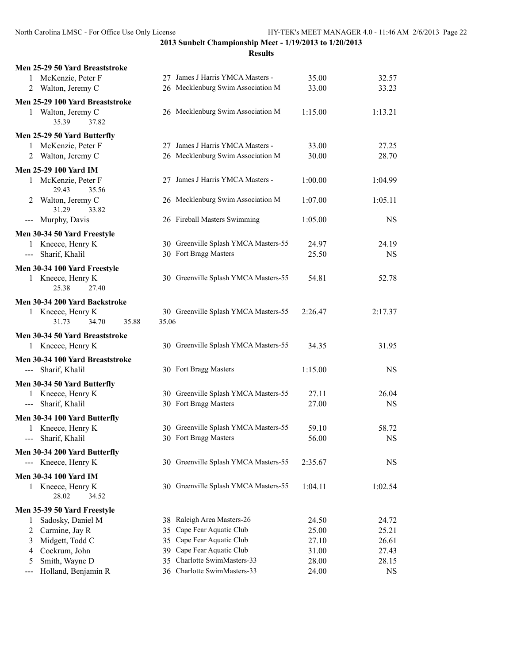| Men 25-29 50 Yard Breaststroke                                                                                                                                                                                                                                                                                                                                                                                                                                                               |       |                                                            |                |                    |
|----------------------------------------------------------------------------------------------------------------------------------------------------------------------------------------------------------------------------------------------------------------------------------------------------------------------------------------------------------------------------------------------------------------------------------------------------------------------------------------------|-------|------------------------------------------------------------|----------------|--------------------|
| 1 McKenzie, Peter F                                                                                                                                                                                                                                                                                                                                                                                                                                                                          |       | 27 James J Harris YMCA Masters -                           | 35.00          | 32.57              |
| 2 Walton, Jeremy C                                                                                                                                                                                                                                                                                                                                                                                                                                                                           |       | 26 Mecklenburg Swim Association M                          | 33.00          | 33.23              |
| Men 25-29 100 Yard Breaststroke                                                                                                                                                                                                                                                                                                                                                                                                                                                              |       |                                                            |                |                    |
| 1 Walton, Jeremy C<br>35.39<br>37.82                                                                                                                                                                                                                                                                                                                                                                                                                                                         |       | 26 Mecklenburg Swim Association M                          | 1:15.00        | 1:13.21            |
| Men 25-29 50 Yard Butterfly                                                                                                                                                                                                                                                                                                                                                                                                                                                                  |       |                                                            |                |                    |
| 1 McKenzie, Peter F                                                                                                                                                                                                                                                                                                                                                                                                                                                                          |       | 27 James J Harris YMCA Masters -                           | 33.00          | 27.25              |
| 2 Walton, Jeremy C                                                                                                                                                                                                                                                                                                                                                                                                                                                                           |       | 26 Mecklenburg Swim Association M                          | 30.00          | 28.70              |
| <b>Men 25-29 100 Yard IM</b>                                                                                                                                                                                                                                                                                                                                                                                                                                                                 |       |                                                            |                |                    |
| 1 McKenzie, Peter F                                                                                                                                                                                                                                                                                                                                                                                                                                                                          |       | 27 James J Harris YMCA Masters -                           | 1:00.00        | 1:04.99            |
| 29.43<br>35.56                                                                                                                                                                                                                                                                                                                                                                                                                                                                               |       |                                                            |                |                    |
| 2 Walton, Jeremy C<br>31.29<br>33.82                                                                                                                                                                                                                                                                                                                                                                                                                                                         |       | 26 Mecklenburg Swim Association M                          | 1:07.00        | 1:05.11            |
| --- Murphy, Davis                                                                                                                                                                                                                                                                                                                                                                                                                                                                            |       | 26 Fireball Masters Swimming                               | 1:05.00        | <b>NS</b>          |
| Men 30-34 50 Yard Freestyle                                                                                                                                                                                                                                                                                                                                                                                                                                                                  |       |                                                            |                |                    |
| 1 Kneece, Henry K                                                                                                                                                                                                                                                                                                                                                                                                                                                                            |       | 30 Greenville Splash YMCA Masters-55                       | 24.97          | 24.19              |
| Sharif, Khalil<br>$\frac{1}{2} \left( \frac{1}{2} \right) \left( \frac{1}{2} \right) \left( \frac{1}{2} \right) \left( \frac{1}{2} \right) \left( \frac{1}{2} \right) \left( \frac{1}{2} \right) \left( \frac{1}{2} \right) \left( \frac{1}{2} \right) \left( \frac{1}{2} \right) \left( \frac{1}{2} \right) \left( \frac{1}{2} \right) \left( \frac{1}{2} \right) \left( \frac{1}{2} \right) \left( \frac{1}{2} \right) \left( \frac{1}{2} \right) \left( \frac{1}{2} \right) \left( \frac$ |       | 30 Fort Bragg Masters                                      | 25.50          | <b>NS</b>          |
|                                                                                                                                                                                                                                                                                                                                                                                                                                                                                              |       |                                                            |                |                    |
| Men 30-34 100 Yard Freestyle<br>1 Kneece, Henry K                                                                                                                                                                                                                                                                                                                                                                                                                                            |       | 30 Greenville Splash YMCA Masters-55                       | 54.81          | 52.78              |
| 25.38<br>27.40                                                                                                                                                                                                                                                                                                                                                                                                                                                                               |       |                                                            |                |                    |
| Men 30-34 200 Yard Backstroke                                                                                                                                                                                                                                                                                                                                                                                                                                                                |       |                                                            |                |                    |
| 1 Kneece, Henry K<br>31.73<br>34.70<br>35.88                                                                                                                                                                                                                                                                                                                                                                                                                                                 | 35.06 | 30 Greenville Splash YMCA Masters-55                       | 2:26.47        | 2:17.37            |
|                                                                                                                                                                                                                                                                                                                                                                                                                                                                                              |       |                                                            |                |                    |
|                                                                                                                                                                                                                                                                                                                                                                                                                                                                                              |       |                                                            |                |                    |
| Men 30-34 50 Yard Breaststroke                                                                                                                                                                                                                                                                                                                                                                                                                                                               |       | 30 Greenville Splash YMCA Masters-55                       | 34.35          | 31.95              |
| 1 Kneece, Henry K                                                                                                                                                                                                                                                                                                                                                                                                                                                                            |       |                                                            |                |                    |
| Men 30-34 100 Yard Breaststroke                                                                                                                                                                                                                                                                                                                                                                                                                                                              |       |                                                            |                |                    |
| --- Sharif, Khalil                                                                                                                                                                                                                                                                                                                                                                                                                                                                           |       | 30 Fort Bragg Masters                                      | 1:15.00        | <b>NS</b>          |
| Men 30-34 50 Yard Butterfly                                                                                                                                                                                                                                                                                                                                                                                                                                                                  |       |                                                            |                |                    |
| 1 Kneece, Henry K                                                                                                                                                                                                                                                                                                                                                                                                                                                                            |       | 30 Greenville Splash YMCA Masters-55                       | 27.11          | 26.04              |
| Sharif, Khalil<br>$\frac{1}{2} \left( \frac{1}{2} \right) \left( \frac{1}{2} \right) \left( \frac{1}{2} \right) \left( \frac{1}{2} \right) \left( \frac{1}{2} \right) \left( \frac{1}{2} \right) \left( \frac{1}{2} \right) \left( \frac{1}{2} \right) \left( \frac{1}{2} \right) \left( \frac{1}{2} \right) \left( \frac{1}{2} \right) \left( \frac{1}{2} \right) \left( \frac{1}{2} \right) \left( \frac{1}{2} \right) \left( \frac{1}{2} \right) \left( \frac{1}{2} \right) \left( \frac$ |       | 30 Fort Bragg Masters                                      | 27.00          | <b>NS</b>          |
| Men 30-34 100 Yard Butterfly                                                                                                                                                                                                                                                                                                                                                                                                                                                                 |       |                                                            |                |                    |
| 1 Kneece, Henry K                                                                                                                                                                                                                                                                                                                                                                                                                                                                            |       | 30 Greenville Splash YMCA Masters-55                       | 59.10          | 58.72              |
| Sharif, Khalil                                                                                                                                                                                                                                                                                                                                                                                                                                                                               |       | 30 Fort Bragg Masters                                      | 56.00          | $_{\rm NS}$        |
| Men 30-34 200 Yard Butterfly                                                                                                                                                                                                                                                                                                                                                                                                                                                                 |       |                                                            |                |                    |
| --- Kneece, Henry K                                                                                                                                                                                                                                                                                                                                                                                                                                                                          |       | 30 Greenville Splash YMCA Masters-55                       | 2:35.67        | <b>NS</b>          |
| Men 30-34 100 Yard IM                                                                                                                                                                                                                                                                                                                                                                                                                                                                        |       |                                                            |                |                    |
| 1 Kneece, Henry K                                                                                                                                                                                                                                                                                                                                                                                                                                                                            |       | 30 Greenville Splash YMCA Masters-55                       | 1:04.11        | 1:02.54            |
| 28.02<br>34.52                                                                                                                                                                                                                                                                                                                                                                                                                                                                               |       |                                                            |                |                    |
| Men 35-39 50 Yard Freestyle                                                                                                                                                                                                                                                                                                                                                                                                                                                                  |       |                                                            |                |                    |
| Sadosky, Daniel M<br>1                                                                                                                                                                                                                                                                                                                                                                                                                                                                       |       | 38 Raleigh Area Masters-26                                 | 24.50          | 24.72              |
| Carmine, Jay R<br>2                                                                                                                                                                                                                                                                                                                                                                                                                                                                          |       | 35 Cape Fear Aquatic Club                                  | 25.00          | 25.21              |
| Midgett, Todd C<br>3                                                                                                                                                                                                                                                                                                                                                                                                                                                                         |       | 35 Cape Fear Aquatic Club                                  | 27.10          | 26.61              |
| Cockrum, John<br>4                                                                                                                                                                                                                                                                                                                                                                                                                                                                           |       | 39 Cape Fear Aquatic Club                                  | 31.00          | 27.43              |
| Smith, Wayne D<br>5<br>Holland, Benjamin R                                                                                                                                                                                                                                                                                                                                                                                                                                                   |       | 35 Charlotte SwimMasters-33<br>36 Charlotte SwimMasters-33 | 28.00<br>24.00 | 28.15<br><b>NS</b> |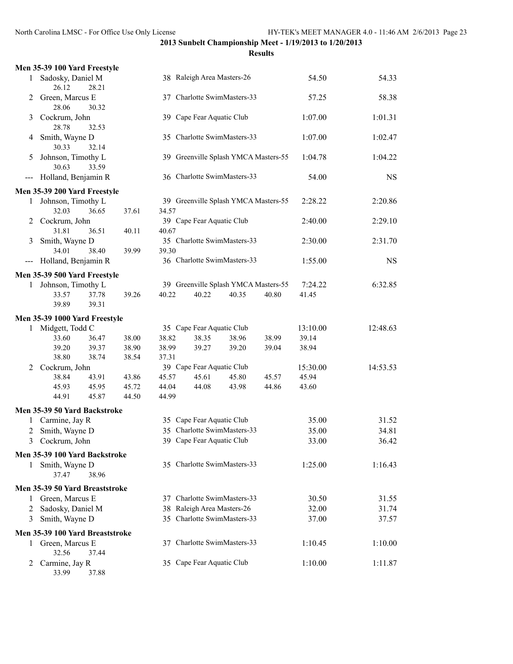|                            | Men 35-39 100 Yard Freestyle    |       |       |       |                                      |       |       |          |           |
|----------------------------|---------------------------------|-------|-------|-------|--------------------------------------|-------|-------|----------|-----------|
| 1                          | Sadosky, Daniel M<br>26.12      | 28.21 |       |       | 38 Raleigh Area Masters-26           |       |       | 54.50    | 54.33     |
| 2                          | Green, Marcus E<br>28.06        | 30.32 |       | 37    | Charlotte SwimMasters-33             |       |       | 57.25    | 58.38     |
| 3                          | Cockrum, John<br>28.78          | 32.53 |       |       | 39 Cape Fear Aquatic Club            |       |       | 1:07.00  | 1:01.31   |
| 4                          | Smith, Wayne D<br>30.33         | 32.14 |       |       | 35 Charlotte SwimMasters-33          |       |       | 1:07.00  | 1:02.47   |
| 5                          | Johnson, Timothy L<br>30.63     | 33.59 |       |       | 39 Greenville Splash YMCA Masters-55 |       |       | 1:04.78  | 1:04.22   |
| $\qquad \qquad \text{---}$ | Holland, Benjamin R             |       |       |       | 36 Charlotte SwimMasters-33          |       |       | 54.00    | <b>NS</b> |
|                            | Men 35-39 200 Yard Freestyle    |       |       |       |                                      |       |       |          |           |
| 1                          | Johnson, Timothy L              |       |       |       | 39 Greenville Splash YMCA Masters-55 |       |       | 2:28.22  | 2:20.86   |
|                            | 32.03                           | 36.65 | 37.61 | 34.57 |                                      |       |       |          |           |
| 2                          | Cockrum, John                   |       |       |       | 39 Cape Fear Aquatic Club            |       |       | 2:40.00  | 2:29.10   |
|                            | 31.81                           | 36.51 | 40.11 | 40.67 |                                      |       |       |          |           |
| 3                          | Smith, Wayne D                  |       |       |       | 35 Charlotte SwimMasters-33          |       |       | 2:30.00  | 2:31.70   |
|                            | 34.01                           | 38.40 | 39.99 | 39.30 |                                      |       |       |          |           |
| $---$                      | Holland, Benjamin R             |       |       |       | 36 Charlotte SwimMasters-33          |       |       | 1:55.00  | <b>NS</b> |
|                            | Men 35-39 500 Yard Freestyle    |       |       |       |                                      |       |       |          |           |
| $\mathbf{1}$               | Johnson, Timothy L              |       |       |       | 39 Greenville Splash YMCA Masters-55 |       |       | 7:24.22  | 6:32.85   |
|                            | 33.57                           | 37.78 | 39.26 | 40.22 | 40.22                                | 40.35 | 40.80 | 41.45    |           |
|                            | 39.89                           | 39.31 |       |       |                                      |       |       |          |           |
|                            | Men 35-39 1000 Yard Freestyle   |       |       |       |                                      |       |       |          |           |
|                            | 1 Midgett, Todd C               |       |       |       | 35 Cape Fear Aquatic Club            |       |       | 13:10.00 | 12:48.63  |
|                            | 33.60                           | 36.47 | 38.00 | 38.82 | 38.35                                | 38.96 | 38.99 | 39.14    |           |
|                            | 39.20                           | 39.37 | 38.90 | 38.99 | 39.27                                | 39.20 | 39.04 | 38.94    |           |
|                            | 38.80                           | 38.74 | 38.54 | 37.31 |                                      |       |       |          |           |
| 2                          | Cockrum, John                   |       |       |       | 39 Cape Fear Aquatic Club            |       |       | 15:30.00 | 14:53.53  |
|                            | 38.84                           | 43.91 | 43.86 | 45.57 | 45.61                                | 45.80 | 45.57 | 45.94    |           |
|                            | 45.93                           | 45.95 | 45.72 | 44.04 | 44.08                                | 43.98 | 44.86 | 43.60    |           |
|                            | 44.91                           | 45.87 | 44.50 | 44.99 |                                      |       |       |          |           |
|                            | Men 35-39 50 Yard Backstroke    |       |       |       |                                      |       |       |          |           |
|                            | 1 Carmine, Jay R                |       |       |       | 35 Cape Fear Aquatic Club            |       |       | 35.00    | 31.52     |
| 2                          | Smith, Wayne D                  |       |       |       | 35 Charlotte SwimMasters-33          |       |       | 35.00    | 34.81     |
|                            | 3 Cockrum, John                 |       |       |       | 39 Cape Fear Aquatic Club            |       |       | 33.00    | 36.42     |
|                            | Men 35-39 100 Yard Backstroke   |       |       |       |                                      |       |       |          |           |
|                            | 1 Smith, Wayne D                |       |       |       | 35 Charlotte SwimMasters-33          |       |       | 1:25.00  | 1:16.43   |
|                            | 37.47                           | 38.96 |       |       |                                      |       |       |          |           |
|                            | Men 35-39 50 Yard Breaststroke  |       |       |       |                                      |       |       |          |           |
|                            | 1 Green, Marcus E               |       |       |       | 37 Charlotte SwimMasters-33          |       |       | 30.50    | 31.55     |
| 2                          | Sadosky, Daniel M               |       |       |       | 38 Raleigh Area Masters-26           |       |       | 32.00    | 31.74     |
| 3                          | Smith, Wayne D                  |       |       |       | 35 Charlotte SwimMasters-33          |       |       | 37.00    | 37.57     |
|                            | Men 35-39 100 Yard Breaststroke |       |       |       |                                      |       |       |          |           |
| 1                          | Green, Marcus E                 |       |       |       | 37 Charlotte SwimMasters-33          |       |       | 1:10.45  | 1:10.00   |
|                            | 32.56                           | 37.44 |       |       |                                      |       |       |          |           |
| 2                          | Carmine, Jay R                  |       |       |       | 35 Cape Fear Aquatic Club            |       |       | 1:10.00  | 1:11.87   |
|                            | 33.99                           | 37.88 |       |       |                                      |       |       |          |           |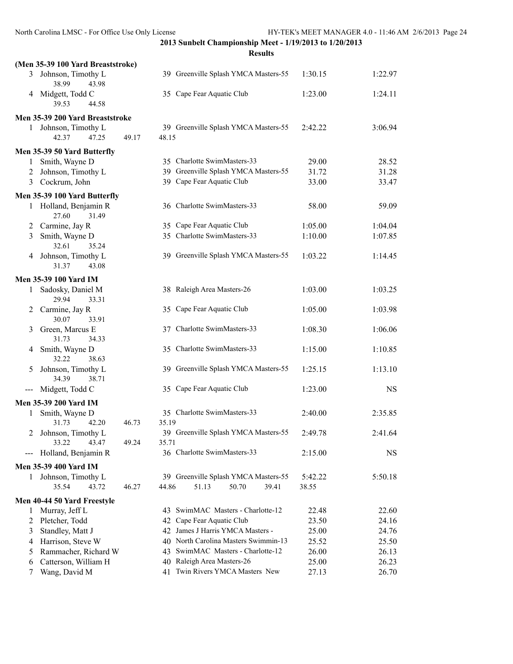|                   | (Men 35-39 100 Yard Breaststroke)       |       |       |                                                                 |                  |                |
|-------------------|-----------------------------------------|-------|-------|-----------------------------------------------------------------|------------------|----------------|
|                   | 3 Johnson, Timothy L<br>38.99<br>43.98  |       |       | 39 Greenville Splash YMCA Masters-55                            | 1:30.15          | 1:22.97        |
| 4                 | Midgett, Todd C<br>39.53<br>44.58       |       |       | 35 Cape Fear Aquatic Club                                       | 1:23.00          | 1:24.11        |
|                   | Men 35-39 200 Yard Breaststroke         |       |       |                                                                 |                  |                |
|                   | 1 Johnson, Timothy L                    |       |       | 39 Greenville Splash YMCA Masters-55                            | 2:42.22          | 3:06.94        |
|                   | 42.37<br>47.25                          | 49.17 | 48.15 |                                                                 |                  |                |
|                   | Men 35-39 50 Yard Butterfly             |       |       |                                                                 |                  |                |
| 1                 | Smith, Wayne D                          |       |       | 35 Charlotte SwimMasters-33                                     | 29.00            | 28.52          |
| 2                 | Johnson, Timothy L                      |       |       | 39 Greenville Splash YMCA Masters-55                            | 31.72            | 31.28          |
| 3                 | Cockrum, John                           |       |       | 39 Cape Fear Aquatic Club                                       | 33.00            | 33.47          |
|                   | Men 35-39 100 Yard Butterfly            |       |       |                                                                 |                  |                |
|                   | 1 Holland, Benjamin R<br>27.60<br>31.49 |       |       | 36 Charlotte SwimMasters-33                                     | 58.00            | 59.09          |
| 2                 | Carmine, Jay R                          |       |       | 35 Cape Fear Aquatic Club                                       | 1:05.00          | 1:04.04        |
| 3                 | Smith, Wayne D<br>32.61<br>35.24        |       |       | 35 Charlotte SwimMasters-33                                     | 1:10.00          | 1:07.85        |
| 4                 | Johnson, Timothy L<br>31.37<br>43.08    |       |       | 39 Greenville Splash YMCA Masters-55                            | 1:03.22          | 1:14.45        |
|                   | <b>Men 35-39 100 Yard IM</b>            |       |       |                                                                 |                  |                |
| $\mathbf{1}$      | Sadosky, Daniel M<br>29.94<br>33.31     |       |       | 38 Raleigh Area Masters-26                                      | 1:03.00          | 1:03.25        |
| 2                 | Carmine, Jay R<br>30.07<br>33.91        |       |       | 35 Cape Fear Aquatic Club                                       | 1:05.00          | 1:03.98        |
| 3                 | Green, Marcus E<br>31.73<br>34.33       |       |       | 37 Charlotte SwimMasters-33                                     | 1:08.30          | 1:06.06        |
| 4                 | Smith, Wayne D<br>32.22<br>38.63        |       |       | 35 Charlotte SwimMasters-33                                     | 1:15.00          | 1:10.85        |
| 5                 | Johnson, Timothy L<br>34.39<br>38.71    |       |       | 39 Greenville Splash YMCA Masters-55                            | 1:25.15          | 1:13.10        |
| $\qquad \qquad -$ | Midgett, Todd C                         |       |       | 35 Cape Fear Aquatic Club                                       | 1:23.00          | <b>NS</b>      |
|                   | Men 35-39 200 Yard IM                   |       |       |                                                                 |                  |                |
| 1                 | Smith, Wayne D                          |       |       | 35 Charlotte SwimMasters-33                                     | 2:40.00          | 2:35.85        |
|                   | 31.73<br>42.20                          | 46.73 | 35.19 |                                                                 |                  |                |
| 2                 | Johnson, Timothy L                      |       |       | 39 Greenville Splash YMCA Masters-55                            | 2:49.78          | 2:41.64        |
|                   | 33.22<br>43.47                          | 49.24 | 35.71 |                                                                 |                  |                |
| $---$             | Holland, Benjamin R                     |       |       | 36 Charlotte SwimMasters-33                                     | 2:15.00          | NS             |
|                   | Men 35-39 400 Yard IM                   |       |       |                                                                 |                  |                |
| 1                 | Johnson, Timothy L<br>35.54<br>43.72    | 46.27 | 44.86 | 39 Greenville Splash YMCA Masters-55<br>51.13<br>50.70<br>39.41 | 5:42.22<br>38.55 | 5:50.18        |
|                   |                                         |       |       |                                                                 |                  |                |
|                   | Men 40-44 50 Yard Freestyle             |       |       |                                                                 |                  |                |
| 1                 | Murray, Jeff L                          |       |       | 43 SwimMAC Masters - Charlotte-12                               | 22.48            | 22.60          |
| 2                 | Pletcher, Todd                          |       |       | 42 Cape Fear Aquatic Club                                       | 23.50            | 24.16          |
| 3                 | Standley, Matt J                        |       |       | 42 James J Harris YMCA Masters -                                | 25.00            | 24.76          |
| 4                 | Harrison, Steve W                       |       |       | 40 North Carolina Masters Swimmin-13                            | 25.52            | 25.50          |
| 5                 | Rammacher, Richard W                    |       | 43    | SwimMAC Masters - Charlotte-12                                  | 26.00            | 26.13          |
| 6<br>7            | Catterson, William H<br>Wang, David M   |       |       | 40 Raleigh Area Masters-26<br>41 Twin Rivers YMCA Masters New   | 25.00<br>27.13   | 26.23<br>26.70 |
|                   |                                         |       |       |                                                                 |                  |                |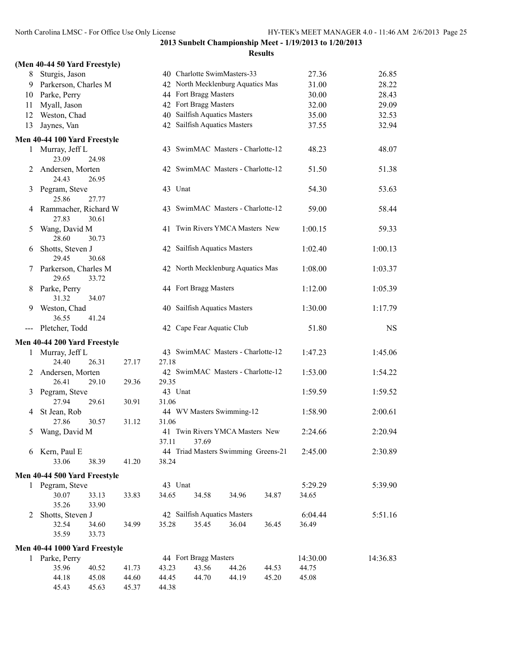| (Men 40-44 50 Yard Freestyle) |  |  |
|-------------------------------|--|--|
|                               |  |  |

| 8   | Sturgis, Jason                         |       |                  | 40 Charlotte SwimMasters-33           |       |       | 27.36    | 26.85     |
|-----|----------------------------------------|-------|------------------|---------------------------------------|-------|-------|----------|-----------|
| 9   | Parkerson, Charles M                   |       |                  | 42 North Mecklenburg Aquatics Mas     |       |       | 31.00    | 28.22     |
| 10  | Parke, Perry                           |       |                  | 44 Fort Bragg Masters                 |       |       | 30.00    | 28.43     |
| 11  | Myall, Jason                           |       |                  | 42 Fort Bragg Masters                 |       |       | 32.00    | 29.09     |
| 12  | Weston, Chad                           |       |                  | 40 Sailfish Aquatics Masters          |       |       | 35.00    | 32.53     |
| 13  | Jaynes, Van                            |       |                  | 42 Sailfish Aquatics Masters          |       |       | 37.55    | 32.94     |
|     | Men 40-44 100 Yard Freestyle           |       |                  |                                       |       |       |          |           |
| 1   | Murray, Jeff L<br>23.09<br>24.98       |       |                  | 43 SwimMAC Masters - Charlotte-12     |       |       | 48.23    | 48.07     |
| 2   | Andersen, Morten<br>24.43<br>26.95     |       |                  | 42 SwimMAC Masters - Charlotte-12     |       |       | 51.50    | 51.38     |
| 3   | Pegram, Steve<br>25.86<br>27.77        |       | 43 Unat          |                                       |       |       | 54.30    | 53.63     |
| 4   | Rammacher, Richard W<br>27.83<br>30.61 |       |                  | 43 SwimMAC Masters - Charlotte-12     |       |       | 59.00    | 58.44     |
| 5   | Wang, David M<br>28.60<br>30.73        |       |                  | 41 Twin Rivers YMCA Masters New       |       |       | 1:00.15  | 59.33     |
| 6   | Shotts, Steven J<br>29.45<br>30.68     |       |                  | 42 Sailfish Aquatics Masters          |       |       | 1:02.40  | 1:00.13   |
| 7   | Parkerson, Charles M<br>29.65<br>33.72 |       |                  | 42 North Mecklenburg Aquatics Mas     |       |       | 1:08.00  | 1:03.37   |
| 8   | Parke, Perry<br>31.32<br>34.07         |       |                  | 44 Fort Bragg Masters                 |       |       | 1:12.00  | 1:05.39   |
| 9   | Weston, Chad<br>36.55<br>41.24         |       |                  | 40 Sailfish Aquatics Masters          |       |       | 1:30.00  | 1:17.79   |
| --- | Pletcher, Todd                         |       |                  | 42 Cape Fear Aquatic Club             |       |       | 51.80    | <b>NS</b> |
|     | Men 40-44 200 Yard Freestyle           |       |                  |                                       |       |       |          |           |
| 1   | Murray, Jeff L<br>24.40<br>26.31       | 27.17 | 27.18            | 43 SwimMAC Masters - Charlotte-12     |       |       | 1:47.23  | 1:45.06   |
| 2   | Andersen, Morten<br>26.41<br>29.10     | 29.36 | 29.35            | 42 SwimMAC Masters - Charlotte-12     |       |       | 1:53.00  | 1:54.22   |
| 3   | Pegram, Steve<br>27.94<br>29.61        | 30.91 | 43 Unat<br>31.06 |                                       |       |       | 1:59.59  | 1:59.52   |
| 4   | St Jean, Rob<br>27.86<br>30.57         | 31.12 | 31.06            | 44 WV Masters Swimming-12             |       |       | 1:58.90  | 2:00.61   |
| 5   | Wang, David M                          |       | 41<br>37.11      | Twin Rivers YMCA Masters New<br>37.69 |       |       | 2:24.66  | 2:20.94   |
|     | 6 Kern, Paul E<br>33.06<br>38.39       | 41.20 | 38.24            | 44 Triad Masters Swimming Greens-21   |       |       | 2:45.00  | 2:30.89   |
|     | Men 40-44 500 Yard Freestyle           |       |                  |                                       |       |       |          |           |
|     | 1 Pegram, Steve                        |       | 43 Unat          |                                       |       |       | 5:29.29  | 5:39.90   |
|     | 30.07<br>33.13<br>35.26<br>33.90       | 33.83 | 34.65            | 34.58                                 | 34.96 | 34.87 | 34.65    |           |
| 2   | Shotts, Steven J                       |       |                  | 42 Sailfish Aquatics Masters          |       |       | 6:04.44  | 5:51.16   |
|     | 32.54<br>34.60                         | 34.99 | 35.28            | 35.45                                 | 36.04 | 36.45 | 36.49    |           |
|     | 35.59<br>33.73                         |       |                  |                                       |       |       |          |           |
|     | Men 40-44 1000 Yard Freestyle          |       |                  |                                       |       |       |          |           |
| 1   | Parke, Perry                           |       |                  | 44 Fort Bragg Masters                 |       |       | 14:30.00 | 14:36.83  |
|     | 40.52<br>35.96                         | 41.73 | 43.23            | 43.56                                 | 44.26 | 44.53 | 44.75    |           |
|     | 44.18<br>45.08                         | 44.60 | 44.45            | 44.70                                 | 44.19 | 45.20 | 45.08    |           |
|     | 45.43<br>45.63                         | 45.37 | 44.38            |                                       |       |       |          |           |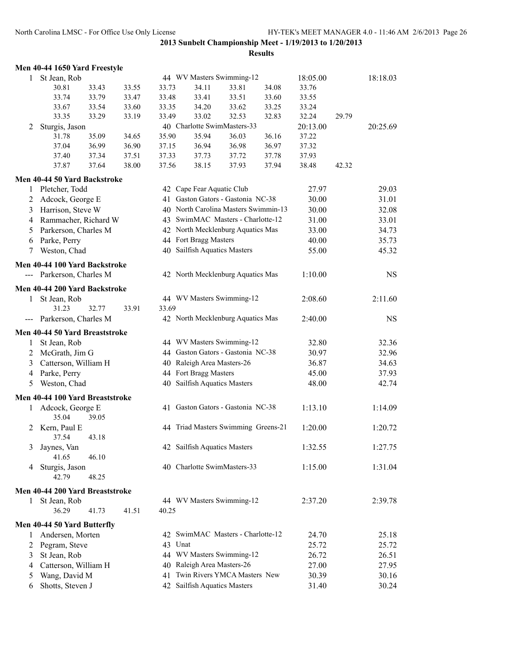**Results**

# **Men 40-44 1650 Yard Freestyle**

| 1 | St Jean, Rob                    |       |       |         |                              | 44 WV Masters Swimming-12            |       | 18:05.00 |       | 18:18.03  |
|---|---------------------------------|-------|-------|---------|------------------------------|--------------------------------------|-------|----------|-------|-----------|
|   | 30.81                           | 33.43 | 33.55 | 33.73   | 34.11                        | 33.81                                | 34.08 | 33.76    |       |           |
|   | 33.74                           | 33.79 | 33.47 | 33.48   | 33.41                        | 33.51                                | 33.60 | 33.55    |       |           |
|   | 33.67                           | 33.54 | 33.60 | 33.35   | 34.20                        | 33.62                                | 33.25 | 33.24    |       |           |
|   | 33.35                           | 33.29 | 33.19 | 33.49   | 33.02                        | 32.53                                | 32.83 | 32.24    | 29.79 |           |
| 2 | Sturgis, Jason                  |       |       |         |                              | 40 Charlotte SwimMasters-33          |       | 20:13.00 |       | 20:25.69  |
|   | 31.78                           | 35.09 | 34.65 | 35.90   | 35.94                        | 36.03                                | 36.16 | 37.22    |       |           |
|   | 37.04                           | 36.99 | 36.90 | 37.15   | 36.94                        | 36.98                                | 36.97 | 37.32    |       |           |
|   | 37.40                           | 37.34 | 37.51 | 37.33   | 37.73                        | 37.72                                | 37.78 | 37.93    |       |           |
|   | 37.87                           | 37.64 | 38.00 | 37.56   | 38.15                        | 37.93                                | 37.94 | 38.48    | 42.32 |           |
|   | Men 40-44 50 Yard Backstroke    |       |       |         |                              |                                      |       |          |       |           |
| 1 | Pletcher, Todd                  |       |       |         | 42 Cape Fear Aquatic Club    |                                      |       | 27.97    |       | 29.03     |
|   |                                 |       |       |         |                              | 41 Gaston Gators - Gastonia NC-38    |       |          |       |           |
| 2 | Adcock, George E                |       |       |         |                              |                                      |       | 30.00    |       | 31.01     |
| 3 | Harrison, Steve W               |       |       |         |                              | 40 North Carolina Masters Swimmin-13 |       | 30.00    |       | 32.08     |
| 4 | Rammacher, Richard W            |       |       |         |                              | 43 SwimMAC Masters - Charlotte-12    |       | 31.00    |       | 33.01     |
| 5 | Parkerson, Charles M            |       |       |         |                              | 42 North Mecklenburg Aquatics Mas    |       | 33.00    |       | 34.73     |
| 6 | Parke, Perry                    |       |       |         | 44 Fort Bragg Masters        |                                      |       | 40.00    |       | 35.73     |
| 7 | Weston, Chad                    |       |       |         | 40 Sailfish Aquatics Masters |                                      |       | 55.00    |       | 45.32     |
|   | Men 40-44 100 Yard Backstroke   |       |       |         |                              |                                      |       |          |       |           |
|   | --- Parkerson, Charles M        |       |       |         |                              | 42 North Mecklenburg Aquatics Mas    |       | 1:10.00  |       | <b>NS</b> |
|   | Men 40-44 200 Yard Backstroke   |       |       |         |                              |                                      |       |          |       |           |
| 1 | St Jean, Rob                    |       |       |         |                              | 44 WV Masters Swimming-12            |       | 2:08.60  |       | 2:11.60   |
|   | 31.23                           | 32.77 | 33.91 | 33.69   |                              |                                      |       |          |       |           |
|   | --- Parkerson, Charles M        |       |       |         |                              | 42 North Mecklenburg Aquatics Mas    |       | 2:40.00  |       | <b>NS</b> |
|   | Men 40-44 50 Yard Breaststroke  |       |       |         |                              |                                      |       |          |       |           |
|   | St Jean, Rob                    |       |       |         |                              | 44 WV Masters Swimming-12            |       | 32.80    |       | 32.36     |
| 1 |                                 |       |       |         |                              | 44 Gaston Gators - Gastonia NC-38    |       |          |       |           |
| 2 | McGrath, Jim G                  |       |       |         |                              |                                      |       | 30.97    |       | 32.96     |
| 3 | Catterson, William H            |       |       |         | 40 Raleigh Area Masters-26   |                                      |       | 36.87    |       | 34.63     |
| 4 | Parke, Perry                    |       |       |         | 44 Fort Bragg Masters        |                                      |       | 45.00    |       | 37.93     |
| 5 | Weston, Chad                    |       |       |         | 40 Sailfish Aquatics Masters |                                      |       | 48.00    |       | 42.74     |
|   | Men 40-44 100 Yard Breaststroke |       |       |         |                              |                                      |       |          |       |           |
| 1 | Adcock, George E                |       |       |         |                              | 41 Gaston Gators - Gastonia NC-38    |       | 1:13.10  |       | 1:14.09   |
|   | 35.04                           | 39.05 |       |         |                              |                                      |       |          |       |           |
|   | 2 Kern, Paul E<br>37.54         | 43.18 |       |         |                              | 44 Triad Masters Swimming Greens-21  |       | 1:20.00  |       | 1:20.72   |
|   | 3 Jaynes, Van                   |       |       |         | 42 Sailfish Aquatics Masters |                                      |       | 1:32.55  |       | 1:27.75   |
|   | 41.65                           | 46.10 |       |         |                              |                                      |       |          |       |           |
| 4 | Sturgis, Jason                  |       |       |         |                              | 40 Charlotte SwimMasters-33          |       | 1:15.00  |       | 1:31.04   |
|   | 42.79                           | 48.25 |       |         |                              |                                      |       |          |       |           |
|   | Men 40-44 200 Yard Breaststroke |       |       |         |                              |                                      |       |          |       |           |
| 1 | St Jean, Rob                    |       |       |         |                              | 44 WV Masters Swimming-12            |       | 2:37.20  |       | 2:39.78   |
|   | 36.29                           | 41.73 | 41.51 | 40.25   |                              |                                      |       |          |       |           |
|   |                                 |       |       |         |                              |                                      |       |          |       |           |
|   | Men 40-44 50 Yard Butterfly     |       |       |         |                              |                                      |       |          |       |           |
| 1 | Andersen, Morten                |       |       |         |                              | 42 SwimMAC Masters - Charlotte-12    |       | 24.70    |       | 25.18     |
| 2 | Pegram, Steve                   |       |       | 43 Unat |                              |                                      |       | 25.72    |       | 25.72     |
| 3 | St Jean, Rob                    |       |       |         |                              | 44 WV Masters Swimming-12            |       | 26.72    |       | 26.51     |
| 4 | Catterson, William H            |       |       |         | 40 Raleigh Area Masters-26   |                                      |       | 27.00    |       | 27.95     |
| 5 | Wang, David M                   |       |       |         |                              | 41 Twin Rivers YMCA Masters New      |       | 30.39    |       | 30.16     |
| 6 | Shotts, Steven J                |       |       |         | 42 Sailfish Aquatics Masters |                                      |       | 31.40    |       | 30.24     |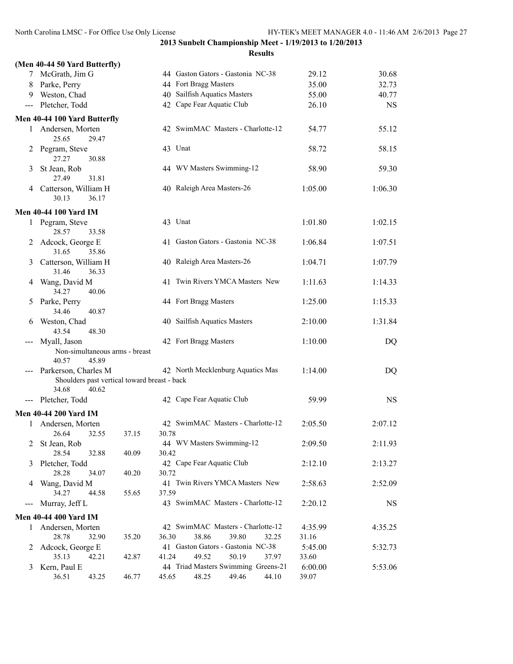**2013 Sunbelt Championship Meet - 1/19/2013 to 1/20/2013 Results**

|                     | (Men 40-44 50 Yard Butterfly)                                  |       |       |                                     |                  |           |
|---------------------|----------------------------------------------------------------|-------|-------|-------------------------------------|------------------|-----------|
|                     | 7 McGrath, Jim G                                               |       |       | 44 Gaston Gators - Gastonia NC-38   | 29.12            | 30.68     |
| 8                   | Parke, Perry                                                   |       |       | 44 Fort Bragg Masters               | 35.00            | 32.73     |
|                     | 9 Weston, Chad                                                 |       |       | 40 Sailfish Aquatics Masters        | 55.00            | 40.77     |
| $\qquad \qquad - -$ | Pletcher, Todd                                                 |       |       | 42 Cape Fear Aquatic Club           | 26.10            | <b>NS</b> |
|                     | Men 40-44 100 Yard Butterfly                                   |       |       |                                     |                  |           |
|                     | 1 Andersen, Morten<br>25.65<br>29.47                           |       |       | 42 SwimMAC Masters - Charlotte-12   | 54.77            | 55.12     |
| 2                   | Pegram, Steve<br>27.27<br>30.88                                |       |       | 43 Unat                             | 58.72            | 58.15     |
| 3                   | St Jean, Rob<br>31.81<br>27.49                                 |       |       | 44 WV Masters Swimming-12           | 58.90            | 59.30     |
|                     | 4 Catterson, William H<br>30.13<br>36.17                       |       |       | 40 Raleigh Area Masters-26          | 1:05.00          | 1:06.30   |
|                     | <b>Men 40-44 100 Yard IM</b>                                   |       |       |                                     |                  |           |
| $\mathbf{1}$        | Pegram, Steve<br>28.57<br>33.58                                |       |       | 43 Unat                             | 1:01.80          | 1:02.15   |
|                     | 2 Adcock, George E<br>31.65<br>35.86                           |       |       | 41 Gaston Gators - Gastonia NC-38   | 1:06.84          | 1:07.51   |
| 3                   | Catterson, William H<br>31.46<br>36.33                         |       |       | 40 Raleigh Area Masters-26          | 1:04.71          | 1:07.79   |
| 4                   | Wang, David M<br>34.27<br>40.06                                |       |       | 41 Twin Rivers YMCA Masters New     | 1:11.63          | 1:14.33   |
| 5                   | Parke, Perry<br>34.46<br>40.87                                 |       |       | 44 Fort Bragg Masters               | 1:25.00          | 1:15.33   |
| 6                   | Weston, Chad<br>43.54<br>48.30                                 |       |       | 40 Sailfish Aquatics Masters        | 2:10.00          | 1:31.84   |
|                     | Myall, Jason                                                   |       |       | 42 Fort Bragg Masters               | 1:10.00          | DQ        |
|                     | Non-simultaneous arms - breast<br>40.57<br>45.89               |       |       |                                     |                  |           |
|                     | Parkerson, Charles M                                           |       |       | 42 North Mecklenburg Aquatics Mas   | 1:14.00          | DQ        |
|                     | Shoulders past vertical toward breast - back<br>34.68<br>40.62 |       |       |                                     |                  |           |
| $---$               | Pletcher, Todd                                                 |       |       | 42 Cape Fear Aquatic Club           | 59.99            | <b>NS</b> |
|                     | <b>Men 40-44 200 Yard IM</b>                                   |       |       |                                     |                  |           |
|                     | 1 Andersen, Morten                                             |       |       | 42 SwimMAC Masters - Charlotte-12   | 2:05.50          | 2:07.12   |
|                     | 26.64 32.55                                                    | 37.15 | 30.78 |                                     |                  |           |
|                     | St Jean, Rob                                                   |       |       | 44 WV Masters Swimming-12           | 2:09.50          | 2:11.93   |
|                     | 28.54<br>32.88                                                 | 40.09 | 30.42 |                                     |                  |           |
| 3                   | Pletcher, Todd                                                 |       |       | 42 Cape Fear Aquatic Club           | 2:12.10          | 2:13.27   |
|                     | 28.28<br>34.07                                                 | 40.20 | 30.72 |                                     |                  |           |
| 4                   | Wang, David M                                                  |       |       | 41 Twin Rivers YMCA Masters New     | 2:58.63          | 2:52.09   |
| $---$               | 34.27<br>44.58<br>Murray, Jeff L                               | 55.65 | 37.59 | 43 SwimMAC Masters - Charlotte-12   | 2:20.12          | NS        |
|                     |                                                                |       |       |                                     |                  |           |
|                     | <b>Men 40-44 400 Yard IM</b>                                   |       |       | 42 SwimMAC Masters - Charlotte-12   |                  |           |
| 1                   | Andersen, Morten<br>28.78<br>32.90                             | 35.20 | 36.30 | 38.86<br>39.80<br>32.25             | 4:35.99<br>31.16 | 4:35.25   |
| 2                   | Adcock, George E                                               |       |       | 41 Gaston Gators - Gastonia NC-38   | 5:45.00          | 5:32.73   |
|                     | 35.13<br>42.21                                                 | 42.87 | 41.24 | 49.52<br>50.19<br>37.97             | 33.60            |           |
| 3                   | Kern, Paul E                                                   |       |       | 44 Triad Masters Swimming Greens-21 | 6:00.00          | 5:53.06   |
|                     | 36.51<br>43.25                                                 | 46.77 | 45.65 | 49.46<br>48.25<br>44.10             | 39.07            |           |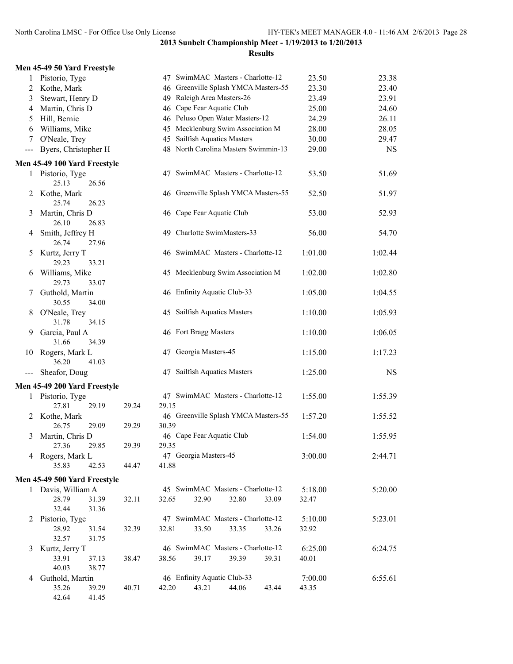|                | Men 45-49 50 Yard Freestyle        |       |       |                                      |       |       |         |           |
|----------------|------------------------------------|-------|-------|--------------------------------------|-------|-------|---------|-----------|
| $\mathbf{1}$   | Pistorio, Tyge                     |       |       | 47 SwimMAC Masters - Charlotte-12    |       |       | 23.50   | 23.38     |
| 2              | Kothe, Mark                        |       |       | 46 Greenville Splash YMCA Masters-55 |       |       | 23.30   | 23.40     |
| 3              | Stewart, Henry D                   |       |       | 49 Raleigh Area Masters-26           |       |       | 23.49   | 23.91     |
| 4              | Martin, Chris D                    |       |       | 46 Cape Fear Aquatic Club            |       |       | 25.00   | 24.60     |
| 5              | Hill, Bernie                       |       |       | 46 Peluso Open Water Masters-12      |       |       | 24.29   | 26.11     |
| 6              | Williams, Mike                     |       |       | 45 Mecklenburg Swim Association M    |       |       | 28.00   | 28.05     |
| 7              | O'Neale, Trey                      |       |       | 45 Sailfish Aquatics Masters         |       |       | 30.00   | 29.47     |
| $--$           | Byers, Christopher H               |       |       | 48 North Carolina Masters Swimmin-13 |       |       | 29.00   | <b>NS</b> |
|                | Men 45-49 100 Yard Freestyle       |       |       |                                      |       |       |         |           |
|                | 1 Pistorio, Tyge<br>25.13<br>26.56 |       |       | 47 SwimMAC Masters - Charlotte-12    |       |       | 53.50   | 51.69     |
| 2              | Kothe, Mark<br>25.74<br>26.23      |       |       | 46 Greenville Splash YMCA Masters-55 |       |       | 52.50   | 51.97     |
| 3              | Martin, Chris D<br>26.10<br>26.83  |       |       | 46 Cape Fear Aquatic Club            |       |       | 53.00   | 52.93     |
| 4              | Smith, Jeffrey H<br>26.74<br>27.96 |       |       | 49 Charlotte SwimMasters-33          |       |       | 56.00   | 54.70     |
| 5              | Kurtz, Jerry T<br>29.23<br>33.21   |       |       | 46 SwimMAC Masters - Charlotte-12    |       |       | 1:01.00 | 1:02.44   |
| 6              | Williams, Mike<br>29.73<br>33.07   |       |       | 45 Mecklenburg Swim Association M    |       |       | 1:02.00 | 1:02.80   |
| 7              | Guthold, Martin<br>30.55<br>34.00  |       |       | 46 Enfinity Aquatic Club-33          |       |       | 1:05.00 | 1:04.55   |
| 8              | O'Neale, Trey<br>31.78<br>34.15    |       |       | 45 Sailfish Aquatics Masters         |       |       | 1:10.00 | 1:05.93   |
| 9              | Garcia, Paul A<br>31.66<br>34.39   |       |       | 46 Fort Bragg Masters                |       |       | 1:10.00 | 1:06.05   |
| 10             | Rogers, Mark L<br>36.20<br>41.03   |       |       | 47 Georgia Masters-45                |       |       | 1:15.00 | 1:17.23   |
| ---            | Sheafor, Doug                      |       |       | 47 Sailfish Aquatics Masters         |       |       | 1:25.00 | NS        |
|                | Men 45-49 200 Yard Freestyle       |       |       |                                      |       |       |         |           |
| 1              | Pistorio, Tyge<br>27.81<br>29.19   | 29.24 | 29.15 | 47 SwimMAC Masters - Charlotte-12    |       |       | 1:55.00 | 1:55.39   |
| 2              | Kothe, Mark<br>26.75<br>29.09      | 29.29 | 30.39 | 46 Greenville Splash YMCA Masters-55 |       |       | 1:57.20 | 1:55.52   |
| 3              | Martin, Chris D<br>29.85<br>27.36  | 29.39 | 29.35 | 46 Cape Fear Aquatic Club            |       |       | 1:54.00 | 1:55.95   |
|                | 4 Rogers, Mark L<br>35.83<br>42.53 | 44.47 | 41.88 | 47 Georgia Masters-45                |       |       | 3:00.00 | 2:44.71   |
|                | Men 45-49 500 Yard Freestyle       |       |       |                                      |       |       |         |           |
|                | 1 Davis, William A                 |       |       | 45 SwimMAC Masters - Charlotte-12    |       |       | 5:18.00 | 5:20.00   |
|                | 28.79<br>31.39                     | 32.11 | 32.65 | 32.90                                | 32.80 | 33.09 | 32.47   |           |
|                | 32.44<br>31.36                     |       |       |                                      |       |       |         |           |
| $\mathbb{Z}^+$ | Pistorio, Tyge                     |       |       | 47 SwimMAC Masters - Charlotte-12    |       |       | 5:10.00 | 5:23.01   |
|                | 28.92<br>31.54                     | 32.39 | 32.81 | 33.50                                | 33.35 | 33.26 | 32.92   |           |
|                | 32.57<br>31.75                     |       |       |                                      |       |       |         |           |
| 3              | Kurtz, Jerry T                     |       |       | 46 SwimMAC Masters - Charlotte-12    |       |       | 6:25.00 | 6:24.75   |
|                | 33.91<br>37.13                     | 38.47 | 38.56 | 39.17                                | 39.39 | 39.31 | 40.01   |           |
|                | 40.03<br>38.77                     |       |       |                                      |       |       |         |           |
| 4              | Guthold, Martin                    |       |       | 46 Enfinity Aquatic Club-33          |       |       | 7:00.00 | 6:55.61   |
|                | 35.26<br>39.29                     | 40.71 | 42.20 | 43.21                                | 44.06 | 43.44 | 43.35   |           |
|                | 42.64<br>41.45                     |       |       |                                      |       |       |         |           |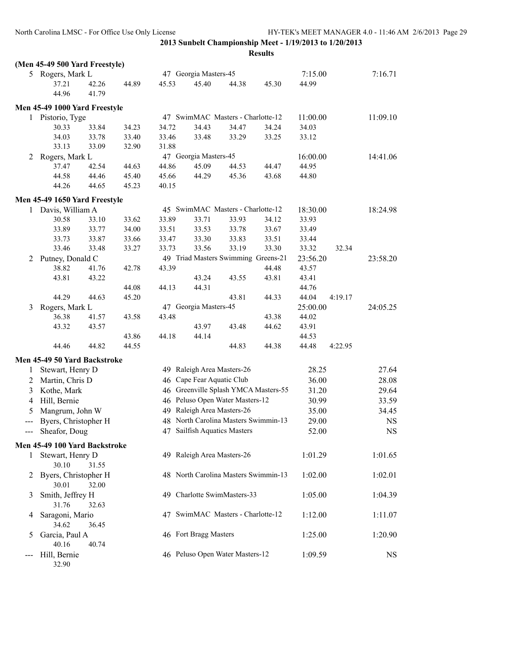|              | (Men 45-49 500 Yard Freestyle) |       |       |       |                                      |       |       |          |         |           |
|--------------|--------------------------------|-------|-------|-------|--------------------------------------|-------|-------|----------|---------|-----------|
|              | 5 Rogers, Mark L               |       |       |       | 47 Georgia Masters-45                |       |       | 7:15.00  |         | 7:16.71   |
|              | 37.21                          | 42.26 | 44.89 | 45.53 | 45.40                                | 44.38 | 45.30 | 44.99    |         |           |
|              | 44.96                          | 41.79 |       |       |                                      |       |       |          |         |           |
|              | Men 45-49 1000 Yard Freestyle  |       |       |       |                                      |       |       |          |         |           |
|              | 1 Pistorio, Tyge               |       |       |       | 47 SwimMAC Masters - Charlotte-12    |       |       | 11:00.00 |         | 11:09.10  |
|              | 30.33                          | 33.84 | 34.23 | 34.72 | 34.43                                | 34.47 | 34.24 | 34.03    |         |           |
|              | 34.03                          | 33.78 | 33.40 | 33.46 | 33.48                                | 33.29 | 33.25 | 33.12    |         |           |
|              | 33.13                          | 33.09 | 32.90 | 31.88 |                                      |       |       |          |         |           |
| 2            | Rogers, Mark L                 |       |       |       | 47 Georgia Masters-45                |       |       | 16:00.00 |         | 14:41.06  |
|              | 37.47                          | 42.54 | 44.63 | 44.86 | 45.09                                | 44.53 | 44.47 | 44.95    |         |           |
|              | 44.58                          | 44.46 | 45.40 | 45.66 | 44.29                                | 45.36 | 43.68 | 44.80    |         |           |
|              | 44.26                          | 44.65 | 45.23 | 40.15 |                                      |       |       |          |         |           |
|              | Men 45-49 1650 Yard Freestyle  |       |       |       |                                      |       |       |          |         |           |
| $\mathbf{1}$ | Davis, William A               |       |       |       | 45 SwimMAC Masters - Charlotte-12    |       |       | 18:30.00 |         | 18:24.98  |
|              | 30.58                          | 33.10 | 33.62 | 33.89 | 33.71                                | 33.93 | 34.12 | 33.93    |         |           |
|              | 33.89                          | 33.77 | 34.00 | 33.51 | 33.53                                | 33.78 | 33.67 | 33.49    |         |           |
|              | 33.73                          | 33.87 | 33.66 | 33.47 | 33.30                                | 33.83 | 33.51 | 33.44    |         |           |
|              | 33.46                          | 33.48 | 33.27 | 33.73 | 33.56                                | 33.19 | 33.30 | 33.32    | 32.34   |           |
| 2            | Putney, Donald C               |       |       |       | 49 Triad Masters Swimming Greens-21  |       |       | 23:56.20 |         | 23:58.20  |
|              | 38.82                          | 41.76 | 42.78 | 43.39 |                                      |       | 44.48 | 43.57    |         |           |
|              | 43.81                          | 43.22 |       |       | 43.24                                | 43.55 | 43.81 | 43.41    |         |           |
|              |                                |       | 44.08 | 44.13 | 44.31                                |       |       | 44.76    |         |           |
|              | 44.29                          | 44.63 | 45.20 |       |                                      | 43.81 | 44.33 | 44.04    | 4:19.17 |           |
| 3            | Rogers, Mark L                 |       |       |       | 47 Georgia Masters-45                |       |       | 25:00.00 |         | 24:05.25  |
|              | 36.38                          | 41.57 | 43.58 | 43.48 |                                      |       | 43.38 | 44.02    |         |           |
|              | 43.32                          | 43.57 |       |       | 43.97                                | 43.48 | 44.62 | 43.91    |         |           |
|              |                                |       | 43.86 | 44.18 | 44.14                                |       |       | 44.53    |         |           |
|              | 44.46                          | 44.82 | 44.55 |       |                                      | 44.83 | 44.38 | 44.48    | 4:22.95 |           |
|              | Men 45-49 50 Yard Backstroke   |       |       |       |                                      |       |       |          |         |           |
| 1            | Stewart, Henry D               |       |       |       | 49 Raleigh Area Masters-26           |       |       | 28.25    |         | 27.64     |
|              |                                |       |       |       | Cape Fear Aquatic Club               |       |       |          |         |           |
| 2            | Martin, Chris D                |       |       | 46    |                                      |       |       | 36.00    |         | 28.08     |
| 3            | Kothe, Mark                    |       |       |       | 46 Greenville Splash YMCA Masters-55 |       |       | 31.20    |         | 29.64     |
| 4            | Hill, Bernie                   |       |       |       | 46 Peluso Open Water Masters-12      |       |       | 30.99    |         | 33.59     |
| 5            | Mangrum, John W                |       |       |       | 49 Raleigh Area Masters-26           |       |       | 35.00    |         | 34.45     |
| $---$        | Byers, Christopher H           |       |       |       | 48 North Carolina Masters Swimmin-13 |       |       | 29.00    |         | <b>NS</b> |
| $---$        | Sheafor, Doug                  |       |       | 47    | Sailfish Aquatics Masters            |       |       | 52.00    |         | <b>NS</b> |
|              | Men 45-49 100 Yard Backstroke  |       |       |       |                                      |       |       |          |         |           |
| 1            | Stewart, Henry D<br>30.10      | 31.55 |       |       | 49 Raleigh Area Masters-26           |       |       | 1:01.29  |         | 1:01.65   |
| 2            | Byers, Christopher H<br>30.01  | 32.00 |       |       | 48 North Carolina Masters Swimmin-13 |       |       | 1:02.00  |         | 1:02.01   |
| 3            | Smith, Jeffrey H<br>31.76      |       |       |       | 49 Charlotte SwimMasters-33          |       |       | 1:05.00  |         | 1:04.39   |
| 4            | Saragoni, Mario                | 32.63 |       |       | 47 SwimMAC Masters - Charlotte-12    |       |       | 1:12.00  |         | 1:11.07   |
| 5            | 34.62<br>Garcia, Paul A        | 36.45 |       |       | 46 Fort Bragg Masters                |       |       | 1:25.00  |         | 1:20.90   |
|              | 40.16<br>Hill, Bernie<br>32.90 | 40.74 |       |       | 46 Peluso Open Water Masters-12      |       |       | 1:09.59  |         | NS        |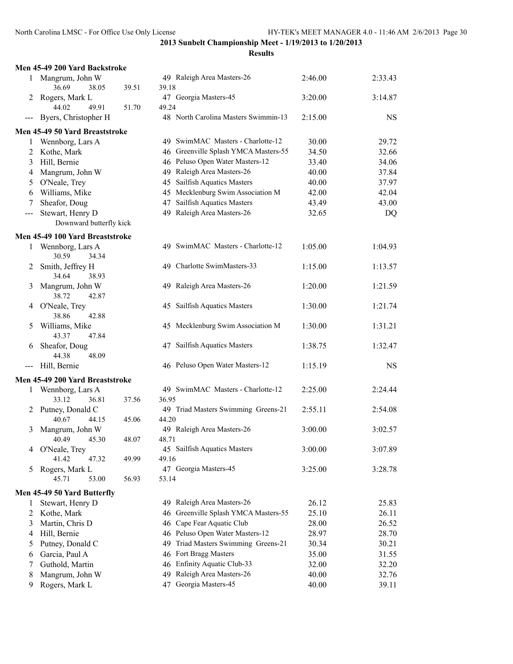|                     | Men 45-49 200 Yard Backstroke        |       |                                      |         |           |
|---------------------|--------------------------------------|-------|--------------------------------------|---------|-----------|
|                     | 1 Mangrum, John W                    |       | 49 Raleigh Area Masters-26           | 2:46.00 | 2:33.43   |
|                     | 36.69<br>38.05                       | 39.51 | 39.18                                |         |           |
| 2                   | Rogers, Mark L                       |       | 47 Georgia Masters-45                | 3:20.00 | 3:14.87   |
|                     | 44.02<br>49.91                       | 51.70 | 49.24                                |         |           |
| $\qquad \qquad - -$ | Byers, Christopher H                 |       | 48 North Carolina Masters Swimmin-13 | 2:15.00 | <b>NS</b> |
|                     | Men 45-49 50 Yard Breaststroke       |       |                                      |         |           |
| 1                   | Wennborg, Lars A                     |       | 49 SwimMAC Masters - Charlotte-12    | 30.00   | 29.72     |
| 2                   | Kothe, Mark                          |       | 46 Greenville Splash YMCA Masters-55 | 34.50   | 32.66     |
| 3                   | Hill, Bernie                         |       | 46 Peluso Open Water Masters-12      | 33.40   | 34.06     |
| 4                   | Mangrum, John W                      |       | 49 Raleigh Area Masters-26           | 40.00   | 37.84     |
| 5                   | O'Neale, Trey                        |       | 45 Sailfish Aquatics Masters         | 40.00   | 37.97     |
| 6                   | Williams, Mike                       |       | 45 Mecklenburg Swim Association M    | 42.00   | 42.04     |
| 7                   | Sheafor, Doug                        |       | 47 Sailfish Aquatics Masters         | 43.49   | 43.00     |
| $\qquad \qquad -$   | Stewart, Henry D                     |       | 49 Raleigh Area Masters-26           | 32.65   | DQ        |
|                     | Downward butterfly kick              |       |                                      |         |           |
|                     | Men 45-49 100 Yard Breaststroke      |       |                                      |         |           |
| 1                   | Wennborg, Lars A                     |       | 49 SwimMAC Masters - Charlotte-12    | 1:05.00 | 1:04.93   |
|                     | 30.59<br>34.34                       |       |                                      |         |           |
| 2                   | Smith, Jeffrey H                     |       | 49 Charlotte SwimMasters-33          | 1:15.00 | 1:13.57   |
|                     | 34.64<br>38.93                       |       |                                      |         |           |
| 3                   | Mangrum, John W                      |       | 49 Raleigh Area Masters-26           | 1:20.00 | 1:21.59   |
|                     | 38.72<br>42.87                       |       |                                      |         |           |
|                     | 4 O'Neale, Trey                      |       | 45 Sailfish Aquatics Masters         | 1:30.00 | 1:21.74   |
|                     | 38.86<br>42.88                       |       |                                      |         |           |
| 5                   | Williams, Mike<br>43.37<br>47.84     |       | 45 Mecklenburg Swim Association M    | 1:30.00 | 1:31.21   |
|                     | Sheafor, Doug                        |       | 47 Sailfish Aquatics Masters         | 1:38.75 | 1:32.47   |
| 6                   | 44.38<br>48.09                       |       |                                      |         |           |
| $---$               | Hill, Bernie                         |       | 46 Peluso Open Water Masters-12      | 1:15.19 | <b>NS</b> |
|                     |                                      |       |                                      |         |           |
|                     | Men 45-49 200 Yard Breaststroke      |       | 49 SwimMAC Masters - Charlotte-12    |         |           |
|                     | 1 Wennborg, Lars A<br>33.12<br>36.81 | 37.56 | 36.95                                | 2:25.00 | 2:24.44   |
|                     | 2 Putney, Donald C                   |       | 49 Triad Masters Swimming Greens-21  | 2:55.11 | 2:54.08   |
|                     | 40.67<br>44.15                       | 45.06 | 44.20                                |         |           |
| 3                   | Mangrum, John W                      |       | 49 Raleigh Area Masters-26           | 3:00.00 | 3:02.57   |
|                     | 40.49<br>45.30                       | 48.07 | 48.71                                |         |           |
|                     | 4 O'Neale, Trey                      |       | 45 Sailfish Aquatics Masters         | 3:00.00 | 3:07.89   |
|                     | 41.42<br>47.32                       | 49.99 | 49.16                                |         |           |
| 5                   | Rogers, Mark L                       |       | 47 Georgia Masters-45                | 3:25.00 | 3:28.78   |
|                     | 45.71<br>53.00                       | 56.93 | 53.14                                |         |           |
|                     | Men 45-49 50 Yard Butterfly          |       |                                      |         |           |
| 1                   | Stewart, Henry D                     |       | 49 Raleigh Area Masters-26           | 26.12   | 25.83     |
| 2                   | Kothe, Mark                          |       | 46 Greenville Splash YMCA Masters-55 | 25.10   | 26.11     |
| 3                   | Martin, Chris D                      |       | 46 Cape Fear Aquatic Club            | 28.00   | 26.52     |
| 4                   | Hill, Bernie                         |       | 46 Peluso Open Water Masters-12      | 28.97   | 28.70     |
| 5                   | Putney, Donald C                     |       | 49 Triad Masters Swimming Greens-21  | 30.34   | 30.21     |
| 6                   | Garcia, Paul A                       |       | 46 Fort Bragg Masters                | 35.00   | 31.55     |
| 7                   | Guthold, Martin                      |       | 46 Enfinity Aquatic Club-33          | 32.00   | 32.20     |
| 8                   | Mangrum, John W                      |       | 49 Raleigh Area Masters-26           | 40.00   | 32.76     |
| 9                   | Rogers, Mark L                       |       | 47 Georgia Masters-45                | 40.00   | 39.11     |
|                     |                                      |       |                                      |         |           |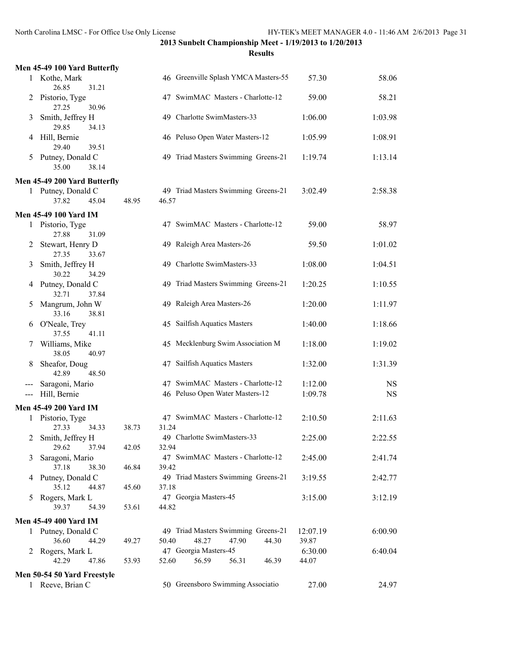|     | Men 45-49 100 Yard Butterfly         |       |                                                           |                  |           |
|-----|--------------------------------------|-------|-----------------------------------------------------------|------------------|-----------|
|     | 1 Kothe, Mark<br>26.85<br>31.21      |       | 46 Greenville Splash YMCA Masters-55                      | 57.30            | 58.06     |
| 2   | Pistorio, Tyge<br>27.25<br>30.96     |       | 47 SwimMAC Masters - Charlotte-12                         | 59.00            | 58.21     |
| 3   | Smith, Jeffrey H<br>29.85<br>34.13   |       | 49 Charlotte SwimMasters-33                               | 1:06.00          | 1:03.98   |
| 4   | Hill, Bernie<br>29.40<br>39.51       |       | 46 Peluso Open Water Masters-12                           | 1:05.99          | 1:08.91   |
| 5   | Putney, Donald C<br>35.00<br>38.14   |       | 49 Triad Masters Swimming Greens-21                       | 1:19.74          | 1:13.14   |
|     | Men 45-49 200 Yard Butterfly         |       |                                                           |                  |           |
|     | 1 Putney, Donald C<br>37.82<br>45.04 | 48.95 | 49 Triad Masters Swimming Greens-21<br>46.57              | 3:02.49          | 2:58.38   |
|     | <b>Men 45-49 100 Yard IM</b>         |       |                                                           |                  |           |
|     | 1 Pistorio, Tyge<br>27.88<br>31.09   |       | 47 SwimMAC Masters - Charlotte-12                         | 59.00            | 58.97     |
| 2   | Stewart, Henry D<br>27.35<br>33.67   |       | 49 Raleigh Area Masters-26                                | 59.50            | 1:01.02   |
| 3   | Smith, Jeffrey H<br>30.22<br>34.29   |       | 49 Charlotte SwimMasters-33                               | 1:08.00          | 1:04.51   |
| 4   | Putney, Donald C<br>32.71<br>37.84   |       | 49 Triad Masters Swimming Greens-21                       | 1:20.25          | 1:10.55   |
| 5   | Mangrum, John W<br>33.16<br>38.81    |       | 49 Raleigh Area Masters-26                                | 1:20.00          | 1:11.97   |
| 6   | O'Neale, Trey<br>37.55<br>41.11      |       | 45 Sailfish Aquatics Masters                              | 1:40.00          | 1:18.66   |
| 7   | Williams, Mike<br>38.05<br>40.97     |       | 45 Mecklenburg Swim Association M                         | 1:18.00          | 1:19.02   |
| 8   | Sheafor, Doug<br>42.89<br>48.50      |       | 47 Sailfish Aquatics Masters                              | 1:32.00          | 1:31.39   |
|     | Saragoni, Mario                      |       | 47 SwimMAC Masters - Charlotte-12                         | 1:12.00          | <b>NS</b> |
| --- | Hill, Bernie                         |       | 46 Peluso Open Water Masters-12                           | 1:09.78          | <b>NS</b> |
|     | Men 45-49 200 Yard IM                |       |                                                           |                  |           |
|     | 1 Pistorio, Tyge                     |       | 47 SwimMAC Masters - Charlotte-12                         | 2:10.50          | 2:11.63   |
|     | 27.33<br>34.33                       | 38.73 | 31.24                                                     |                  |           |
|     | 2 Smith, Jeffrey H                   |       | 49 Charlotte SwimMasters-33                               | 2:25.00          | 2:22.55   |
|     | 29.62<br>37.94<br>Saragoni, Mario    | 42.05 | 32.94<br>47 SwimMAC Masters - Charlotte-12                | 2:45.00          |           |
| 3   | 37.18<br>38.30                       | 46.84 | 39.42                                                     |                  | 2:41.74   |
| 4   | Putney, Donald C                     |       | 49 Triad Masters Swimming Greens-21                       | 3:19.55          | 2:42.77   |
|     | 35.12<br>44.87                       | 45.60 | 37.18                                                     |                  |           |
| 5   | Rogers, Mark L<br>39.37<br>54.39     | 53.61 | 47 Georgia Masters-45<br>44.82                            | 3:15.00          | 3:12.19   |
|     | Men 45-49 400 Yard IM                |       |                                                           |                  |           |
|     | 1 Putney, Donald C                   |       | 49 Triad Masters Swimming Greens-21                       | 12:07.19         | 6:00.90   |
|     | 36.60<br>44.29                       | 49.27 | 50.40<br>48.27<br>47.90<br>44.30                          | 39.87            |           |
|     | 2 Rogers, Mark L<br>42.29<br>47.86   | 53.93 | 47 Georgia Masters-45<br>52.60<br>56.59<br>56.31<br>46.39 | 6:30.00<br>44.07 | 6:40.04   |
|     | Men 50-54 50 Yard Freestyle          |       |                                                           |                  |           |
|     | 1 Reeve, Brian C                     |       | 50 Greensboro Swimming Associatio                         | 27.00            | 24.97     |
|     |                                      |       |                                                           |                  |           |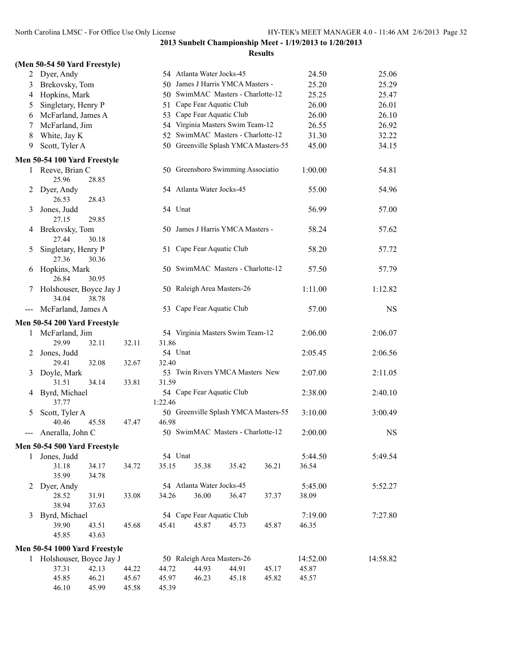|  |  | (Men 50-54 50 Yard Freestyle) |
|--|--|-------------------------------|

| 2     | Dyer, Andy                    |                |                |                | 54 Atlanta Water Jocks-45            |       |       | 24.50    | 25.06     |
|-------|-------------------------------|----------------|----------------|----------------|--------------------------------------|-------|-------|----------|-----------|
| 3     | Brekovsky, Tom                |                |                |                | 50 James J Harris YMCA Masters -     |       |       | 25.20    | 25.29     |
| 4     | Hopkins, Mark                 |                |                |                | 50 SwimMAC Masters - Charlotte-12    |       |       | 25.25    | 25.47     |
| 5     | Singletary, Henry P           |                |                |                | 51 Cape Fear Aquatic Club            |       |       | 26.00    | 26.01     |
| 6     | McFarland, James A            |                |                |                | 53 Cape Fear Aquatic Club            |       |       | 26.00    | 26.10     |
| 7     | McFarland, Jim                |                |                |                | 54 Virginia Masters Swim Team-12     |       |       | 26.55    | 26.92     |
| 8     | White, Jay K                  |                |                |                | 52 SwimMAC Masters - Charlotte-12    |       |       | 31.30    | 32.22     |
| 9     | Scott, Tyler A                |                |                |                | 50 Greenville Splash YMCA Masters-55 |       |       | 45.00    | 34.15     |
|       | Men 50-54 100 Yard Freestyle  |                |                |                |                                      |       |       |          |           |
| 1     | Reeve, Brian C                |                |                |                | 50 Greensboro Swimming Associatio    |       |       | 1:00.00  | 54.81     |
|       | 25.96                         | 28.85          |                |                |                                      |       |       |          |           |
| 2     | Dyer, Andy                    |                |                |                | 54 Atlanta Water Jocks-45            |       |       | 55.00    | 54.96     |
|       | 26.53                         | 28.43          |                |                |                                      |       |       |          |           |
| 3     | Jones, Judd                   |                |                | 54 Unat        |                                      |       |       | 56.99    | 57.00     |
|       | 27.15                         | 29.85          |                |                |                                      |       |       |          |           |
| 4     | Brekovsky, Tom                |                |                |                | 50 James J Harris YMCA Masters -     |       |       | 58.24    | 57.62     |
|       | 27.44                         | 30.18          |                |                |                                      |       |       |          |           |
| 5     | Singletary, Henry P           |                |                |                | 51 Cape Fear Aquatic Club            |       |       | 58.20    | 57.72     |
|       | 27.36                         | 30.36          |                |                |                                      |       |       |          |           |
| 6     | Hopkins, Mark                 |                |                |                | 50 SwimMAC Masters - Charlotte-12    |       |       | 57.50    | 57.79     |
|       | 26.84                         | 30.95          |                |                |                                      |       |       |          |           |
| 7     | Holshouser, Boyce Jay J       |                |                |                | 50 Raleigh Area Masters-26           |       |       | 1:11.00  | 1:12.82   |
|       | 34.04                         | 38.78          |                |                |                                      |       |       |          |           |
| $---$ | McFarland, James A            |                |                |                | 53 Cape Fear Aquatic Club            |       |       | 57.00    | <b>NS</b> |
|       | Men 50-54 200 Yard Freestyle  |                |                |                |                                      |       |       |          |           |
| 1     | McFarland, Jim                |                |                |                | 54 Virginia Masters Swim Team-12     |       |       | 2:06.00  | 2:06.07   |
|       | 29.99                         | 32.11          | 32.11          | 31.86          |                                      |       |       |          |           |
| 2     | Jones, Judd                   |                |                | 54 Unat        |                                      |       |       | 2:05.45  | 2:06.56   |
|       | 29.41                         | 32.08          | 32.67          | 32.40          |                                      |       |       |          |           |
| 3     | Doyle, Mark                   |                |                |                | 53 Twin Rivers YMCA Masters New      |       |       | 2:07.00  | 2:11.05   |
|       | 31.51                         | 34.14          | 33.81          | 31.59          |                                      |       |       |          |           |
| 4     | Byrd, Michael                 |                |                |                | 54 Cape Fear Aquatic Club            |       |       | 2:38.00  | 2:40.10   |
|       | 37.77                         |                |                | 1:22.46        |                                      |       |       |          |           |
| 5     | Scott, Tyler A                |                |                |                | 50 Greenville Splash YMCA Masters-55 |       |       | 3:10.00  | 3:00.49   |
|       | 40.46                         | 45.58          | 47.47          | 46.98          |                                      |       |       |          |           |
| ---   | Aneralla, John C              |                |                |                | 50 SwimMAC Masters - Charlotte-12    |       |       | 2:00.00  | <b>NS</b> |
|       | Men 50-54 500 Yard Freestyle  |                |                |                |                                      |       |       |          |           |
| 1     | Jones, Judd                   |                |                |                | 54 Unat                              |       |       | 5:44.50  | 5:49.54   |
|       | 31.18                         | 34.17          | 34.72          | 35.15          | 35.38                                | 35.42 | 36.21 | 36.54    |           |
|       | 35.99                         | 34.78          |                |                |                                      |       |       |          |           |
| 2     | Dyer, Andy                    |                |                |                | 54 Atlanta Water Jocks-45            |       |       | 5:45.00  | 5:52.27   |
|       | 28.52                         | 31.91          | 33.08          | 34.26          | 36.00                                | 36.47 | 37.37 | 38.09    |           |
|       | 38.94                         | 37.63          |                |                |                                      |       |       | 7:19.00  |           |
| 3     | Byrd, Michael<br>39.90        | 43.51          | 45.68          | 45.41          | 54 Cape Fear Aquatic Club<br>45.87   | 45.73 | 45.87 | 46.35    | 7:27.80   |
|       | 45.85                         | 43.63          |                |                |                                      |       |       |          |           |
|       |                               |                |                |                |                                      |       |       |          |           |
|       | Men 50-54 1000 Yard Freestyle |                |                |                |                                      |       |       |          |           |
|       | 1 Holshouser, Boyce Jay J     |                |                |                | 50 Raleigh Area Masters-26           |       |       | 14:52.00 | 14:58.82  |
|       | 37.31                         | 42.13          | 44.22          | 44.72          | 44.93                                | 44.91 | 45.17 | 45.87    |           |
|       | 45.85<br>46.10                | 46.21<br>45.99 | 45.67<br>45.58 | 45.97<br>45.39 | 46.23                                | 45.18 | 45.82 | 45.57    |           |
|       |                               |                |                |                |                                      |       |       |          |           |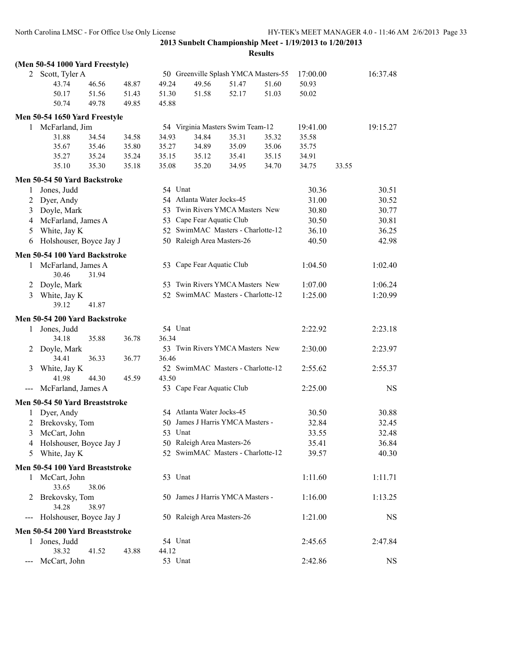|                   | (Men 50-54 1000 Yard Freestyle) |       |       |         |                                      |       |       |          |       |           |
|-------------------|---------------------------------|-------|-------|---------|--------------------------------------|-------|-------|----------|-------|-----------|
|                   | 2 Scott, Tyler A                |       |       |         | 50 Greenville Splash YMCA Masters-55 |       |       | 17:00.00 |       | 16:37.48  |
|                   | 43.74                           | 46.56 | 48.87 | 49.24   | 49.56                                | 51.47 | 51.60 | 50.93    |       |           |
|                   | 50.17                           | 51.56 | 51.43 | 51.30   | 51.58                                | 52.17 | 51.03 | 50.02    |       |           |
|                   | 50.74                           | 49.78 | 49.85 | 45.88   |                                      |       |       |          |       |           |
|                   | Men 50-54 1650 Yard Freestyle   |       |       |         |                                      |       |       |          |       |           |
| 1                 | McFarland, Jim                  |       |       |         | 54 Virginia Masters Swim Team-12     |       |       | 19:41.00 |       | 19:15.27  |
|                   | 31.88                           | 34.54 | 34.58 | 34.93   | 34.84                                | 35.31 | 35.32 | 35.58    |       |           |
|                   | 35.67                           | 35.46 | 35.80 | 35.27   | 34.89                                | 35.09 | 35.06 | 35.75    |       |           |
|                   | 35.27                           | 35.24 | 35.24 | 35.15   | 35.12                                | 35.41 | 35.15 | 34.91    |       |           |
|                   | 35.10                           | 35.30 | 35.18 | 35.08   | 35.20                                | 34.95 | 34.70 | 34.75    | 33.55 |           |
|                   | Men 50-54 50 Yard Backstroke    |       |       |         |                                      |       |       |          |       |           |
| 1                 | Jones, Judd                     |       |       | 54 Unat |                                      |       |       | 30.36    |       | 30.51     |
| 2                 | Dyer, Andy                      |       |       |         | 54 Atlanta Water Jocks-45            |       |       | 31.00    |       | 30.52     |
| 3                 | Doyle, Mark                     |       |       | 53      | Twin Rivers YMCA Masters New         |       |       | 30.80    |       | 30.77     |
| $\overline{4}$    | McFarland, James A              |       |       | 53      | Cape Fear Aquatic Club               |       |       | 30.50    |       | 30.81     |
| 5                 | White, Jay K                    |       |       | 52      | SwimMAC Masters - Charlotte-12       |       |       | 36.10    |       | 36.25     |
| 6                 | Holshouser, Boyce Jay J         |       |       |         | 50 Raleigh Area Masters-26           |       |       | 40.50    |       | 42.98     |
|                   | Men 50-54 100 Yard Backstroke   |       |       |         |                                      |       |       |          |       |           |
| 1                 | McFarland, James A              |       |       |         | 53 Cape Fear Aquatic Club            |       |       | 1:04.50  |       | 1:02.40   |
|                   | 30.46                           | 31.94 |       |         |                                      |       |       |          |       |           |
| 2                 | Doyle, Mark                     |       |       |         | 53 Twin Rivers YMCA Masters New      |       |       | 1:07.00  |       | 1:06.24   |
| 3                 | White, Jay K                    |       |       |         | 52 SwimMAC Masters - Charlotte-12    |       |       | 1:25.00  |       | 1:20.99   |
|                   | 39.12                           | 41.87 |       |         |                                      |       |       |          |       |           |
|                   |                                 |       |       |         |                                      |       |       |          |       |           |
|                   | Men 50-54 200 Yard Backstroke   |       |       |         |                                      |       |       |          |       |           |
| $\mathbf{1}$      | Jones, Judd                     |       |       | 54 Unat |                                      |       |       | 2:22.92  |       | 2:23.18   |
|                   | 34.18                           | 35.88 | 36.78 | 36.34   | 53 Twin Rivers YMCA Masters New      |       |       | 2:30.00  |       | 2:23.97   |
| 2                 | Doyle, Mark<br>34.41            | 36.33 | 36.77 | 36.46   |                                      |       |       |          |       |           |
| 3                 | White, Jay K                    |       |       |         | 52 SwimMAC Masters - Charlotte-12    |       |       | 2:55.62  |       | 2:55.37   |
|                   | 41.98                           | 44.30 | 45.59 | 43.50   |                                      |       |       |          |       |           |
|                   | McFarland, James A              |       |       |         | 53 Cape Fear Aquatic Club            |       |       | 2:25.00  |       | <b>NS</b> |
|                   | Men 50-54 50 Yard Breaststroke  |       |       |         |                                      |       |       |          |       |           |
|                   | 1 Dyer, Andy                    |       |       |         | 54 Atlanta Water Jocks-45            |       |       | 30.50    |       | 30.88     |
| 2                 | Brekovsky, Tom                  |       |       |         | 50 James J Harris YMCA Masters -     |       |       | 32.84    |       | 32.45     |
| 3                 | McCart, John                    |       |       | 53 Unat |                                      |       |       | 33.55    |       | 32.48     |
|                   | 4 Holshouser, Boyce Jay J       |       |       |         | 50 Raleigh Area Masters-26           |       |       | 35.41    |       | 36.84     |
| 5                 | White, Jay K                    |       |       |         | 52 SwimMAC Masters - Charlotte-12    |       |       | 39.57    |       | 40.30     |
|                   |                                 |       |       |         |                                      |       |       |          |       |           |
|                   | Men 50-54 100 Yard Breaststroke |       |       |         |                                      |       |       |          |       |           |
| 1                 | McCart, John                    |       |       | 53 Unat |                                      |       |       | 1:11.60  |       | 1:11.71   |
|                   | 33.65                           | 38.06 |       |         |                                      |       |       |          |       |           |
| 2                 | Brekovsky, Tom                  |       |       |         | 50 James J Harris YMCA Masters -     |       |       | 1:16.00  |       | 1:13.25   |
|                   | 34.28                           | 38.97 |       |         | 50 Raleigh Area Masters-26           |       |       | 1:21.00  |       | <b>NS</b> |
| $\qquad \qquad -$ | Holshouser, Boyce Jay J         |       |       |         |                                      |       |       |          |       |           |
|                   | Men 50-54 200 Yard Breaststroke |       |       |         |                                      |       |       |          |       |           |
| 1                 | Jones, Judd                     |       |       | 54 Unat |                                      |       |       | 2:45.65  |       | 2:47.84   |
|                   | 38.32                           | 41.52 | 43.88 | 44.12   |                                      |       |       |          |       |           |
|                   | McCart, John                    |       |       | 53 Unat |                                      |       |       | 2:42.86  |       | NS        |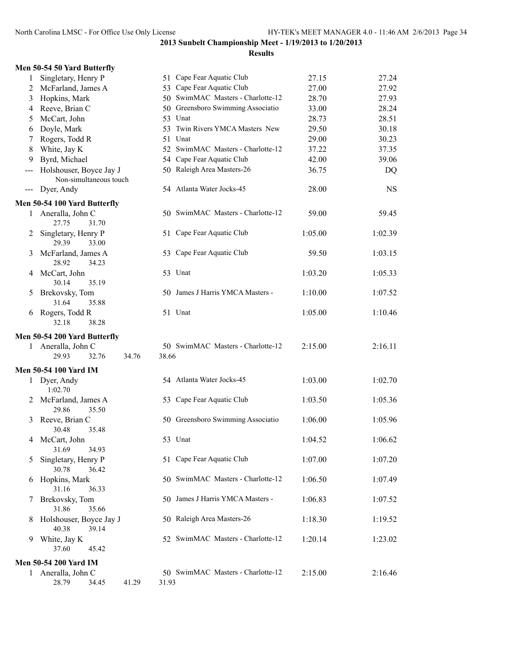|  |  |  |  | Men 50-54 50 Yard Butterfly |
|--|--|--|--|-----------------------------|
|--|--|--|--|-----------------------------|

| 1     | Singletary, Henry P                               |       | 51 Cape Fear Aquatic Club         | 27.15   | 27.24     |
|-------|---------------------------------------------------|-------|-----------------------------------|---------|-----------|
| 2     | McFarland, James A                                |       | 53 Cape Fear Aquatic Club         | 27.00   | 27.92     |
| 3     | Hopkins, Mark                                     |       | 50 SwimMAC Masters - Charlotte-12 | 28.70   | 27.93     |
| 4     | Reeve, Brian C                                    |       | 50 Greensboro Swimming Associatio | 33.00   | 28.24     |
| 5     | McCart, John                                      |       | 53 Unat                           | 28.73   | 28.51     |
| 6     | Doyle, Mark                                       |       | 53 Twin Rivers YMCA Masters New   | 29.50   | 30.18     |
| 7     | Rogers, Todd R                                    |       | 51 Unat                           | 29.00   | 30.23     |
| 8     | White, Jay K                                      |       | 52 SwimMAC Masters - Charlotte-12 | 37.22   | 37.35     |
| 9     | Byrd, Michael                                     |       | 54 Cape Fear Aquatic Club         | 42.00   | 39.06     |
| ---   | Holshouser, Boyce Jay J<br>Non-simultaneous touch |       | 50 Raleigh Area Masters-26        | 36.75   | DQ        |
| $---$ | Dyer, Andy                                        |       | 54 Atlanta Water Jocks-45         | 28.00   | <b>NS</b> |
|       | Men 50-54 100 Yard Butterfly                      |       |                                   |         |           |
| 1     | Aneralla, John C<br>27.75<br>31.70                |       | 50 SwimMAC Masters - Charlotte-12 | 59.00   | 59.45     |
| 2     | Singletary, Henry P<br>29.39<br>33.00             |       | 51 Cape Fear Aquatic Club         | 1:05.00 | 1:02.39   |
| 3     | McFarland, James A<br>28.92<br>34.23              |       | 53 Cape Fear Aquatic Club         | 59.50   | 1:03.15   |
| 4     | McCart, John<br>30.14<br>35.19                    |       | 53 Unat                           | 1:03.20 | 1:05.33   |
| 5     | Brekovsky, Tom<br>31.64<br>35.88                  |       | 50 James J Harris YMCA Masters -  | 1:10.00 | 1:07.52   |
| 6     | Rogers, Todd R<br>32.18<br>38.28                  |       | 51 Unat                           | 1:05.00 | 1:10.46   |
|       |                                                   |       |                                   |         |           |
|       | Men 50-54 200 Yard Butterfly                      |       |                                   |         |           |
|       | 1 Aneralla, John C<br>34.76<br>29.93<br>32.76     | 38.66 | 50 SwimMAC Masters - Charlotte-12 | 2:15.00 | 2:16.11   |
|       |                                                   |       |                                   |         |           |
|       | <b>Men 50-54 100 Yard IM</b>                      |       |                                   |         |           |
|       | 1 Dyer, Andy<br>1:02.70                           |       | 54 Atlanta Water Jocks-45         | 1:03.00 | 1:02.70   |
| 2     | McFarland, James A<br>35.50<br>29.86              |       | 53 Cape Fear Aquatic Club         | 1:03.50 | 1:05.36   |
| 3     | Reeve, Brian C<br>30.48<br>35.48                  |       | 50 Greensboro Swimming Associatio | 1:06.00 | 1:05.96   |
| 4     | McCart, John<br>34.93<br>31.69                    |       | 53 Unat                           | 1:04.52 | 1:06.62   |
| 5     | Singletary, Henry P<br>30.78<br>36.42             |       | 51 Cape Fear Aquatic Club         | 1:07.00 | 1:07.20   |
| 6     | Hopkins, Mark<br>31.16<br>36.33                   |       | 50 SwimMAC Masters - Charlotte-12 | 1:06.50 | 1:07.49   |
| 7     | Brekovsky, Tom<br>31.86<br>35.66                  |       | 50 James J Harris YMCA Masters -  | 1:06.83 | 1:07.52   |
| 8     | Holshouser, Boyce Jay J<br>40.38<br>39.14         |       | 50 Raleigh Area Masters-26        | 1:18.30 | 1:19.52   |
| 9     | White, Jay K<br>37.60<br>45.42                    |       | 52 SwimMAC Masters - Charlotte-12 | 1:20.14 | 1:23.02   |
|       |                                                   |       |                                   |         |           |
|       | <b>Men 50-54 200 Yard IM</b><br>Aneralla, John C  |       | 50 SwimMAC Masters - Charlotte-12 | 2:15.00 | 2:16.46   |
| 1     | 41.29<br>28.79<br>34.45                           | 31.93 |                                   |         |           |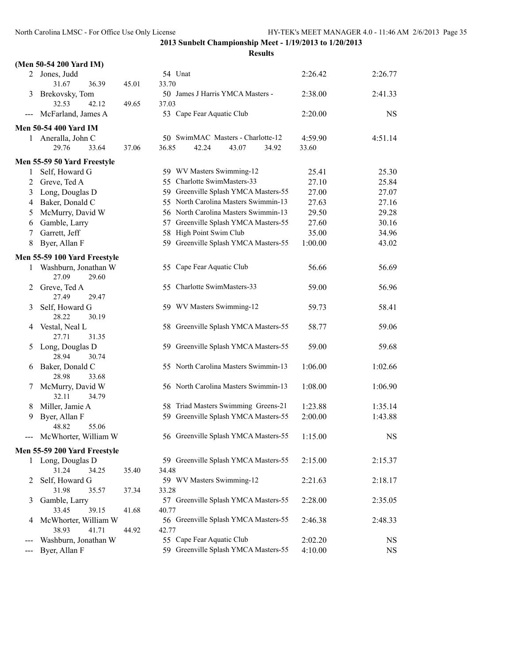|                     | (Men 50-54 200 Yard IM)              |       |                                                                       |                  |             |
|---------------------|--------------------------------------|-------|-----------------------------------------------------------------------|------------------|-------------|
|                     | 2 Jones, Judd                        |       | 54 Unat                                                               | 2:26.42          | 2:26.77     |
|                     | 31.67<br>36.39                       | 45.01 | 33.70                                                                 |                  |             |
| 3                   | Brekovsky, Tom<br>32.53<br>42.12     | 49.65 | 50 James J Harris YMCA Masters -<br>37.03                             | 2:38.00          | 2:41.33     |
| $\qquad \qquad - -$ | McFarland, James A                   |       | 53 Cape Fear Aquatic Club                                             | 2:20.00          | $_{\rm NS}$ |
|                     |                                      |       |                                                                       |                  |             |
|                     | <b>Men 50-54 400 Yard IM</b>         |       |                                                                       |                  |             |
|                     | 1 Aneralla, John C<br>29.76<br>33.64 | 37.06 | 50 SwimMAC Masters - Charlotte-12<br>36.85<br>42.24<br>43.07<br>34.92 | 4:59.90<br>33.60 | 4:51.14     |
|                     |                                      |       |                                                                       |                  |             |
|                     | Men 55-59 50 Yard Freestyle          |       |                                                                       |                  |             |
| 1                   | Self, Howard G                       |       | 59 WV Masters Swimming-12                                             | 25.41            | 25.30       |
| 2                   | Greve, Ted A                         |       | 55 Charlotte SwimMasters-33                                           | 27.10            | 25.84       |
| 3                   | Long, Douglas D                      |       | 59 Greenville Splash YMCA Masters-55                                  | 27.00            | 27.07       |
| 4                   | Baker, Donald C                      |       | 55 North Carolina Masters Swimmin-13                                  | 27.63            | 27.16       |
| 5                   | McMurry, David W                     |       | 56 North Carolina Masters Swimmin-13                                  | 29.50            | 29.28       |
| 6                   | Gamble, Larry                        |       | 57 Greenville Splash YMCA Masters-55                                  | 27.60            | 30.16       |
| 7                   | Garrett, Jeff                        |       | 58 High Point Swim Club                                               | 35.00            | 34.96       |
| 8                   | Byer, Allan F                        |       | 59 Greenville Splash YMCA Masters-55                                  | 1:00.00          | 43.02       |
|                     | Men 55-59 100 Yard Freestyle         |       |                                                                       |                  |             |
|                     | Washburn, Jonathan W                 |       | 55 Cape Fear Aquatic Club                                             | 56.66            | 56.69       |
|                     | 27.09<br>29.60                       |       |                                                                       |                  |             |
| 2                   | Greve, Ted A                         |       | 55 Charlotte SwimMasters-33                                           | 59.00            | 56.96       |
|                     | 27.49<br>29.47                       |       |                                                                       |                  |             |
| 3                   | Self, Howard G                       |       | 59 WV Masters Swimming-12                                             | 59.73            | 58.41       |
|                     | 28.22<br>30.19                       |       |                                                                       |                  |             |
| 4                   | Vestal, Neal L                       |       | 58 Greenville Splash YMCA Masters-55                                  | 58.77            | 59.06       |
|                     | 27.71<br>31.35                       |       |                                                                       |                  |             |
| 5                   | Long, Douglas D                      |       | 59 Greenville Splash YMCA Masters-55                                  | 59.00            | 59.68       |
|                     | 28.94<br>30.74                       |       |                                                                       |                  |             |
| 6                   | Baker, Donald C                      |       | 55 North Carolina Masters Swimmin-13                                  | 1:06.00          | 1:02.66     |
|                     | 33.68<br>28.98                       |       |                                                                       |                  |             |
| 7                   | McMurry, David W                     |       | 56 North Carolina Masters Swimmin-13                                  | 1:08.00          | 1:06.90     |
|                     | 32.11<br>34.79                       |       |                                                                       |                  |             |
| 8                   | Miller, Jamie A                      |       | 58 Triad Masters Swimming Greens-21                                   | 1:23.88          | 1:35.14     |
| 9                   | Byer, Allan F                        |       | 59 Greenville Splash YMCA Masters-55                                  | 2:00.00          | 1:43.88     |
|                     | 48.82<br>55.06                       |       |                                                                       |                  |             |
|                     | McWhorter, William W                 |       | 56 Greenville Splash YMCA Masters-55                                  | 1:15.00          | $_{\rm NS}$ |
|                     | Men 55-59 200 Yard Freestyle         |       |                                                                       |                  |             |
|                     | 1 Long, Douglas D                    |       | 59 Greenville Splash YMCA Masters-55                                  | 2:15.00          | 2:15.37     |
|                     | 31.24<br>34.25                       | 35.40 | 34.48                                                                 |                  |             |
| 2                   | Self, Howard G                       |       | 59 WV Masters Swimming-12                                             | 2:21.63          | 2:18.17     |
|                     | 31.98<br>35.57                       | 37.34 | 33.28                                                                 |                  |             |
| 3                   | Gamble, Larry                        |       | 57 Greenville Splash YMCA Masters-55                                  | 2:28.00          | 2:35.05     |
|                     | 33.45<br>39.15                       | 41.68 | 40.77                                                                 |                  |             |
| 4                   | McWhorter, William W                 |       | 56 Greenville Splash YMCA Masters-55                                  | 2:46.38          | 2:48.33     |
|                     | 38.93<br>41.71                       | 44.92 | 42.77                                                                 |                  |             |
| ---                 | Washburn, Jonathan W                 |       | 55 Cape Fear Aquatic Club                                             | 2:02.20          | <b>NS</b>   |
| ---                 | Byer, Allan F                        |       | 59 Greenville Splash YMCA Masters-55                                  | 4:10.00          | <b>NS</b>   |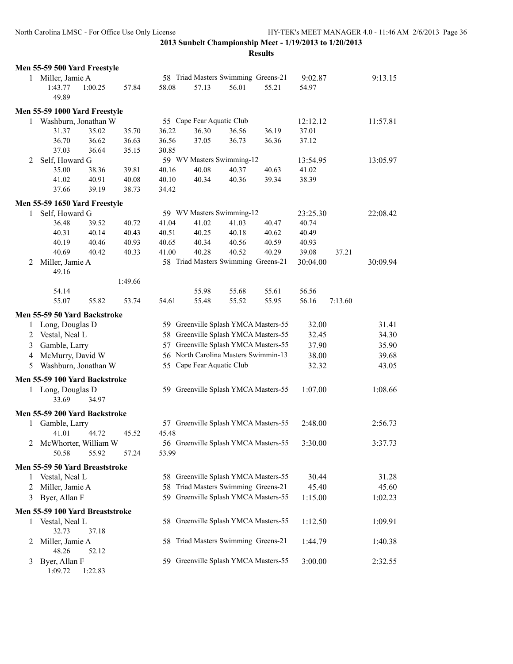|   | Men 55-59 500 Yard Freestyle    |                      |         |       |                           |                                      |       |          |         |          |
|---|---------------------------------|----------------------|---------|-------|---------------------------|--------------------------------------|-------|----------|---------|----------|
| 1 | Miller, Jamie A                 |                      |         |       |                           | 58 Triad Masters Swimming Greens-21  |       | 9:02.87  |         | 9:13.15  |
|   | 1:43.77<br>49.89                | 1:00.25              | 57.84   | 58.08 | 57.13                     | 56.01                                | 55.21 | 54.97    |         |          |
|   | Men 55-59 1000 Yard Freestyle   |                      |         |       |                           |                                      |       |          |         |          |
| 1 | Washburn, Jonathan W            |                      |         |       | 55 Cape Fear Aquatic Club |                                      |       | 12:12.12 |         | 11:57.81 |
|   | 31.37                           | 35.02                | 35.70   | 36.22 | 36.30                     | 36.56                                | 36.19 | 37.01    |         |          |
|   | 36.70                           | 36.62                | 36.63   | 36.56 | 37.05                     | 36.73                                | 36.36 | 37.12    |         |          |
|   | 37.03                           | 36.64                | 35.15   | 30.85 |                           |                                      |       |          |         |          |
| 2 | Self, Howard G                  |                      |         |       |                           | 59 WV Masters Swimming-12            |       | 13:54.95 |         | 13:05.97 |
|   | 35.00                           | 38.36                | 39.81   | 40.16 | 40.08                     | 40.37                                | 40.63 | 41.02    |         |          |
|   | 41.02                           | 40.91                | 40.08   | 40.10 | 40.34                     | 40.36                                | 39.34 | 38.39    |         |          |
|   | 37.66                           | 39.19                | 38.73   | 34.42 |                           |                                      |       |          |         |          |
|   | Men 55-59 1650 Yard Freestyle   |                      |         |       |                           |                                      |       |          |         |          |
| 1 | Self, Howard G                  |                      |         |       |                           | 59 WV Masters Swimming-12            |       | 23:25.30 |         | 22:08.42 |
|   | 36.48                           | 39.52                | 40.72   | 41.04 | 41.02                     | 41.03                                | 40.47 | 40.74    |         |          |
|   | 40.31                           | 40.14                | 40.43   | 40.51 | 40.25                     | 40.18                                | 40.62 | 40.49    |         |          |
|   | 40.19                           | 40.46                | 40.93   | 40.65 | 40.34                     | 40.56                                | 40.59 | 40.93    |         |          |
|   | 40.69                           | 40.42                | 40.33   | 41.00 | 40.28                     | 40.52                                | 40.29 | 39.08    | 37.21   |          |
| 2 | Miller, Jamie A                 |                      |         |       |                           | 58 Triad Masters Swimming Greens-21  |       | 30:04.00 |         | 30:09.94 |
|   | 49.16                           |                      |         |       |                           |                                      |       |          |         |          |
|   |                                 |                      | 1:49.66 |       |                           |                                      |       |          |         |          |
|   | 54.14                           |                      |         |       | 55.98                     | 55.68                                | 55.61 | 56.56    |         |          |
|   | 55.07                           | 55.82                | 53.74   | 54.61 | 55.48                     | 55.52                                | 55.95 | 56.16    | 7:13.60 |          |
|   | Men 55-59 50 Yard Backstroke    |                      |         |       |                           |                                      |       |          |         |          |
| 1 | Long, Douglas D                 |                      |         |       |                           | 59 Greenville Splash YMCA Masters-55 |       | 32.00    |         | 31.41    |
| 2 | Vestal, Neal L                  |                      |         |       |                           | 58 Greenville Splash YMCA Masters-55 |       | 32.45    |         | 34.30    |
| 3 | Gamble, Larry                   |                      |         |       |                           | 57 Greenville Splash YMCA Masters-55 |       | 37.90    |         | 35.90    |
| 4 | McMurry, David W                |                      |         |       |                           | 56 North Carolina Masters Swimmin-13 |       | 38.00    |         | 39.68    |
| 5 |                                 | Washburn, Jonathan W |         |       | 55 Cape Fear Aquatic Club |                                      |       | 32.32    |         | 43.05    |
|   | Men 55-59 100 Yard Backstroke   |                      |         |       |                           |                                      |       |          |         |          |
|   | 1 Long, Douglas D<br>33.69      | 34.97                |         |       |                           | 59 Greenville Splash YMCA Masters-55 |       | 1:07.00  |         | 1:08.66  |
|   |                                 |                      |         |       |                           |                                      |       |          |         |          |
|   | Men 55-59 200 Yard Backstroke   |                      |         |       |                           |                                      |       |          |         |          |
| 1 | Gamble, Larry<br>41.01          | 44.72                | 45.52   | 45.48 |                           | 57 Greenville Splash YMCA Masters-55 |       | 2:48.00  |         | 2:56.73  |
|   |                                 |                      |         |       |                           |                                      |       |          |         |          |
| 2 | McWhorter, William W<br>50.58   | 55.92                | 57.24   | 53.99 |                           | 56 Greenville Splash YMCA Masters-55 |       | 3:30.00  |         | 3:37.73  |
|   |                                 |                      |         |       |                           |                                      |       |          |         |          |
| 1 | Men 55-59 50 Yard Breaststroke  |                      |         |       |                           | 58 Greenville Splash YMCA Masters-55 |       |          |         |          |
|   | Vestal, Neal L                  |                      |         |       |                           | Triad Masters Swimming Greens-21     |       | 30.44    |         | 31.28    |
| 2 | Miller, Jamie A                 |                      |         | 58    |                           | 59 Greenville Splash YMCA Masters-55 |       | 45.40    |         | 45.60    |
| 3 | Byer, Allan F                   |                      |         |       |                           |                                      |       | 1:15.00  |         | 1:02.23  |
|   | Men 55-59 100 Yard Breaststroke |                      |         |       |                           |                                      |       |          |         |          |
| 1 | Vestal, Neal L<br>32.73         | 37.18                |         |       |                           | 58 Greenville Splash YMCA Masters-55 |       | 1:12.50  |         | 1:09.91  |
| 2 | Miller, Jamie A<br>48.26        | 52.12                |         |       |                           | 58 Triad Masters Swimming Greens-21  |       | 1:44.79  |         | 1:40.38  |
| 3 | Byer, Allan F<br>1:09.72        | 1:22.83              |         |       |                           | 59 Greenville Splash YMCA Masters-55 |       | 3:00.00  |         | 2:32.55  |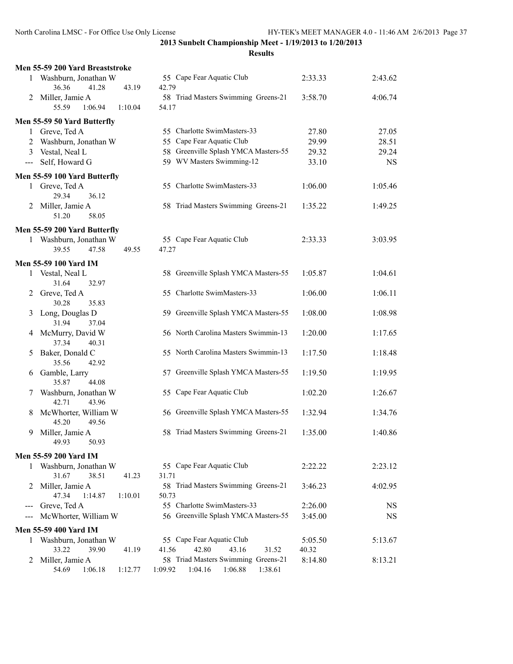|                                                                                                                                                                                                                                                                                                                                                                                              | Men 55-59 200 Yard Breaststroke                 |                                                               |                  |           |
|----------------------------------------------------------------------------------------------------------------------------------------------------------------------------------------------------------------------------------------------------------------------------------------------------------------------------------------------------------------------------------------------|-------------------------------------------------|---------------------------------------------------------------|------------------|-----------|
| 1                                                                                                                                                                                                                                                                                                                                                                                            | Washburn, Jonathan W                            | 55 Cape Fear Aquatic Club                                     | 2:33.33          | 2:43.62   |
|                                                                                                                                                                                                                                                                                                                                                                                              | 36.36<br>41.28<br>43.19                         | 42.79                                                         |                  |           |
| 2                                                                                                                                                                                                                                                                                                                                                                                            | Miller, Jamie A                                 | 58 Triad Masters Swimming Greens-21                           | 3:58.70          | 4:06.74   |
|                                                                                                                                                                                                                                                                                                                                                                                              | 55.59<br>1:06.94<br>1:10.04                     | 54.17                                                         |                  |           |
|                                                                                                                                                                                                                                                                                                                                                                                              | Men 55-59 50 Yard Butterfly                     |                                                               |                  |           |
| $\mathbf{1}$                                                                                                                                                                                                                                                                                                                                                                                 | Greve, Ted A                                    | 55 Charlotte SwimMasters-33                                   | 27.80            | 27.05     |
| 2                                                                                                                                                                                                                                                                                                                                                                                            | Washburn, Jonathan W                            | 55 Cape Fear Aquatic Club                                     | 29.99            | 28.51     |
| 3                                                                                                                                                                                                                                                                                                                                                                                            | Vestal, Neal L                                  | 58 Greenville Splash YMCA Masters-55                          | 29.32            | 29.24     |
| $\frac{1}{2} \frac{1}{2} \frac{1}{2} \frac{1}{2} \frac{1}{2} \frac{1}{2} \frac{1}{2} \frac{1}{2} \frac{1}{2} \frac{1}{2} \frac{1}{2} \frac{1}{2} \frac{1}{2} \frac{1}{2} \frac{1}{2} \frac{1}{2} \frac{1}{2} \frac{1}{2} \frac{1}{2} \frac{1}{2} \frac{1}{2} \frac{1}{2} \frac{1}{2} \frac{1}{2} \frac{1}{2} \frac{1}{2} \frac{1}{2} \frac{1}{2} \frac{1}{2} \frac{1}{2} \frac{1}{2} \frac{$ | Self, Howard G                                  | 59 WV Masters Swimming-12                                     | 33.10            | <b>NS</b> |
|                                                                                                                                                                                                                                                                                                                                                                                              | Men 55-59 100 Yard Butterfly                    |                                                               |                  |           |
| 1                                                                                                                                                                                                                                                                                                                                                                                            | Greve, Ted A                                    | 55 Charlotte SwimMasters-33                                   | 1:06.00          | 1:05.46   |
|                                                                                                                                                                                                                                                                                                                                                                                              | 29.34<br>36.12                                  |                                                               |                  |           |
| 2                                                                                                                                                                                                                                                                                                                                                                                            | Miller, Jamie A                                 | 58 Triad Masters Swimming Greens-21                           | 1:35.22          | 1:49.25   |
|                                                                                                                                                                                                                                                                                                                                                                                              | 51.20<br>58.05                                  |                                                               |                  |           |
|                                                                                                                                                                                                                                                                                                                                                                                              | Men 55-59 200 Yard Butterfly                    |                                                               |                  |           |
|                                                                                                                                                                                                                                                                                                                                                                                              | Washburn, Jonathan W                            | 55 Cape Fear Aquatic Club                                     | 2:33.33          | 3:03.95   |
|                                                                                                                                                                                                                                                                                                                                                                                              | 39.55<br>47.58<br>49.55                         | 47.27                                                         |                  |           |
|                                                                                                                                                                                                                                                                                                                                                                                              | Men 55-59 100 Yard IM                           |                                                               |                  |           |
| 1                                                                                                                                                                                                                                                                                                                                                                                            | Vestal, Neal L                                  | 58 Greenville Splash YMCA Masters-55                          | 1:05.87          | 1:04.61   |
|                                                                                                                                                                                                                                                                                                                                                                                              | 31.64<br>32.97                                  |                                                               |                  |           |
| 2                                                                                                                                                                                                                                                                                                                                                                                            | Greve, Ted A                                    | 55 Charlotte SwimMasters-33                                   | 1:06.00          | 1:06.11   |
|                                                                                                                                                                                                                                                                                                                                                                                              | 30.28<br>35.83                                  |                                                               |                  |           |
| 3                                                                                                                                                                                                                                                                                                                                                                                            | Long, Douglas D                                 | 59 Greenville Splash YMCA Masters-55                          | 1:08.00          | 1:08.98   |
|                                                                                                                                                                                                                                                                                                                                                                                              | 31.94<br>37.04<br>McMurry, David W              | 56 North Carolina Masters Swimmin-13                          | 1:20.00          | 1:17.65   |
| 4                                                                                                                                                                                                                                                                                                                                                                                            | 37.34<br>40.31                                  |                                                               |                  |           |
| 5                                                                                                                                                                                                                                                                                                                                                                                            | Baker, Donald C                                 | 55 North Carolina Masters Swimmin-13                          | 1:17.50          | 1:18.48   |
|                                                                                                                                                                                                                                                                                                                                                                                              | 35.56<br>42.92                                  |                                                               |                  |           |
| 6                                                                                                                                                                                                                                                                                                                                                                                            | Gamble, Larry                                   | 57 Greenville Splash YMCA Masters-55                          | 1:19.50          | 1:19.95   |
|                                                                                                                                                                                                                                                                                                                                                                                              | 35.87<br>44.08                                  |                                                               |                  |           |
| 7                                                                                                                                                                                                                                                                                                                                                                                            | Washburn, Jonathan W                            | 55 Cape Fear Aquatic Club                                     | 1:02.20          | 1:26.67   |
|                                                                                                                                                                                                                                                                                                                                                                                              | 43.96<br>42.71                                  |                                                               |                  |           |
| 8                                                                                                                                                                                                                                                                                                                                                                                            | McWhorter, William W                            | 56 Greenville Splash YMCA Masters-55                          | 1:32.94          | 1:34.76   |
|                                                                                                                                                                                                                                                                                                                                                                                              | 45.20<br>49.56                                  |                                                               |                  |           |
| 9                                                                                                                                                                                                                                                                                                                                                                                            | Miller, Jamie A                                 | 58 Triad Masters Swimming Greens-21                           | 1:35.00          | 1:40.86   |
|                                                                                                                                                                                                                                                                                                                                                                                              | 49.93<br>50.93                                  |                                                               |                  |           |
|                                                                                                                                                                                                                                                                                                                                                                                              | <b>Men 55-59 200 Yard IM</b>                    |                                                               |                  |           |
| 1                                                                                                                                                                                                                                                                                                                                                                                            | Washburn, Jonathan W                            | 55 Cape Fear Aquatic Club                                     | 2:22.22          | 2:23.12   |
|                                                                                                                                                                                                                                                                                                                                                                                              | 31.67<br>38.51<br>41.23                         | 31.71                                                         |                  |           |
| 2                                                                                                                                                                                                                                                                                                                                                                                            | Miller, Jamie A                                 | 58 Triad Masters Swimming Greens-21                           | 3:46.23          | 4:02.95   |
|                                                                                                                                                                                                                                                                                                                                                                                              | 47.34<br>1:14.87<br>1:10.01<br>Greve, Ted A     | 50.73<br>55 Charlotte SwimMasters-33                          | 2:26.00          | <b>NS</b> |
| ---                                                                                                                                                                                                                                                                                                                                                                                          | McWhorter, William W                            | 56 Greenville Splash YMCA Masters-55                          | 3:45.00          | <b>NS</b> |
|                                                                                                                                                                                                                                                                                                                                                                                              |                                                 |                                                               |                  |           |
|                                                                                                                                                                                                                                                                                                                                                                                              | <b>Men 55-59 400 Yard IM</b>                    |                                                               |                  |           |
| 1                                                                                                                                                                                                                                                                                                                                                                                            | Washburn, Jonathan W<br>33.22<br>39.90<br>41.19 | 55 Cape Fear Aquatic Club<br>41.56<br>42.80<br>43.16<br>31.52 | 5:05.50<br>40.32 | 5:13.67   |
| 2                                                                                                                                                                                                                                                                                                                                                                                            | Miller, Jamie A                                 | 58 Triad Masters Swimming Greens-21                           | 8:14.80          | 8:13.21   |
|                                                                                                                                                                                                                                                                                                                                                                                              | 54.69<br>1:12.77<br>1:06.18                     | 1:09.92<br>1:04.16<br>1:06.88<br>1:38.61                      |                  |           |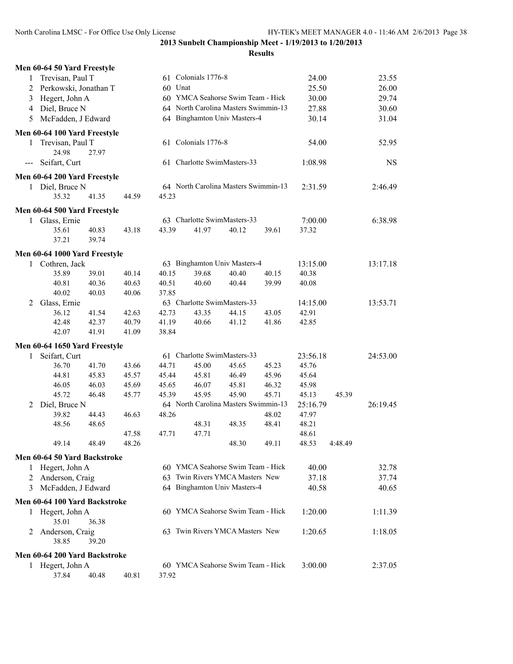|                | Men 60-64 50 Yard Freestyle   |       |       |         |                     |                                      |       |          |         |           |
|----------------|-------------------------------|-------|-------|---------|---------------------|--------------------------------------|-------|----------|---------|-----------|
| $\mathbf{1}$   | Trevisan, Paul T              |       |       |         | 61 Colonials 1776-8 |                                      |       | 24.00    |         | 23.55     |
| $\overline{c}$ | Perkowski, Jonathan T         |       |       | 60 Unat |                     |                                      |       | 25.50    |         | 26.00     |
| 3              | Hegert, John A                |       |       |         |                     | 60 YMCA Seahorse Swim Team - Hick    |       | 30.00    |         | 29.74     |
|                | 4 Diel, Bruce N               |       |       |         |                     | 64 North Carolina Masters Swimmin-13 |       | 27.88    |         | 30.60     |
| 5              | McFadden, J Edward            |       |       |         |                     | 64 Binghamton Univ Masters-4         |       | 30.14    |         | 31.04     |
|                | Men 60-64 100 Yard Freestyle  |       |       |         |                     |                                      |       |          |         |           |
|                |                               |       |       |         | 61 Colonials 1776-8 |                                      |       | 54.00    |         | 52.95     |
| 1              | Trevisan, Paul T<br>24.98     | 27.97 |       |         |                     |                                      |       |          |         |           |
|                | Seifart, Curt                 |       |       |         |                     | 61 Charlotte SwimMasters-33          |       |          |         |           |
|                |                               |       |       |         |                     |                                      |       | 1:08.98  |         | <b>NS</b> |
|                | Men 60-64 200 Yard Freestyle  |       |       |         |                     |                                      |       |          |         |           |
|                | 1 Diel, Bruce N               |       |       |         |                     | 64 North Carolina Masters Swimmin-13 |       | 2:31.59  |         | 2:46.49   |
|                | 35.32                         | 41.35 | 44.59 | 45.23   |                     |                                      |       |          |         |           |
|                | Men 60-64 500 Yard Freestyle  |       |       |         |                     |                                      |       |          |         |           |
|                | 1 Glass, Ernie                |       |       |         |                     | 63 Charlotte SwimMasters-33          |       | 7:00.00  |         | 6:38.98   |
|                | 35.61                         | 40.83 | 43.18 | 43.39   | 41.97               | 40.12                                | 39.61 | 37.32    |         |           |
|                | 37.21                         | 39.74 |       |         |                     |                                      |       |          |         |           |
|                | Men 60-64 1000 Yard Freestyle |       |       |         |                     |                                      |       |          |         |           |
|                | 1 Cothren, Jack               |       |       |         |                     | 63 Binghamton Univ Masters-4         |       | 13:15.00 |         | 13:17.18  |
|                | 35.89                         | 39.01 | 40.14 | 40.15   | 39.68               | 40.40                                | 40.15 | 40.38    |         |           |
|                | 40.81                         | 40.36 | 40.63 | 40.51   | 40.60               | 40.44                                | 39.99 | 40.08    |         |           |
|                | 40.02                         | 40.03 | 40.06 | 37.85   |                     |                                      |       |          |         |           |
| 2              | Glass, Ernie                  |       |       |         |                     | 63 Charlotte SwimMasters-33          |       | 14:15.00 |         | 13:53.71  |
|                | 36.12                         | 41.54 | 42.63 | 42.73   | 43.35               | 44.15                                | 43.05 | 42.91    |         |           |
|                | 42.48                         | 42.37 | 40.79 | 41.19   | 40.66               | 41.12                                | 41.86 | 42.85    |         |           |
|                | 42.07                         | 41.91 | 41.09 | 38.84   |                     |                                      |       |          |         |           |
|                | Men 60-64 1650 Yard Freestyle |       |       |         |                     |                                      |       |          |         |           |
| 1              | Seifart, Curt                 |       |       |         |                     | 61 Charlotte SwimMasters-33          |       | 23:56.18 |         | 24:53.00  |
|                | 36.70                         | 41.70 | 43.66 | 44.71   | 45.00               | 45.65                                | 45.23 | 45.76    |         |           |
|                | 44.81                         | 45.83 | 45.57 | 45.44   | 45.81               | 46.49                                | 45.96 | 45.64    |         |           |
|                | 46.05                         | 46.03 | 45.69 | 45.65   | 46.07               | 45.81                                | 46.32 | 45.98    |         |           |
|                | 45.72                         | 46.48 | 45.77 | 45.39   | 45.95               | 45.90                                | 45.71 | 45.13    | 45.39   |           |
| 2              | Diel, Bruce N                 |       |       |         |                     | 64 North Carolina Masters Swimmin-13 |       | 25:16.79 |         | 26:19.45  |
|                | 39.82                         | 44.43 | 46.63 | 48.26   |                     |                                      | 48.02 | 47.97    |         |           |
|                | 48.56                         | 48.65 |       |         | 48.31               | 48.35                                | 48.41 | 48.21    |         |           |
|                |                               |       | 47.58 | 47.71   | 47.71               |                                      |       | 48.61    |         |           |
|                | 49.14                         | 48.49 | 48.26 |         |                     | 48.30                                | 49.11 | 48.53    | 4:48.49 |           |
|                | Men 60-64 50 Yard Backstroke  |       |       |         |                     |                                      |       |          |         |           |
| 1              | Hegert, John A                |       |       |         |                     | 60 YMCA Seahorse Swim Team - Hick    |       | 40.00    |         | 32.78     |
| 2              | Anderson, Craig               |       |       |         |                     | 63 Twin Rivers YMCA Masters New      |       | 37.18    |         | 37.74     |
| 3              | McFadden, J Edward            |       |       |         |                     | 64 Binghamton Univ Masters-4         |       | 40.58    |         | 40.65     |
|                | Men 60-64 100 Yard Backstroke |       |       |         |                     |                                      |       |          |         |           |
|                | 1 Hegert, John A              |       |       |         |                     | 60 YMCA Seahorse Swim Team - Hick    |       | 1:20.00  |         | 1:11.39   |
|                | 35.01                         | 36.38 |       |         |                     |                                      |       |          |         |           |
| 2              | Anderson, Craig               |       |       |         |                     | 63 Twin Rivers YMCA Masters New      |       | 1:20.65  |         | 1:18.05   |
|                | 38.85                         | 39.20 |       |         |                     |                                      |       |          |         |           |
|                |                               |       |       |         |                     |                                      |       |          |         |           |
|                | Men 60-64 200 Yard Backstroke |       |       |         |                     |                                      |       |          |         |           |
|                | 1 Hegert, John A              |       |       |         |                     | 60 YMCA Seahorse Swim Team - Hick    |       | 3:00.00  |         | 2:37.05   |
|                | 37.84                         | 40.48 | 40.81 | 37.92   |                     |                                      |       |          |         |           |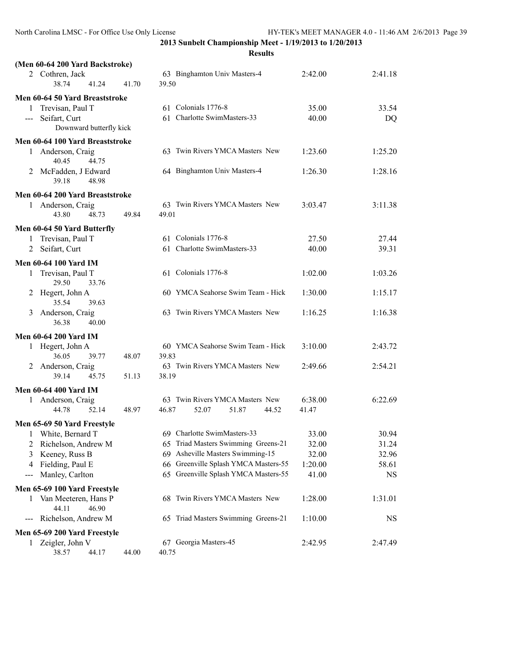|                   | (Men 60-64 200 Yard Backstroke)        |       |                                       |         |         |
|-------------------|----------------------------------------|-------|---------------------------------------|---------|---------|
|                   | 2 Cothren, Jack<br>38.74<br>41.24      | 41.70 | 63 Binghamton Univ Masters-4<br>39.50 | 2:42.00 | 2:41.18 |
|                   | Men 60-64 50 Yard Breaststroke         |       |                                       |         |         |
|                   | 1 Trevisan, Paul T                     |       | 61 Colonials 1776-8                   | 35.00   | 33.54   |
|                   | --- Seifart, Curt                      |       | 61 Charlotte SwimMasters-33           | 40.00   | DQ      |
|                   | Downward butterfly kick                |       |                                       |         |         |
|                   | Men 60-64 100 Yard Breaststroke        |       |                                       |         |         |
| 1                 | Anderson, Craig<br>40.45<br>44.75      |       | 63 Twin Rivers YMCA Masters New       | 1:23.60 | 1:25.20 |
|                   | 2 McFadden, J Edward<br>39.18<br>48.98 |       | 64 Binghamton Univ Masters-4          | 1:26.30 | 1:28.16 |
|                   | Men 60-64 200 Yard Breaststroke        |       |                                       |         |         |
|                   | 1 Anderson, Craig                      |       | 63 Twin Rivers YMCA Masters New       | 3:03.47 | 3:11.38 |
|                   | 43.80<br>48.73                         | 49.84 | 49.01                                 |         |         |
|                   | Men 60-64 50 Yard Butterfly            |       |                                       |         |         |
|                   | 1 Trevisan, Paul T                     |       | 61 Colonials 1776-8                   | 27.50   | 27.44   |
|                   | 2 Seifart, Curt                        |       | 61 Charlotte SwimMasters-33           | 40.00   | 39.31   |
|                   | <b>Men 60-64 100 Yard IM</b>           |       |                                       |         |         |
| 1                 | Trevisan, Paul T<br>29.50<br>33.76     |       | 61 Colonials 1776-8                   | 1:02.00 | 1:03.26 |
| 2                 | Hegert, John A<br>35.54<br>39.63       |       | 60 YMCA Seahorse Swim Team - Hick     | 1:30.00 | 1:15.17 |
| 3                 | Anderson, Craig<br>36.38<br>40.00      |       | 63 Twin Rivers YMCA Masters New       | 1:16.25 | 1:16.38 |
|                   | <b>Men 60-64 200 Yard IM</b>           |       |                                       |         |         |
|                   | 1 Hegert, John A                       |       | 60 YMCA Seahorse Swim Team - Hick     | 3:10.00 | 2:43.72 |
|                   | 36.05<br>39.77                         | 48.07 | 39.83                                 |         |         |
| 2                 | Anderson, Craig                        |       | 63 Twin Rivers YMCA Masters New       | 2:49.66 | 2:54.21 |
|                   | 39.14<br>45.75                         | 51.13 | 38.19                                 |         |         |
|                   | <b>Men 60-64 400 Yard IM</b>           |       |                                       |         |         |
|                   | 1 Anderson, Craig                      |       | 63 Twin Rivers YMCA Masters New       | 6:38.00 | 6:22.69 |
|                   | 44.78<br>52.14                         | 48.97 | 46.87<br>52.07<br>51.87<br>44.52      | 41.47   |         |
|                   | Men 65-69 50 Yard Freestyle            |       |                                       |         |         |
| 1                 | White, Bernard T                       |       | 69 Charlotte SwimMasters-33           | 33.00   | 30.94   |
| 2                 | Richelson, Andrew M                    |       | 65 Triad Masters Swimming Greens-21   | 32.00   | 31.24   |
| 3                 | Keeney, Russ B                         |       | 69 Asheville Masters Swimming-15      | 32.00   | 32.96   |
| 4                 | Fielding, Paul E                       |       | 66 Greenville Splash YMCA Masters-55  | 1:20.00 | 58.61   |
| $\qquad \qquad -$ | Manley, Carlton                        |       | 65 Greenville Splash YMCA Masters-55  | 41.00   | NS      |
|                   | Men 65-69 100 Yard Freestyle           |       |                                       |         |         |
| 1                 | Van Meeteren, Hans P<br>46.90<br>44.11 |       | 68 Twin Rivers YMCA Masters New       | 1:28.00 | 1:31.01 |
| $---$             | Richelson, Andrew M                    |       | 65 Triad Masters Swimming Greens-21   | 1:10.00 | NS      |
|                   | Men 65-69 200 Yard Freestyle           |       |                                       |         |         |
| 1                 | Zeigler, John V                        |       | 67 Georgia Masters-45                 | 2:42.95 | 2:47.49 |
|                   | 38.57<br>44.17                         | 44.00 | 40.75                                 |         |         |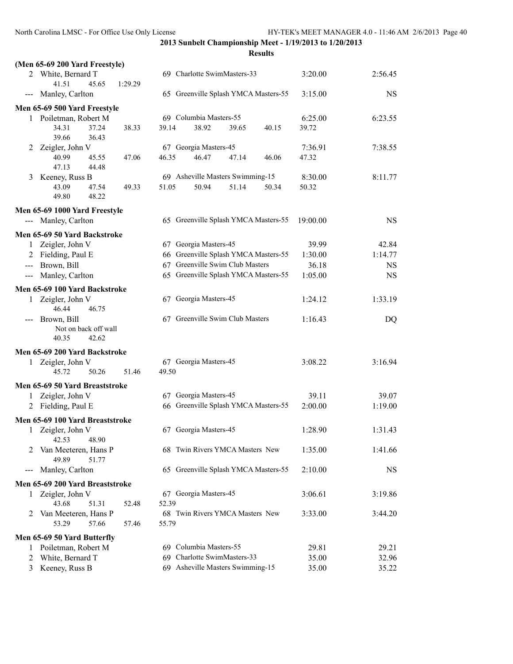|              | (Men 65-69 200 Yard Freestyle)                   |         |       |                                      |       |       |                  |           |
|--------------|--------------------------------------------------|---------|-------|--------------------------------------|-------|-------|------------------|-----------|
|              | 2 White, Bernard T                               |         |       | 69 Charlotte SwimMasters-33          |       |       | 3:20.00          | 2:56.45   |
|              | 41.51<br>45.65                                   | 1:29.29 |       |                                      |       |       |                  |           |
| ---          | Manley, Carlton                                  |         |       | 65 Greenville Splash YMCA Masters-55 |       |       | 3:15.00          | <b>NS</b> |
|              | Men 65-69 500 Yard Freestyle                     |         |       |                                      |       |       |                  |           |
|              | 1 Poiletman, Robert M                            |         |       | 69 Columbia Masters-55               |       |       | 6:25.00          | 6:23.55   |
|              | 34.31<br>37.24                                   | 38.33   | 39.14 | 38.92                                | 39.65 | 40.15 | 39.72            |           |
|              | 39.66<br>36.43                                   |         |       |                                      |       |       |                  |           |
| 2            | Zeigler, John V<br>40.99<br>45.55                | 47.06   | 46.35 | 67 Georgia Masters-45<br>46.47       | 47.14 | 46.06 | 7:36.91<br>47.32 | 7:38.55   |
|              | 47.13<br>44.48                                   |         |       |                                      |       |       |                  |           |
| 3            | Keeney, Russ B                                   |         |       | 69 Asheville Masters Swimming-15     |       |       | 8:30.00          | 8:11.77   |
|              | 43.09<br>47.54                                   | 49.33   | 51.05 | 50.94                                | 51.14 | 50.34 | 50.32            |           |
|              | 48.22<br>49.80                                   |         |       |                                      |       |       |                  |           |
|              | Men 65-69 1000 Yard Freestyle                    |         |       |                                      |       |       |                  |           |
|              | --- Manley, Carlton                              |         |       | 65 Greenville Splash YMCA Masters-55 |       |       | 19:00.00         | <b>NS</b> |
|              | Men 65-69 50 Yard Backstroke                     |         |       |                                      |       |       |                  |           |
| $\mathbf{1}$ | Zeigler, John V                                  |         |       | 67 Georgia Masters-45                |       |       | 39.99            | 42.84     |
|              | 2 Fielding, Paul E                               |         |       | 66 Greenville Splash YMCA Masters-55 |       |       | 1:30.00          | 1:14.77   |
|              | --- Brown, Bill                                  |         |       | 67 Greenville Swim Club Masters      |       |       | 36.18            | <b>NS</b> |
|              | --- Manley, Carlton                              |         |       | 65 Greenville Splash YMCA Masters-55 |       |       | 1:05.00          | <b>NS</b> |
|              |                                                  |         |       |                                      |       |       |                  |           |
| 1            | Men 65-69 100 Yard Backstroke<br>Zeigler, John V |         |       | 67 Georgia Masters-45                |       |       | 1:24.12          | 1:33.19   |
|              | 46.44<br>46.75                                   |         |       |                                      |       |       |                  |           |
|              | Brown, Bill                                      |         |       | 67 Greenville Swim Club Masters      |       |       | 1:16.43          | DQ        |
|              | Not on back off wall                             |         |       |                                      |       |       |                  |           |
|              | 40.35<br>42.62                                   |         |       |                                      |       |       |                  |           |
|              | Men 65-69 200 Yard Backstroke                    |         |       |                                      |       |       |                  |           |
|              | 1 Zeigler, John V                                |         |       | 67 Georgia Masters-45                |       |       | 3:08.22          | 3:16.94   |
|              | 45.72<br>50.26                                   | 51.46   | 49.50 |                                      |       |       |                  |           |
|              | Men 65-69 50 Yard Breaststroke                   |         |       |                                      |       |       |                  |           |
| 1            | Zeigler, John V                                  |         |       | 67 Georgia Masters-45                |       |       | 39.11            | 39.07     |
|              | 2 Fielding, Paul E                               |         |       | 66 Greenville Splash YMCA Masters-55 |       |       | 2:00.00          | 1:19.00   |
|              | Men 65-69 100 Yard Breaststroke                  |         |       |                                      |       |       |                  |           |
|              | 1 Zeigler, John V                                |         |       | 67 Georgia Masters-45                |       |       | 1:28.90          | 1:31.43   |
|              | 42.53<br>48.90                                   |         |       |                                      |       |       |                  |           |
| 2            | Van Meeteren, Hans P                             |         |       | 68 Twin Rivers YMCA Masters New      |       |       | 1:35.00          | 1:41.66   |
|              | 49.89<br>51.77                                   |         |       |                                      |       |       |                  |           |
| ---          | Manley, Carlton                                  |         |       | 65 Greenville Splash YMCA Masters-55 |       |       | 2:10.00          | NS        |
|              | Men 65-69 200 Yard Breaststroke                  |         |       |                                      |       |       |                  |           |
| 1            | Zeigler, John V                                  |         |       | 67 Georgia Masters-45                |       |       | 3:06.61          | 3:19.86   |
|              | 43.68<br>51.31                                   | 52.48   | 52.39 |                                      |       |       |                  |           |
| 2            | Van Meeteren, Hans P                             |         |       | 68 Twin Rivers YMCA Masters New      |       |       | 3:33.00          | 3:44.20   |
|              | 53.29<br>57.66                                   | 57.46   | 55.79 |                                      |       |       |                  |           |
|              | Men 65-69 50 Yard Butterfly                      |         |       |                                      |       |       |                  |           |
| 1            | Poiletman, Robert M                              |         |       | 69 Columbia Masters-55               |       |       | 29.81            | 29.21     |
| 2            | White, Bernard T                                 |         | 69.   | Charlotte SwimMasters-33             |       |       | 35.00            | 32.96     |
| 3            | Keeney, Russ B                                   |         |       | 69 Asheville Masters Swimming-15     |       |       | 35.00            | 35.22     |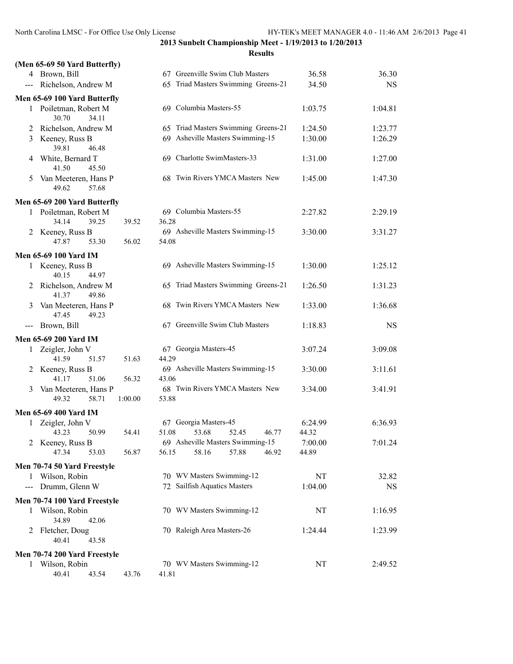|                            | (Men 65-69 50 Yard Butterfly)           |         |                                                                                          |           |
|----------------------------|-----------------------------------------|---------|------------------------------------------------------------------------------------------|-----------|
|                            | 4 Brown, Bill                           |         | 67 Greenville Swim Club Masters<br>36.58                                                 | 36.30     |
|                            | --- Richelson, Andrew M                 |         | 65 Triad Masters Swimming Greens-21<br>34.50                                             | <b>NS</b> |
|                            | Men 65-69 100 Yard Butterfly            |         |                                                                                          |           |
|                            | 1 Poiletman, Robert M<br>30.70<br>34.11 |         | 69 Columbia Masters-55<br>1:03.75                                                        | 1:04.81   |
| 2                          | Richelson, Andrew M                     |         | 65 Triad Masters Swimming Greens-21<br>1:24.50                                           | 1:23.77   |
| 3                          | Keeney, Russ B<br>39.81<br>46.48        |         | 69 Asheville Masters Swimming-15<br>1:30.00                                              | 1:26.29   |
| 4                          | White, Bernard T<br>41.50<br>45.50      |         | 69 Charlotte SwimMasters-33<br>1:31.00                                                   | 1:27.00   |
| 5                          | Van Meeteren, Hans P<br>49.62<br>57.68  |         | 68 Twin Rivers YMCA Masters New<br>1:45.00                                               | 1:47.30   |
|                            | Men 65-69 200 Yard Butterfly            |         |                                                                                          |           |
|                            | 1 Poiletman, Robert M                   |         | 69 Columbia Masters-55<br>2:27.82                                                        | 2:29.19   |
|                            | 34.14<br>39.25                          | 39.52   | 36.28                                                                                    |           |
|                            | 2 Keeney, Russ B                        |         | 69 Asheville Masters Swimming-15<br>3:30.00                                              | 3:31.27   |
|                            | 47.87<br>53.30                          | 56.02   | 54.08                                                                                    |           |
|                            | Men 65-69 100 Yard IM                   |         |                                                                                          |           |
|                            | 1 Keeney, Russ B<br>40.15<br>44.97      |         | 69 Asheville Masters Swimming-15<br>1:30.00                                              | 1:25.12   |
| 2                          | Richelson, Andrew M<br>49.86<br>41.37   |         | 65 Triad Masters Swimming Greens-21<br>1:26.50                                           | 1:31.23   |
| 3                          | Van Meeteren, Hans P<br>47.45<br>49.23  |         | 68 Twin Rivers YMCA Masters New<br>1:33.00                                               | 1:36.68   |
| $---$                      | Brown, Bill                             |         | 67 Greenville Swim Club Masters<br>1:18.83                                               | <b>NS</b> |
|                            | <b>Men 65-69 200 Yard IM</b>            |         |                                                                                          |           |
|                            | 1 Zeigler, John V                       |         | 67 Georgia Masters-45<br>3:07.24                                                         | 3:09.08   |
|                            | 41.59<br>51.57                          | 51.63   | 44.29                                                                                    |           |
|                            | 2 Keeney, Russ B                        |         | 69 Asheville Masters Swimming-15<br>3:30.00                                              | 3:11.61   |
|                            | 41.17<br>51.06                          | 56.32   | 43.06                                                                                    |           |
| 3                          | Van Meeteren, Hans P                    |         | 68 Twin Rivers YMCA Masters New<br>3:34.00                                               | 3:41.91   |
|                            | 49.32<br>58.71                          | 1:00.00 | 53.88                                                                                    |           |
|                            | <b>Men 65-69 400 Yard IM</b>            |         |                                                                                          |           |
| 1                          | Zeigler, John V                         |         | 67 Georgia Masters-45<br>6:24.99                                                         | 6:36.93   |
|                            | 43.23<br>50.99                          | 54.41   | 51.08<br>53.68<br>52.45<br>46.77<br>44.32                                                |           |
|                            | 2 Keeney, Russ B<br>47.34<br>53.03      | 56.87   | 69 Asheville Masters Swimming-15<br>7:00.00<br>56.15<br>58.16<br>57.88<br>46.92<br>44.89 | 7:01.24   |
|                            |                                         |         |                                                                                          |           |
|                            | Men 70-74 50 Yard Freestyle             |         |                                                                                          |           |
|                            | 1 Wilson, Robin                         |         | 70 WV Masters Swimming-12<br>NT                                                          | 32.82     |
| $\qquad \qquad - \qquad -$ | Drumm, Glenn W                          |         | 72 Sailfish Aquatics Masters<br>1:04.00                                                  | NS        |
|                            | Men 70-74 100 Yard Freestyle            |         |                                                                                          |           |
| 1                          | Wilson, Robin                           |         | 70 WV Masters Swimming-12<br>NT                                                          | 1:16.95   |
|                            | 34.89<br>42.06                          |         |                                                                                          |           |
|                            | 2 Fletcher, Doug<br>40.41<br>43.58      |         | 70 Raleigh Area Masters-26<br>1:24.44                                                    | 1:23.99   |
|                            | Men 70-74 200 Yard Freestyle            |         |                                                                                          |           |
|                            | 1 Wilson, Robin                         |         | 70 WV Masters Swimming-12<br>NT                                                          | 2:49.52   |
|                            | 40.41<br>43.54                          | 43.76   | 41.81                                                                                    |           |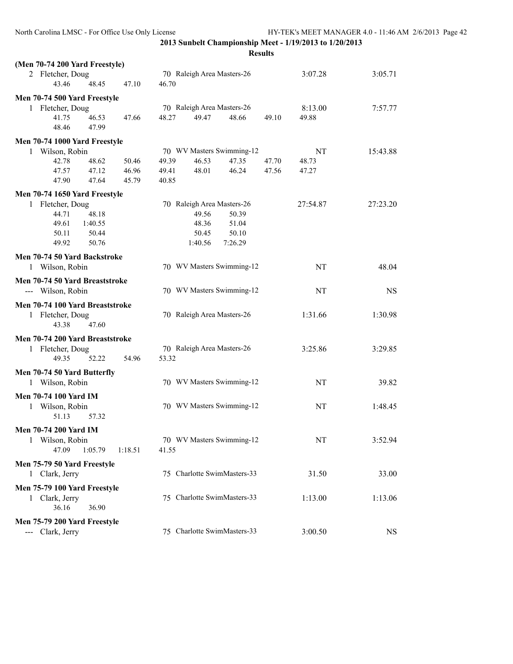| (Men 70-74 200 Yard Freestyle)  |         |         |       |         |                             |       |          |           |
|---------------------------------|---------|---------|-------|---------|-----------------------------|-------|----------|-----------|
| 2 Fletcher, Doug<br>43.46       | 48.45   | 47.10   | 46.70 |         | 70 Raleigh Area Masters-26  |       | 3:07.28  | 3:05.71   |
| Men 70-74 500 Yard Freestyle    |         |         |       |         |                             |       |          |           |
| 1 Fletcher, Doug                |         |         |       |         | 70 Raleigh Area Masters-26  |       | 8:13.00  | 7:57.77   |
| 41.75                           | 46.53   | 47.66   | 48.27 | 49.47   | 48.66                       | 49.10 | 49.88    |           |
| 48.46                           | 47.99   |         |       |         |                             |       |          |           |
| Men 70-74 1000 Yard Freestyle   |         |         |       |         |                             |       |          |           |
| 1 Wilson, Robin                 |         |         |       |         | 70 WV Masters Swimming-12   |       | NT       | 15:43.88  |
| 42.78                           | 48.62   | 50.46   | 49.39 | 46.53   | 47.35                       | 47.70 | 48.73    |           |
| 47.57                           | 47.12   | 46.96   | 49.41 | 48.01   | 46.24                       | 47.56 | 47.27    |           |
| 47.90                           | 47.64   | 45.79   | 40.85 |         |                             |       |          |           |
| Men 70-74 1650 Yard Freestyle   |         |         |       |         |                             |       |          |           |
| 1 Fletcher, Doug                |         |         |       |         | 70 Raleigh Area Masters-26  |       | 27:54.87 | 27:23.20  |
| 44.71                           | 48.18   |         |       | 49.56   | 50.39                       |       |          |           |
| 49.61                           | 1:40.55 |         |       | 48.36   | 51.04                       |       |          |           |
| 50.11                           | 50.44   |         |       | 50.45   | 50.10                       |       |          |           |
| 49.92                           | 50.76   |         |       | 1:40.56 | 7:26.29                     |       |          |           |
| Men 70-74 50 Yard Backstroke    |         |         |       |         |                             |       |          |           |
| 1 Wilson, Robin                 |         |         |       |         | 70 WV Masters Swimming-12   |       | NT       | 48.04     |
| Men 70-74 50 Yard Breaststroke  |         |         |       |         |                             |       |          |           |
| --- Wilson, Robin               |         |         |       |         | 70 WV Masters Swimming-12   |       | NT       | <b>NS</b> |
| Men 70-74 100 Yard Breaststroke |         |         |       |         |                             |       |          |           |
| 1 Fletcher, Doug                |         |         |       |         | 70 Raleigh Area Masters-26  |       | 1:31.66  | 1:30.98   |
| 43.38                           | 47.60   |         |       |         |                             |       |          |           |
| Men 70-74 200 Yard Breaststroke |         |         |       |         |                             |       |          |           |
| 1 Fletcher, Doug                |         |         |       |         | 70 Raleigh Area Masters-26  |       | 3:25.86  | 3:29.85   |
| 49.35                           | 52.22   | 54.96   | 53.32 |         |                             |       |          |           |
|                                 |         |         |       |         |                             |       |          |           |
| Men 70-74 50 Yard Butterfly     |         |         |       |         | 70 WV Masters Swimming-12   |       | NT       | 39.82     |
| 1 Wilson, Robin                 |         |         |       |         |                             |       |          |           |
| <b>Men 70-74 100 Yard IM</b>    |         |         |       |         |                             |       |          |           |
| 1 Wilson, Robin                 |         |         |       |         | 70 WV Masters Swimming-12   |       | NT       | 1:48.45   |
| 51.13                           | 57.32   |         |       |         |                             |       |          |           |
| <b>Men 70-74 200 Yard IM</b>    |         |         |       |         |                             |       |          |           |
| Wilson, Robin<br>1              |         |         |       |         | 70 WV Masters Swimming-12   |       | NT       | 3:52.94   |
| 47.09                           | 1:05.79 | 1:18.51 | 41.55 |         |                             |       |          |           |
| Men 75-79 50 Yard Freestyle     |         |         |       |         |                             |       |          |           |
| 1 Clark, Jerry                  |         |         |       |         | 75 Charlotte SwimMasters-33 |       | 31.50    | 33.00     |
| Men 75-79 100 Yard Freestyle    |         |         |       |         |                             |       |          |           |
| 1 Clark, Jerry                  |         |         |       |         | 75 Charlotte SwimMasters-33 |       | 1:13.00  | 1:13.06   |
| 36.16                           | 36.90   |         |       |         |                             |       |          |           |
| Men 75-79 200 Yard Freestyle    |         |         |       |         |                             |       |          |           |
| --- Clark, Jerry                |         |         |       |         | 75 Charlotte SwimMasters-33 |       | 3:00.50  | <b>NS</b> |
|                                 |         |         |       |         |                             |       |          |           |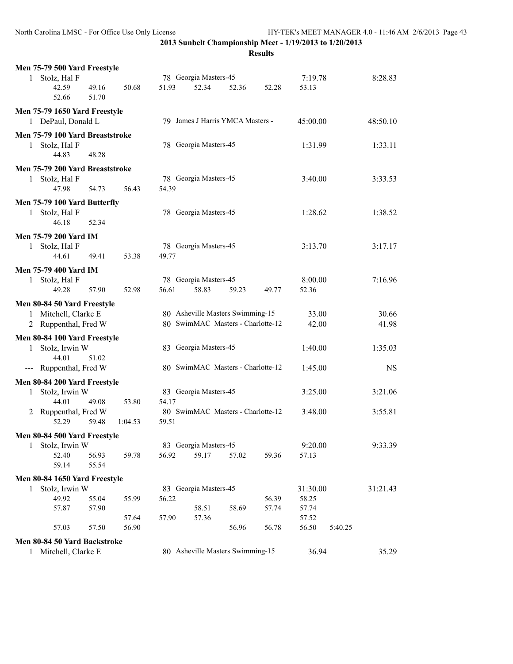|              | Men 75-79 500 Yard Freestyle    |                |         |       |                       |                                   |       |          |         |           |
|--------------|---------------------------------|----------------|---------|-------|-----------------------|-----------------------------------|-------|----------|---------|-----------|
| $\mathbf{1}$ | Stolz, Hal F                    |                |         |       | 78 Georgia Masters-45 |                                   |       | 7:19.78  |         | 8:28.83   |
|              | 42.59<br>52.66                  | 49.16<br>51.70 | 50.68   | 51.93 | 52.34                 | 52.36                             | 52.28 | 53.13    |         |           |
|              | Men 75-79 1650 Yard Freestyle   |                |         |       |                       |                                   |       |          |         |           |
|              | 1 DePaul, Donald L              |                |         |       |                       | 79 James J Harris YMCA Masters -  |       | 45:00.00 |         | 48:50.10  |
|              | Men 75-79 100 Yard Breaststroke |                |         |       |                       |                                   |       |          |         |           |
| 1            | Stolz, Hal F                    |                |         |       | 78 Georgia Masters-45 |                                   |       | 1:31.99  |         | 1:33.11   |
|              | 44.83                           | 48.28          |         |       |                       |                                   |       |          |         |           |
|              | Men 75-79 200 Yard Breaststroke |                |         |       |                       |                                   |       |          |         |           |
|              | 1 Stolz, Hal F                  |                |         |       | 78 Georgia Masters-45 |                                   |       | 3:40.00  |         | 3:33.53   |
|              | 47.98                           | 54.73          | 56.43   | 54.39 |                       |                                   |       |          |         |           |
|              |                                 |                |         |       |                       |                                   |       |          |         |           |
|              | Men 75-79 100 Yard Butterfly    |                |         |       | 78 Georgia Masters-45 |                                   |       |          |         |           |
|              | 1 Stolz, Hal F<br>46.18         | 52.34          |         |       |                       |                                   |       | 1:28.62  |         | 1:38.52   |
|              |                                 |                |         |       |                       |                                   |       |          |         |           |
|              | <b>Men 75-79 200 Yard IM</b>    |                |         |       |                       |                                   |       |          |         |           |
| 1            | Stolz, Hal F                    |                |         |       | 78 Georgia Masters-45 |                                   |       | 3:13.70  |         | 3:17.17   |
|              | 44.61                           | 49.41          | 53.38   | 49.77 |                       |                                   |       |          |         |           |
|              | <b>Men 75-79 400 Yard IM</b>    |                |         |       |                       |                                   |       |          |         |           |
| 1            | Stolz, Hal F                    |                |         |       | 78 Georgia Masters-45 |                                   |       | 8:00.00  |         | 7:16.96   |
|              | 49.28                           | 57.90          | 52.98   | 56.61 | 58.83                 | 59.23                             | 49.77 | 52.36    |         |           |
|              | Men 80-84 50 Yard Freestyle     |                |         |       |                       |                                   |       |          |         |           |
|              | 1 Mitchell, Clarke E            |                |         |       |                       | 80 Asheville Masters Swimming-15  |       | 33.00    |         | 30.66     |
|              | 2 Ruppenthal, Fred W            |                |         |       |                       | 80 SwimMAC Masters - Charlotte-12 |       | 42.00    |         | 41.98     |
|              | Men 80-84 100 Yard Freestyle    |                |         |       |                       |                                   |       |          |         |           |
| $\mathbf{1}$ | Stolz, Irwin W                  |                |         |       | 83 Georgia Masters-45 |                                   |       | 1:40.00  |         | 1:35.03   |
|              | 44.01                           | 51.02          |         |       |                       |                                   |       |          |         |           |
|              | --- Ruppenthal, Fred W          |                |         |       |                       | 80 SwimMAC Masters - Charlotte-12 |       | 1:45.00  |         | <b>NS</b> |
|              | Men 80-84 200 Yard Freestyle    |                |         |       |                       |                                   |       |          |         |           |
| 1            | Stolz, Irwin W                  |                |         |       | 83 Georgia Masters-45 |                                   |       | 3:25.00  |         | 3:21.06   |
|              | 44.01                           | 49.08          | 53.80   | 54.17 |                       |                                   |       |          |         |           |
| 2            | Ruppenthal, Fred W              |                |         |       |                       | 80 SwimMAC Masters - Charlotte-12 |       | 3:48.00  |         | 3:55.81   |
|              | 52.29                           | 59.48          | 1:04.53 | 59.51 |                       |                                   |       |          |         |           |
|              | Men 80-84 500 Yard Freestyle    |                |         |       |                       |                                   |       |          |         |           |
| 1            | Stolz, Irwin W                  |                |         |       | 83 Georgia Masters-45 |                                   |       | 9:20.00  |         | 9:33.39   |
|              | 52.40                           | 56.93          | 59.78   | 56.92 | 59.17                 | 57.02                             | 59.36 | 57.13    |         |           |
|              | 59.14                           | 55.54          |         |       |                       |                                   |       |          |         |           |
|              | Men 80-84 1650 Yard Freestyle   |                |         |       |                       |                                   |       |          |         |           |
| $\mathbf{1}$ | Stolz, Irwin W                  |                |         |       | 83 Georgia Masters-45 |                                   |       | 31:30.00 |         | 31:21.43  |
|              | 49.92                           | 55.04          | 55.99   | 56.22 |                       |                                   | 56.39 | 58.25    |         |           |
|              | 57.87                           | 57.90          |         |       | 58.51                 | 58.69                             | 57.74 | 57.74    |         |           |
|              |                                 |                | 57.64   | 57.90 | 57.36                 |                                   |       | 57.52    |         |           |
|              | 57.03                           | 57.50          | 56.90   |       |                       | 56.96                             | 56.78 | 56.50    | 5:40.25 |           |
|              | Men 80-84 50 Yard Backstroke    |                |         |       |                       |                                   |       |          |         |           |
|              | 1 Mitchell, Clarke E            |                |         |       |                       | 80 Asheville Masters Swimming-15  |       | 36.94    |         | 35.29     |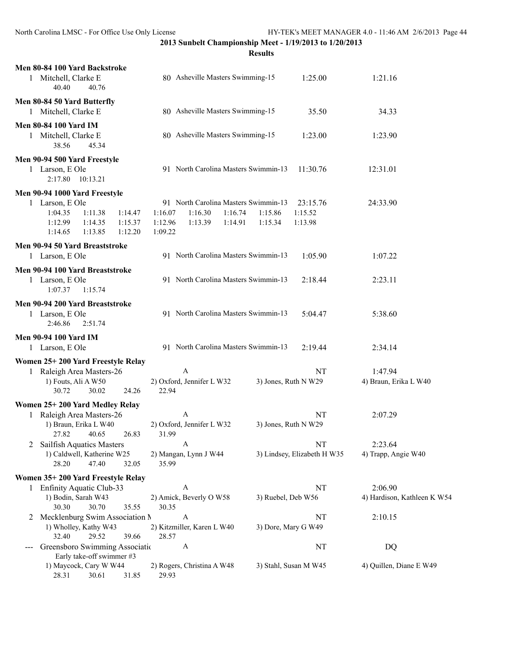|   | Men 80-84 100 Yard Backstroke<br>1 Mitchell, Clarke E<br>40.40<br>40.76                                                                             | 80 Asheville Masters Swimming-15                                                                                  | 1:25.00                                              | 1:21.16                          |
|---|-----------------------------------------------------------------------------------------------------------------------------------------------------|-------------------------------------------------------------------------------------------------------------------|------------------------------------------------------|----------------------------------|
|   | Men 80-84 50 Yard Butterfly                                                                                                                         |                                                                                                                   |                                                      |                                  |
|   | 1 Mitchell, Clarke E                                                                                                                                | 80 Asheville Masters Swimming-15                                                                                  | 35.50                                                | 34.33                            |
|   | <b>Men 80-84 100 Yard IM</b><br>1 Mitchell, Clarke E<br>45.34<br>38.56                                                                              | 80 Asheville Masters Swimming-15                                                                                  | 1:23.00                                              | 1:23.90                          |
|   | Men 90-94 500 Yard Freestyle<br>1 Larson, E Ole<br>2:17.80  10:13.21                                                                                | 91 North Carolina Masters Swimmin-13                                                                              | 11:30.76                                             | 12:31.01                         |
|   | Men 90-94 1000 Yard Freestyle<br>1 Larson, E Ole<br>1:04.35<br>1:11.38<br>1:14.47<br>1:12.99<br>1:14.35<br>1:15.37<br>1:14.65<br>1:13.85<br>1:12.20 | 91 North Carolina Masters Swimmin-13<br>1:16.07<br>1:16.30<br>1:16.74<br>1:12.96<br>1:13.39<br>1:14.91<br>1:09.22 | 23:15.76<br>1:15.86<br>1:15.52<br>1:15.34<br>1:13.98 | 24:33.90                         |
|   | Men 90-94 50 Yard Breaststroke<br>1 Larson, E Ole                                                                                                   | 91 North Carolina Masters Swimmin-13                                                                              | 1:05.90                                              | 1:07.22                          |
|   | Men 90-94 100 Yard Breaststroke<br>1 Larson, E Ole<br>1:07.37<br>1:15.74                                                                            | 91 North Carolina Masters Swimmin-13                                                                              | 2:18.44                                              | 2:23.11                          |
|   | Men 90-94 200 Yard Breaststroke<br>1 Larson, E Ole<br>2:46.86<br>2:51.74                                                                            | 91 North Carolina Masters Swimmin-13                                                                              | 5:04.47                                              | 5:38.60                          |
|   | <b>Men 90-94 100 Yard IM</b>                                                                                                                        |                                                                                                                   |                                                      |                                  |
|   | 1 Larson, E Ole                                                                                                                                     | 91 North Carolina Masters Swimmin-13                                                                              | 2:19.44                                              | 2:34.14                          |
|   | Women 25+200 Yard Freestyle Relay                                                                                                                   |                                                                                                                   |                                                      |                                  |
|   | 1 Raleigh Area Masters-26<br>1) Fouts, Ali A W50<br>30.72<br>30.02<br>24.26                                                                         | A<br>2) Oxford, Jennifer L W32<br>22.94                                                                           | NT<br>3) Jones, Ruth N W29                           | 1:47.94<br>4) Braun, Erika L W40 |
|   | Women 25+200 Yard Medley Relay                                                                                                                      |                                                                                                                   |                                                      |                                  |
| 1 | Raleigh Area Masters-26<br>1) Braun, Erika L W40<br>26.83<br>27.82<br>40.65                                                                         | $\mathbf{A}$<br>2) Oxford, Jennifer L W32<br>31.99                                                                | NT<br>3) Jones, Ruth N W29                           | 2:07.29                          |
| 2 | Sailfish Aquatics Masters                                                                                                                           | A                                                                                                                 | NT                                                   | 2:23.64                          |
|   | 1) Caldwell, Katherine W25<br>28.20<br>47.40<br>32.05                                                                                               | 2) Mangan, Lynn J W44<br>35.99                                                                                    | 3) Lindsey, Elizabeth H W35                          | 4) Trapp, Angie W40              |
|   | Women 35+200 Yard Freestyle Relay                                                                                                                   |                                                                                                                   |                                                      |                                  |
|   | 1 Enfinity Aquatic Club-33                                                                                                                          | A                                                                                                                 | NT                                                   | 2:06.90                          |
|   | 1) Bodin, Sarah W43<br>30.70<br>30.30<br>35.55                                                                                                      | 2) Amick, Beverly O W58<br>30.35                                                                                  | 3) Ruebel, Deb W56                                   | 4) Hardison, Kathleen K W54      |
| 2 | Mecklenburg Swim Association N<br>1) Wholley, Kathy W43                                                                                             | A<br>2) Kitzmiller, Karen L W40                                                                                   | NT<br>3) Dore, Mary G W49                            | 2:10.15                          |
|   | 32.40<br>29.52<br>39.66<br>Greensboro Swimming Associatio                                                                                           | 28.57<br>A                                                                                                        | NT                                                   | DQ                               |
|   | Early take-off swimmer #3                                                                                                                           |                                                                                                                   |                                                      |                                  |
|   | 1) Maycock, Cary W W44<br>28.31<br>30.61<br>31.85                                                                                                   | 2) Rogers, Christina A W48<br>29.93                                                                               | 3) Stahl, Susan M W45                                | 4) Quillen, Diane E W49          |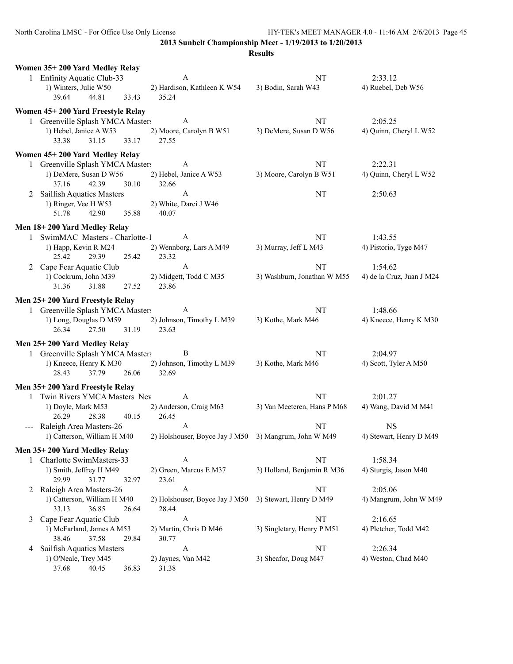|   | Women 35+200 Yard Medley Relay                                   |       |                                                       |                             |                           |
|---|------------------------------------------------------------------|-------|-------------------------------------------------------|-----------------------------|---------------------------|
|   | 1 Enfinity Aquatic Club-33                                       |       | A                                                     | NT                          | 2:33.12                   |
|   | 1) Winters, Julie W50                                            |       | 2) Hardison, Kathleen K W54                           | 3) Bodin, Sarah W43         | 4) Ruebel, Deb W56        |
|   | 39.64<br>44.81                                                   | 33.43 | 35.24                                                 |                             |                           |
|   | Women 45+200 Yard Freestyle Relay                                |       |                                                       |                             |                           |
|   | 1 Greenville Splash YMCA Masters                                 |       | A                                                     | NT                          | 2:05.25                   |
|   | 1) Hebel, Janice A W53                                           |       | 2) Moore, Carolyn B W51                               | 3) DeMere, Susan D W56      | 4) Quinn, Cheryl L W52    |
|   | 33.38<br>31.15                                                   | 33.17 | 27.55                                                 |                             |                           |
|   | Women 45+200 Yard Medley Relay                                   |       |                                                       |                             |                           |
|   | 1 Greenville Splash YMCA Masters                                 |       | A                                                     | NT                          | 2:22.31                   |
|   | 1) DeMere, Susan D W56                                           |       | 2) Hebel, Janice A W53                                | 3) Moore, Carolyn B W51     | 4) Quinn, Cheryl L W52    |
|   | 42.39<br>37.16                                                   | 30.10 | 32.66                                                 |                             |                           |
|   | 2 Sailfish Aquatics Masters                                      |       | $\mathbf{A}$                                          | NT                          | 2:50.63                   |
|   | 1) Ringer, Vee H W53                                             |       | 2) White, Darci J W46                                 |                             |                           |
|   | 51.78<br>42.90                                                   | 35.88 | 40.07                                                 |                             |                           |
|   | Men 18+200 Yard Medley Relay                                     |       |                                                       |                             |                           |
|   | 1 SwimMAC Masters - Charlotte-1                                  |       | A                                                     | NT                          | 1:43.55                   |
|   | 1) Happ, Kevin R M24                                             |       | 2) Wennborg, Lars A M49                               | 3) Murray, Jeff L M43       | 4) Pistorio, Tyge M47     |
|   | 25.42<br>29.39                                                   | 25.42 | 23.32                                                 |                             |                           |
|   | 2 Cape Fear Aquatic Club                                         |       | A                                                     | NT                          | 1:54.62                   |
|   | 1) Cockrum, John M39                                             |       | 2) Midgett, Todd C M35                                | 3) Washburn, Jonathan W M55 | 4) de la Cruz, Juan J M24 |
|   | 31.36<br>31.88                                                   | 27.52 | 23.86                                                 |                             |                           |
|   | Men 25+200 Yard Freestyle Relay                                  |       |                                                       |                             |                           |
|   | 1 Greenville Splash YMCA Masters                                 |       | A                                                     | NT                          | 1:48.66                   |
|   | 1) Long, Douglas D M59                                           |       | 2) Johnson, Timothy L M39                             | 3) Kothe, Mark M46          | 4) Kneece, Henry K M30    |
|   | 26.34<br>27.50                                                   | 31.19 | 23.63                                                 |                             |                           |
|   |                                                                  |       |                                                       |                             |                           |
|   | Men 25+200 Yard Medley Relay<br>1 Greenville Splash YMCA Masters |       | B                                                     | NT                          | 2:04.97                   |
|   | 1) Kneece, Henry K M30                                           |       | 2) Johnson, Timothy L M39                             | 3) Kothe, Mark M46          | 4) Scott, Tyler A M50     |
|   | 37.79<br>28.43                                                   | 26.06 | 32.69                                                 |                             |                           |
|   |                                                                  |       |                                                       |                             |                           |
|   | Men 35+200 Yard Freestyle Relay                                  |       |                                                       |                             |                           |
|   | 1 Twin Rivers YMCA Masters Nev                                   |       | A                                                     | NT                          | 2:01.27                   |
|   | 1) Doyle, Mark M53                                               |       | 2) Anderson, Craig M63                                | 3) Van Meeteren, Hans P M68 | 4) Wang, David M M41      |
|   | 26.29<br>28.38                                                   | 40.15 | 26.45<br>A                                            |                             | <b>NS</b>                 |
|   | --- Raleigh Area Masters-26<br>1) Catterson, William H M40       |       | 2) Holshouser, Boyce Jay J M50 3) Mangrum, John W M49 | NT                          | 4) Stewart, Henry D M49   |
|   |                                                                  |       |                                                       |                             |                           |
|   | Men 35+200 Yard Medley Relay                                     |       |                                                       |                             |                           |
|   | 1 Charlotte SwimMasters-33                                       |       | A                                                     | NT                          | 1:58.34                   |
|   | 1) Smith, Jeffrey H M49                                          |       | 2) Green, Marcus E M37                                | 3) Holland, Benjamin R M36  | 4) Sturgis, Jason M40     |
|   | 29.99<br>31.77                                                   | 32.97 | 23.61                                                 |                             |                           |
|   | 2 Raleigh Area Masters-26                                        |       | $\boldsymbol{A}$                                      | NT                          | 2:05.06                   |
|   | 1) Catterson, William H M40<br>33.13<br>36.85                    | 26.64 | 2) Holshouser, Boyce Jay J M50<br>28.44               | 3) Stewart, Henry D M49     | 4) Mangrum, John W M49    |
| 3 | Cape Fear Aquatic Club                                           |       | A                                                     | NT                          | 2:16.65                   |
|   | 1) McFarland, James A M53                                        |       | 2) Martin, Chris D M46                                | 3) Singletary, Henry P M51  | 4) Pletcher, Todd M42     |
|   | 38.46<br>37.58                                                   | 29.84 | 30.77                                                 |                             |                           |
| 4 | Sailfish Aquatics Masters                                        |       | A                                                     | NT                          | 2:26.34                   |
|   | 1) O'Neale, Trey M45                                             |       | 2) Jaynes, Van M42                                    | 3) Sheafor, Doug M47        | 4) Weston, Chad M40       |
|   | 37.68<br>40.45                                                   | 36.83 | 31.38                                                 |                             |                           |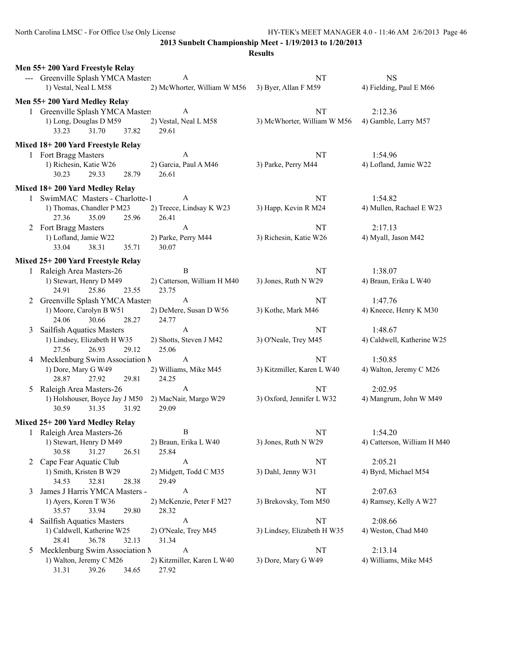North Carolina LMSC - For Office Use Only License HY-TEK's MEET MANAGER 4.0 - 11:46 AM 2/6/2013 Page 46

**2013 Sunbelt Championship Meet - 1/19/2013 to 1/20/2013**

|   | Men 55+200 Yard Freestyle Relay                           |                                |                             |                                  |
|---|-----------------------------------------------------------|--------------------------------|-----------------------------|----------------------------------|
|   | --- Greenville Splash YMCA Masters                        | A                              | NT                          | <b>NS</b>                        |
|   | 1) Vestal, Neal L M58                                     | 2) McWhorter, William W M56    | 3) Byer, Allan F M59        | 4) Fielding, Paul E M66          |
|   | Men 55+200 Yard Medley Relay                              |                                |                             |                                  |
|   | 1 Greenville Splash YMCA Masters                          | A                              | NT                          | 2:12.36                          |
|   | 1) Long, Douglas D M59                                    | 2) Vestal, Neal L M58          | 3) McWhorter, William W M56 | 4) Gamble, Larry M57             |
|   | 33.23<br>31.70<br>37.82                                   | 29.61                          |                             |                                  |
|   |                                                           |                                |                             |                                  |
|   | Mixed 18+200 Yard Freestyle Relay                         |                                |                             |                                  |
|   | 1 Fort Bragg Masters                                      | $\mathbf{A}$                   | NT                          | 1:54.96                          |
|   | 1) Richesin, Katie W26<br>30.23<br>29.33<br>28.79         | 2) Garcia, Paul A M46<br>26.61 | 3) Parke, Perry M44         | 4) Lofland, Jamie W22            |
|   |                                                           |                                |                             |                                  |
|   | Mixed 18+200 Yard Medley Relay                            |                                |                             |                                  |
|   | 1 SwimMAC Masters - Charlotte-1                           | $\mathbf{A}$                   | NT                          | 1:54.82                          |
|   | 1) Thomas, Chandler P M23                                 | 2) Treece, Lindsay K W23       | 3) Happ, Kevin R M24        | 4) Mullen, Rachael E W23         |
|   | 25.96<br>27.36<br>35.09                                   | 26.41                          |                             |                                  |
|   | 2 Fort Bragg Masters                                      | $\boldsymbol{\mathsf{A}}$      | NT                          | 2:17.13                          |
|   | 1) Lofland, Jamie W22                                     | 2) Parke, Perry M44            | 3) Richesin, Katie W26      | 4) Myall, Jason M42              |
|   | 33.04<br>38.31<br>35.71                                   | 30.07                          |                             |                                  |
|   | Mixed 25+200 Yard Freestyle Relay                         |                                |                             |                                  |
|   | 1 Raleigh Area Masters-26                                 | B                              | NT                          | 1:38.07                          |
|   | 1) Stewart, Henry D M49                                   | 2) Catterson, William H M40    | 3) Jones, Ruth N W29        | 4) Braun, Erika L W40            |
|   | 24.91<br>25.86<br>23.55                                   | 23.75                          |                             |                                  |
|   | 2 Greenville Splash YMCA Masters                          | $\mathbf{A}$                   | NT                          | 1:47.76                          |
|   | 1) Moore, Carolyn B W51                                   | 2) DeMere, Susan D W56         | 3) Kothe, Mark M46          | 4) Kneece, Henry K M30           |
|   | 24.06<br>30.66<br>28.27                                   | 24.77                          |                             |                                  |
| 3 | Sailfish Aquatics Masters                                 | $\mathbf{A}$                   | NT                          | 1:48.67                          |
|   | 1) Lindsey, Elizabeth H W35                               | 2) Shotts, Steven J M42        | 3) O'Neale, Trey M45        | 4) Caldwell, Katherine W25       |
|   | 27.56<br>26.93<br>29.12                                   | 25.06                          |                             |                                  |
|   | 4 Mecklenburg Swim Association N                          | $\mathbf{A}$                   | NT                          | 1:50.85                          |
|   | 1) Dore, Mary G W49                                       | 2) Williams, Mike M45          | 3) Kitzmiller, Karen L W40  | 4) Walton, Jeremy C M26          |
|   | 28.87<br>27.92<br>29.81                                   | 24.25                          |                             |                                  |
|   | 5 Raleigh Area Masters-26                                 | $\mathbf{A}$                   | NT                          | 2:02.95                          |
|   | 1) Holshouser, Boyce Jay J M50<br>31.92<br>30.59<br>31.35 | 2) MacNair, Margo W29<br>29.09 | 3) Oxford, Jennifer L W32   | 4) Mangrum, John W M49           |
|   |                                                           |                                |                             |                                  |
|   | Mixed 25+200 Yard Medley Relay                            |                                |                             |                                  |
|   | 1 Raleigh Area Masters-26                                 | B                              | NT                          | 1:54.20                          |
|   | 1) Stewart, Henry D M49                                   | 2) Braun, Erika L W40          | 3) Jones, Ruth N W29        | 4) Catterson, William H M40      |
|   | 30.58<br>31.27<br>26.51                                   | 25.84                          |                             |                                  |
|   | 2 Cape Fear Aquatic Club                                  | A                              | NT                          | 2:05.21                          |
|   | 1) Smith, Kristen B W29                                   | 2) Midgett, Todd C M35         | 3) Dahl, Jenny W31          | 4) Byrd, Michael M54             |
|   | 32.81<br>28.38<br>34.53                                   | 29.49                          |                             |                                  |
| 3 | James J Harris YMCA Masters -                             | A                              | NT                          | 2:07.63                          |
|   | 1) Ayers, Koren T W36                                     | 2) McKenzie, Peter F M27       | 3) Brekovsky, Tom M50       | 4) Ramsey, Kelly A W27           |
|   | 35.57<br>33.94<br>29.80                                   | 28.32                          |                             |                                  |
|   | 4 Sailfish Aquatics Masters                               | $\mathbf{A}$                   | NT                          | 2:08.66                          |
|   | 1) Caldwell, Katherine W25                                | 2) O'Neale, Trey M45           | 3) Lindsey, Elizabeth H W35 | 4) Weston, Chad M40              |
|   | 28.41<br>36.78<br>32.13                                   | 31.34<br>$\boldsymbol{A}$      |                             |                                  |
| 5 | Mecklenburg Swim Association N<br>1) Walton, Jeremy C M26 | 2) Kitzmiller, Karen L W40     | NT<br>3) Dore, Mary G W49   | 2:13.14<br>4) Williams, Mike M45 |
|   | 31.31<br>39.26<br>34.65                                   | 27.92                          |                             |                                  |
|   |                                                           |                                |                             |                                  |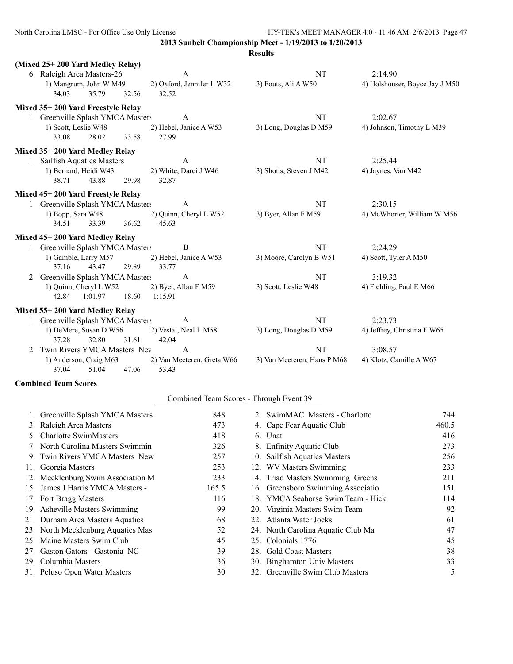|              |                                   |                        |       |                            | <b>Results</b>              |                                |
|--------------|-----------------------------------|------------------------|-------|----------------------------|-----------------------------|--------------------------------|
|              | (Mixed 25+200 Yard Medley Relay)  |                        |       |                            |                             |                                |
|              | 6 Raleigh Area Masters-26         |                        |       | $\mathbf{A}$               | NT                          | 2:14.90                        |
|              | 1) Mangrum, John W M49            |                        |       | 2) Oxford, Jennifer L W32  | 3) Fouts, Ali A W50         | 4) Holshouser, Boyce Jay J M50 |
|              | 34.03                             | 35.79                  | 32.56 | 32.52                      |                             |                                |
|              | Mixed 35+200 Yard Freestyle Relay |                        |       |                            |                             |                                |
|              | 1 Greenville Splash YMCA Masters  |                        |       | $\mathbf{A}$               | NT                          | 2:02.67                        |
|              | 1) Scott, Leslie W48              |                        |       | 2) Hebel, Janice A W53     | 3) Long, Douglas D M59      | 4) Johnson, Timothy L M39      |
|              | 33.08                             | 28.02                  | 33.58 | 27.99                      |                             |                                |
|              | Mixed 35+200 Yard Medley Relay    |                        |       |                            |                             |                                |
| $\mathbf{1}$ | <b>Sailfish Aquatics Masters</b>  |                        |       | A                          | NT                          | 2:25.44                        |
|              | 1) Bernard, Heidi W43             |                        |       | 2) White, Darci J W46      | 3) Shotts, Steven J M42     | 4) Jaynes, Van M42             |
|              | 38.71                             | 43.88                  | 29.98 | 32.87                      |                             |                                |
|              | Mixed 45+200 Yard Freestyle Relay |                        |       |                            |                             |                                |
|              | 1 Greenville Splash YMCA Masters  |                        |       | A                          | NT                          | 2:30.15                        |
|              | 1) Bopp, Sara W48                 |                        |       | 2) Quinn, Cheryl L W52     | 3) Byer, Allan F M59        | 4) McWhorter, William W M56    |
|              | 34.51                             | 33.39                  | 36.62 | 45.63                      |                             |                                |
|              | Mixed 45+200 Yard Medley Relay    |                        |       |                            |                             |                                |
|              | 1 Greenville Splash YMCA Masters  |                        |       | B                          | <b>NT</b>                   | 2:24.29                        |
|              | 1) Gamble, Larry M57              |                        |       | 2) Hebel, Janice A W53     | 3) Moore, Carolyn B W51     | 4) Scott, Tyler A M50          |
|              | 37.16                             | 43.47                  | 29.89 | 33.77                      |                             |                                |
| 2            | Greenville Splash YMCA Masters    |                        |       | $\mathbf{A}$               | NT                          | 3:19.32                        |
|              |                                   | 1) Quinn, Cheryl L W52 |       | 2) Byer, Allan F M59       | 3) Scott, Leslie W48        | 4) Fielding, Paul E M66        |
|              | 42.84                             | 1:01.97                | 18.60 | 1:15.91                    |                             |                                |
|              | Mixed 55+200 Yard Medley Relay    |                        |       |                            |                             |                                |
|              | 1 Greenville Splash YMCA Masters  |                        |       | A                          | NT                          | 2:23.73                        |
|              |                                   | 1) DeMere, Susan D W56 |       | 2) Vestal, Neal L M58      | 3) Long, Douglas D M59      | 4) Jeffrey, Christina F W65    |
|              | 37.28                             | 32.80                  | 31.61 | 42.04                      |                             |                                |
| 2            | Twin Rivers YMCA Masters Nev      |                        |       | $\mathbf{A}$               | <b>NT</b>                   | 3:08.57                        |
|              |                                   | 1) Anderson, Craig M63 |       | 2) Van Meeteren, Greta W66 | 3) Van Meeteren, Hans P M68 | 4) Klotz, Camille A W67        |
|              | 37.04                             | 51.04                  | 47.06 | 53.43                      |                             |                                |
|              | <b>Combined Team Scores</b>       |                        |       |                            |                             |                                |

# Combined Team Scores - Through Event 39

| 848                                                                                                                                                                                                                                                                                                                                                                                                                                                                                                                                 |  | 744                                                                                                                                                                                                                                                                                                                                                                                                                                                                                                   |
|-------------------------------------------------------------------------------------------------------------------------------------------------------------------------------------------------------------------------------------------------------------------------------------------------------------------------------------------------------------------------------------------------------------------------------------------------------------------------------------------------------------------------------------|--|-------------------------------------------------------------------------------------------------------------------------------------------------------------------------------------------------------------------------------------------------------------------------------------------------------------------------------------------------------------------------------------------------------------------------------------------------------------------------------------------------------|
| 473                                                                                                                                                                                                                                                                                                                                                                                                                                                                                                                                 |  | 460.5                                                                                                                                                                                                                                                                                                                                                                                                                                                                                                 |
| 418                                                                                                                                                                                                                                                                                                                                                                                                                                                                                                                                 |  | 416                                                                                                                                                                                                                                                                                                                                                                                                                                                                                                   |
| 326                                                                                                                                                                                                                                                                                                                                                                                                                                                                                                                                 |  | 273                                                                                                                                                                                                                                                                                                                                                                                                                                                                                                   |
| 257                                                                                                                                                                                                                                                                                                                                                                                                                                                                                                                                 |  | 256                                                                                                                                                                                                                                                                                                                                                                                                                                                                                                   |
| 253                                                                                                                                                                                                                                                                                                                                                                                                                                                                                                                                 |  | 233                                                                                                                                                                                                                                                                                                                                                                                                                                                                                                   |
| 233                                                                                                                                                                                                                                                                                                                                                                                                                                                                                                                                 |  | 211                                                                                                                                                                                                                                                                                                                                                                                                                                                                                                   |
| 165.5                                                                                                                                                                                                                                                                                                                                                                                                                                                                                                                               |  | 151                                                                                                                                                                                                                                                                                                                                                                                                                                                                                                   |
| 116                                                                                                                                                                                                                                                                                                                                                                                                                                                                                                                                 |  | 114                                                                                                                                                                                                                                                                                                                                                                                                                                                                                                   |
| 99                                                                                                                                                                                                                                                                                                                                                                                                                                                                                                                                  |  | 92                                                                                                                                                                                                                                                                                                                                                                                                                                                                                                    |
| 68                                                                                                                                                                                                                                                                                                                                                                                                                                                                                                                                  |  | 61                                                                                                                                                                                                                                                                                                                                                                                                                                                                                                    |
| 52                                                                                                                                                                                                                                                                                                                                                                                                                                                                                                                                  |  | 47                                                                                                                                                                                                                                                                                                                                                                                                                                                                                                    |
| 45                                                                                                                                                                                                                                                                                                                                                                                                                                                                                                                                  |  | 45                                                                                                                                                                                                                                                                                                                                                                                                                                                                                                    |
| 39                                                                                                                                                                                                                                                                                                                                                                                                                                                                                                                                  |  | 38                                                                                                                                                                                                                                                                                                                                                                                                                                                                                                    |
| 36                                                                                                                                                                                                                                                                                                                                                                                                                                                                                                                                  |  | 33                                                                                                                                                                                                                                                                                                                                                                                                                                                                                                    |
| 30                                                                                                                                                                                                                                                                                                                                                                                                                                                                                                                                  |  | 5                                                                                                                                                                                                                                                                                                                                                                                                                                                                                                     |
| 1. Greenville Splash YMCA Masters<br>3. Raleigh Area Masters<br>5. Charlotte SwimMasters<br>7. North Carolina Masters Swimmin<br>9. Twin Rivers YMCA Masters New<br>11. Georgia Masters<br>12. Mecklenburg Swim Association M<br>15. James J Harris YMCA Masters -<br>17. Fort Bragg Masters<br>19. Asheville Masters Swimming<br>21. Durham Area Masters Aquatics<br>23. North Mecklenburg Aquatics Mas<br>25. Maine Masters Swim Club<br>27. Gaston Gators - Gastonia NC<br>29. Columbia Masters<br>31. Peluso Open Water Masters |  | 2. SwimMAC Masters - Charlotte<br>4. Cape Fear Aquatic Club<br>6. Unat<br>8. Enfinity Aquatic Club<br>10. Sailfish Aquatics Masters<br>12. WV Masters Swimming<br>14. Triad Masters Swimming Greens<br>16. Greensboro Swimming Associatio<br>18. YMCA Seahorse Swim Team - Hick<br>20. Virginia Masters Swim Team<br>22. Atlanta Water Jocks<br>24. North Carolina Aquatic Club Ma<br>25. Colonials 1776<br>28. Gold Coast Masters<br>30. Binghamton Univ Masters<br>32. Greenville Swim Club Masters |